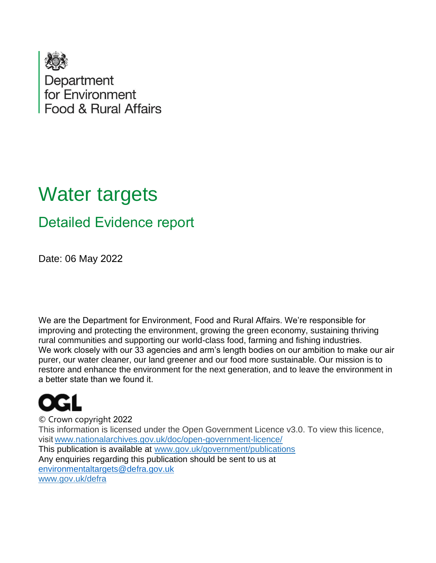

# Water targets

# Detailed Evidence report

Date: 06 May 2022  

We are the Department for Environment, Food and Rural Affairs. We're responsible for improving and protecting the environment, growing the green economy, sustaining thriving rural communities and supporting our world-class food, farming and fishing industries.    We work closely with our 33 agencies and arm's length bodies on our ambition to make our air purer, our water cleaner, our land greener and our food more sustainable. Our mission is to restore and enhance the environment for the next generation, and to leave the environment in a better state than we found it.  

© Crown copyright 2022   This information is licensed under the Open Government Licence v3.0. To view this licence, visit[www.nationalarchives.gov.uk/doc/open-government-licence/](http://www.nationalarchives.gov.uk/doc/open-government-licence/)   This publication is available at [www.gov.uk/government/publications](http://www.gov.uk/government/publications)    Any enquiries regarding this publication should be sent to us at [environmentaltargets@defra.gov.uk](mailto:environmentaltargets@defra.gov.uk) [www.gov.uk/defra](http://www.gov.uk/defra)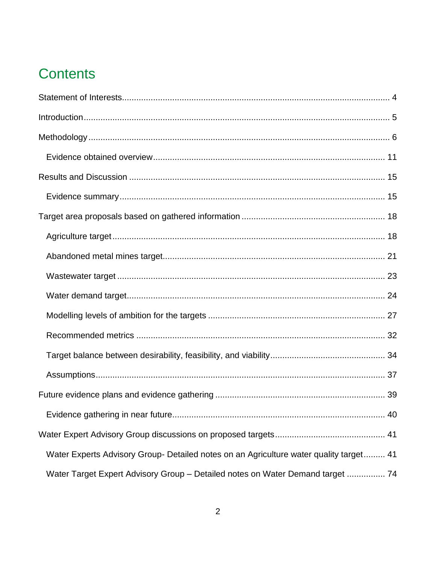# **Contents**

| Water Experts Advisory Group- Detailed notes on an Agriculture water quality target 41 |
|----------------------------------------------------------------------------------------|
| Water Target Expert Advisory Group - Detailed notes on Water Demand target  74         |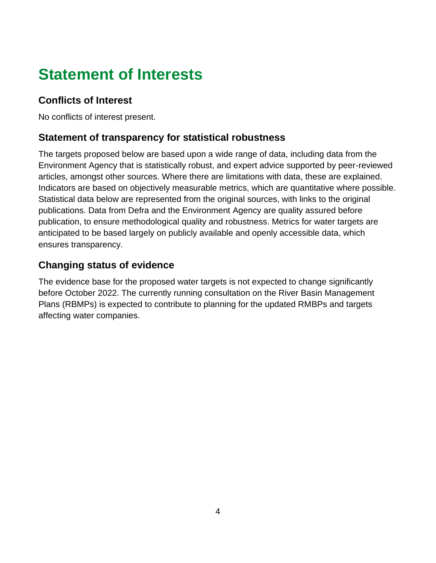# <span id="page-3-0"></span>**Statement of Interests**

# **Conflicts of Interest**

No conflicts of interest present.

# **Statement of transparency for statistical robustness**

The targets proposed below are based upon a wide range of data, including data from the Environment Agency that is statistically robust, and expert advice supported by peer-reviewed articles, amongst other sources. Where there are limitations with data, these are explained. Indicators are based on objectively measurable metrics, which are quantitative where possible. Statistical data below are represented from the original sources, with links to the original publications. Data from Defra and the Environment Agency are quality assured before publication, to ensure methodological quality and robustness. Metrics for water targets are anticipated to be based largely on publicly available and openly accessible data, which ensures transparency.

# **Changing status of evidence**

The evidence base for the proposed water targets is not expected to change significantly before October 2022. The currently running consultation on the River Basin Management Plans (RBMPs) is expected to contribute to planning for the updated RMBPs and targets affecting water companies.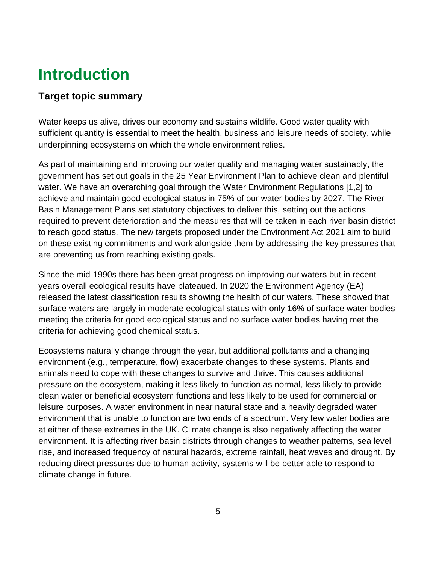# <span id="page-4-0"></span>**Introduction**

# **Target topic summary**

Water keeps us alive, drives our economy and sustains wildlife. Good water quality with sufficient quantity is essential to meet the health, business and leisure needs of society, while underpinning ecosystems on which the whole environment relies.

As part of maintaining and improving our water quality and managing water sustainably, the government has set out goals in the 25 Year Environment Plan to achieve clean and plentiful water. We have an overarching goal through the Water Environment Regulations [1,2] to achieve and maintain good ecological status in 75% of our water bodies by 2027. The River Basin Management Plans set statutory objectives to deliver this, setting out the actions required to prevent deterioration and the measures that will be taken in each river basin district to reach good status. The new targets proposed under the Environment Act 2021 aim to build on these existing commitments and work alongside them by addressing the key pressures that are preventing us from reaching existing goals.

Since the mid-1990s there has been great progress on improving our waters but in recent years overall ecological results have plateaued. In 2020 the Environment Agency (EA) released the latest classification results showing the health of our waters. These showed that surface waters are largely in moderate ecological status with only 16% of surface water bodies meeting the criteria for good ecological status and no surface water bodies having met the criteria for achieving good chemical status.

Ecosystems naturally change through the year, but additional pollutants and a changing environment (e.g., temperature, flow) exacerbate changes to these systems. Plants and animals need to cope with these changes to survive and thrive. This causes additional pressure on the ecosystem, making it less likely to function as normal, less likely to provide clean water or beneficial ecosystem functions and less likely to be used for commercial or leisure purposes. A water environment in near natural state and a heavily degraded water environment that is unable to function are two ends of a spectrum. Very few water bodies are at either of these extremes in the UK. Climate change is also negatively affecting the water environment. It is affecting river basin districts through changes to weather patterns, sea level rise, and increased frequency of natural hazards, extreme rainfall, heat waves and drought. By reducing direct pressures due to human activity, systems will be better able to respond to climate change in future.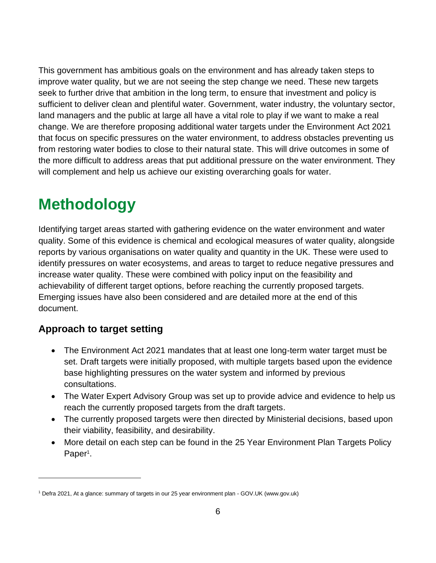This government has ambitious goals on the environment and has already taken steps to improve water quality, but we are not seeing the step change we need. These new targets seek to further drive that ambition in the long term, to ensure that investment and policy is sufficient to deliver clean and plentiful water. Government, water industry, the voluntary sector, land managers and the public at large all have a vital role to play if we want to make a real change. We are therefore proposing additional water targets under the Environment Act 2021 that focus on specific pressures on the water environment, to address obstacles preventing us from restoring water bodies to close to their natural state. This will drive outcomes in some of the more difficult to address areas that put additional pressure on the water environment. They will complement and help us achieve our existing overarching goals for water.

# <span id="page-5-0"></span>**Methodology**

Identifying target areas started with gathering evidence on the water environment and water quality. Some of this evidence is chemical and ecological measures of water quality, alongside reports by various organisations on water quality and quantity in the UK. These were used to identify pressures on water ecosystems, and areas to target to reduce negative pressures and increase water quality. These were combined with policy input on the feasibility and achievability of different target options, before reaching the currently proposed targets. Emerging issues have also been considered and are detailed more at the end of this document.

# **Approach to target setting**

- The Environment Act 2021 mandates that at least one long-term water target must be set. Draft targets were initially proposed, with multiple targets based upon the evidence base highlighting pressures on the water system and informed by previous consultations.
- The Water Expert Advisory Group was set up to provide advice and evidence to help us reach the currently proposed targets from the draft targets.
- The currently proposed targets were then directed by Ministerial decisions, based upon their viability, feasibility, and desirability.
- More detail on each step can be found in the 25 Year Environment Plan Targets Policy Paper<sup>1</sup>.

<sup>1</sup> Defra 2021, [At a glance: summary of targets in our 25 year environment plan -](https://www.gov.uk/government/publications/25-year-environment-plan/25-year-environment-plan-our-targets-at-a-glance) GOV.UK (www.gov.uk)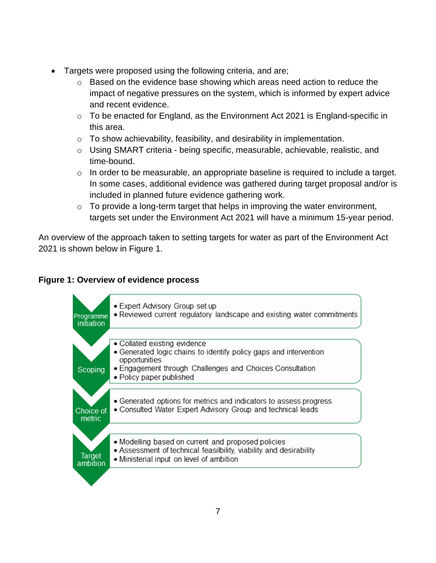- Targets were proposed using the following criteria, and are;
	- o Based on the evidence base showing which areas need action to reduce the impact of negative pressures on the system, which is informed by expert advice and recent evidence.
	- $\circ$  To be enacted for England, as the Environment Act 2021 is England-specific in this area.
	- $\circ$  To show achievability, feasibility, and desirability in implementation.
	- o Using SMART criteria being specific, measurable, achievable, realistic, and time-bound.
	- $\circ$  In order to be measurable, an appropriate baseline is required to include a target. In some cases, additional evidence was gathered during target proposal and/or is included in planned future evidence gathering work.
	- $\circ$  To provide a long-term target that helps in improving the water environment, targets set under the Environment Act 2021 will have a minimum 15-year period.

An overview of the approach taken to setting targets for water as part of the Environment Act 2021 is shown below in Figure 1.

#### **Figure 1: Overview of evidence process**

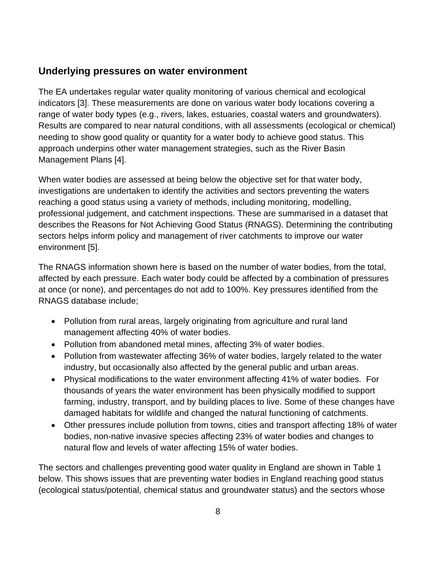### **Underlying pressures on water environment**

The EA undertakes regular water quality monitoring of various chemical and ecological indicators [3]. These measurements are done on various water body locations covering a range of water body types (e.g., rivers, lakes, estuaries, coastal waters and groundwaters). Results are compared to near natural conditions, with all assessments (ecological or chemical) needing to show good quality or quantity for a water body to achieve good status. This approach underpins other water management strategies, such as the River Basin Management Plans [4].

When water bodies are assessed at being below the objective set for that water body, investigations are undertaken to identify the activities and sectors preventing the waters reaching a good status using a variety of methods, including monitoring, modelling, professional judgement, and catchment inspections. These are summarised in a dataset that describes the Reasons for Not Achieving Good Status (RNAGS). Determining the contributing sectors helps inform policy and management of river catchments to improve our water environment [5].

The RNAGS information shown here is based on the number of water bodies, from the total, affected by each pressure. Each water body could be affected by a combination of pressures at once (or none), and percentages do not add to 100%. Key pressures identified from the RNAGS database include;

- Pollution from rural areas, largely originating from agriculture and rural land management affecting 40% of water bodies.
- Pollution from abandoned metal mines, affecting 3% of water bodies.
- Pollution from wastewater affecting 36% of water bodies, largely related to the water industry, but occasionally also affected by the general public and urban areas.
- Physical modifications to the water environment affecting 41% of water bodies. For thousands of years the water environment has been physically modified to support farming, industry, transport, and by building places to live. Some of these changes have damaged habitats for wildlife and changed the natural functioning of catchments.
- Other pressures include pollution from towns, cities and transport affecting 18% of water bodies, non-native invasive species affecting 23% of water bodies and changes to natural flow and levels of water affecting 15% of water bodies.

The sectors and challenges preventing good water quality in England are shown in Table 1 below. This shows issues that are preventing water bodies in England reaching good status (ecological status/potential, chemical status and groundwater status) and the sectors whose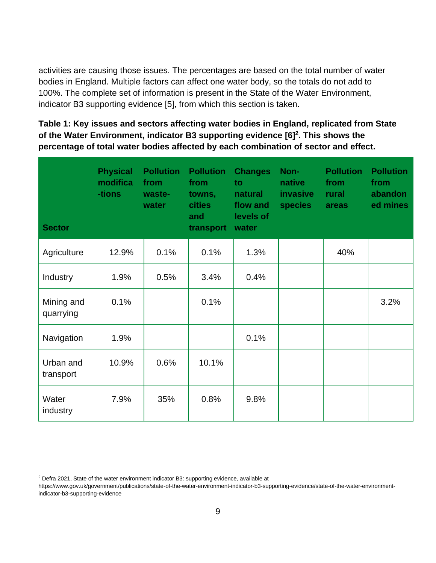activities are causing those issues. The percentages are based on the total number of water bodies in England. Multiple factors can affect one water body, so the totals do not add to 100%. The complete set of information is present in the State of the Water Environment, indicator B3 supporting evidence [5], from which this section is taken.

**Table 1: Key issues and sectors affecting water bodies in England, replicated from State of the Water Environment, indicator B3 supporting evidence [6] 2 . This shows the percentage of total water bodies affected by each combination of sector and effect.** 

| <b>Sector</b>           | <b>Physical</b><br>modifica<br>-tions | <b>Pollution</b><br>from<br>waste-<br>water | <b>Pollution</b><br>from<br>towns,<br><b>cities</b><br>and<br>transport | <b>Changes</b><br>to<br>natural<br>flow and<br>levels of<br>water | Non-<br>native<br><i>invasive</i><br><b>species</b> | <b>Pollution</b><br>from<br>rural<br>areas | <b>Pollution</b><br>from<br>abandon<br>ed mines |
|-------------------------|---------------------------------------|---------------------------------------------|-------------------------------------------------------------------------|-------------------------------------------------------------------|-----------------------------------------------------|--------------------------------------------|-------------------------------------------------|
| Agriculture             | 12.9%                                 | 0.1%                                        | 0.1%                                                                    | 1.3%                                                              |                                                     | 40%                                        |                                                 |
| Industry                | 1.9%                                  | 0.5%                                        | 3.4%                                                                    | 0.4%                                                              |                                                     |                                            |                                                 |
| Mining and<br>quarrying | 0.1%                                  |                                             | 0.1%                                                                    |                                                                   |                                                     |                                            | 3.2%                                            |
| Navigation              | 1.9%                                  |                                             |                                                                         | 0.1%                                                              |                                                     |                                            |                                                 |
| Urban and<br>transport  | 10.9%                                 | 0.6%                                        | 10.1%                                                                   |                                                                   |                                                     |                                            |                                                 |
| Water<br>industry       | 7.9%                                  | 35%                                         | 0.8%                                                                    | 9.8%                                                              |                                                     |                                            |                                                 |

<sup>2</sup> Defra 2021, State of the water environment indicator B3: supporting evidence, available at

[https://www.gov.uk/government/publications/state-of-the-water-environment-indicator-b3-supporting-evidence/state-of-the-water-environment](https://www.gov.uk/government/publications/state-of-the-water-environment-indicator-b3-supporting-evidence/state-of-the-water-environment-indicator-b3-supporting-evidence)[indicator-b3-supporting-evidence](https://www.gov.uk/government/publications/state-of-the-water-environment-indicator-b3-supporting-evidence/state-of-the-water-environment-indicator-b3-supporting-evidence)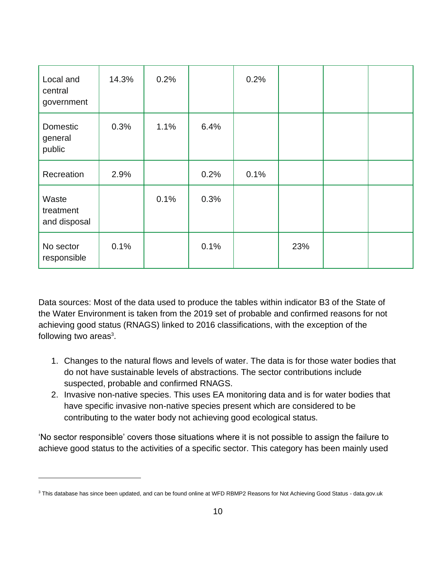| Local and<br>central<br>government | 14.3% | 0.2% |      | 0.2% |     |  |
|------------------------------------|-------|------|------|------|-----|--|
| Domestic<br>general<br>public      | 0.3%  | 1.1% | 6.4% |      |     |  |
| Recreation                         | 2.9%  |      | 0.2% | 0.1% |     |  |
| Waste<br>treatment<br>and disposal |       | 0.1% | 0.3% |      |     |  |
| No sector<br>responsible           | 0.1%  |      | 0.1% |      | 23% |  |

Data sources: Most of the data used to produce the tables within indicator B3 of the State of the Water Environment is taken from the 2019 set of probable and confirmed reasons for not achieving good status (RNAGS) linked to 2016 classifications, with the exception of the following two areas $3$ .

- 1. Changes to the natural flows and levels of water. The data is for those water bodies that do not have sustainable levels of abstractions. The sector contributions include suspected, probable and confirmed RNAGS.
- 2. Invasive non-native species. This uses EA monitoring data and is for water bodies that have specific invasive non-native species present which are considered to be contributing to the water body not achieving good ecological status.

'No sector responsible' covers those situations where it is not possible to assign the failure to achieve good status to the activities of a specific sector. This category has been mainly used

<sup>&</sup>lt;sup>3</sup> This database has since been updated, and can be found online a[t WFD RBMP2 Reasons for Not Achieving Good Status -](https://data.gov.uk/dataset/a0c01908-1f50-4051-b701-45ec613899f0/wfd-rbmp2-reasons-for-not-achieving-good-status) data.gov.uk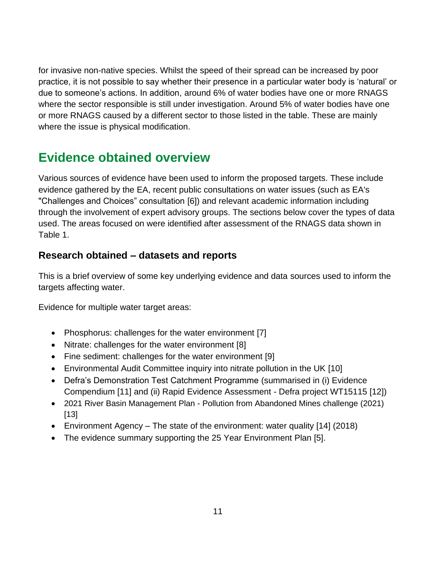for invasive non-native species. Whilst the speed of their spread can be increased by poor practice, it is not possible to say whether their presence in a particular water body is 'natural' or due to someone's actions. In addition, around 6% of water bodies have one or more RNAGS where the sector responsible is still under investigation. Around 5% of water bodies have one or more RNAGS caused by a different sector to those listed in the table. These are mainly where the issue is physical modification.

# <span id="page-10-0"></span>**Evidence obtained overview**

Various sources of evidence have been used to inform the proposed targets. These include evidence gathered by the EA, recent public consultations on water issues (such as EA's "Challenges and Choices" consultation [6]) and relevant academic information including through the involvement of expert advisory groups. The sections below cover the types of data used. The areas focused on were identified after assessment of the RNAGS data shown in Table 1.

# **Research obtained – datasets and reports**

This is a brief overview of some key underlying evidence and data sources used to inform the targets affecting water.

Evidence for multiple water target areas:

- Phosphorus: challenges for the water environment [7]
- [Nitrate: challenges for the water environment](https://www.gov.uk/government/publications/nitrates-challenges-for-the-water-environment) [8]
- Fine sediment: challenges for the water environment [9]
- [Environmental Audit Committee inquiry into nitrate pollution in the UK](https://publications.parliament.uk/pa/cm201719/cmselect/cmenvaud/656/65602.htm) [10]
- Defra's Demonstration Test Catchment Programme (summarised in (i) Evidence Compendi[um](http://m/) [11] and (ii) Rapid Evidence Assessment - Defra project WT15115 [12])
- 2021 River Basin Management Plan Pollution from Abandoned Mines challenge (2021) [13]
- Environment Agency The state of the environment: water quality [14] (2018)
- The evidence summary supporting the 25 Year Environment Plan [5].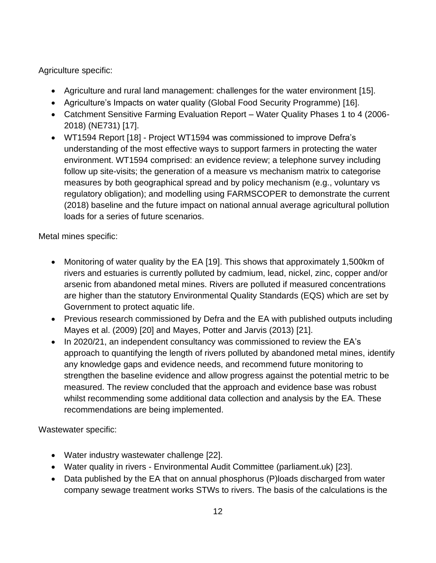Agriculture specific:

- Agriculture and rural land management: challenges for the water environment [15].
- Agriculture's Impacts on water quality (Global Food Security Programme) [16].
- Catchment Sensitive Farming Evaluation Report Water Quality Phases 1 to 4 (2006- 2018) (NE731) [17].
- WT1594 Report [18] Project WT1594 was commissioned to improve Defra's understanding of the most effective ways to support farmers in protecting the water environment. WT1594 comprised: an evidence review; a telephone survey including follow up site-visits; the generation of a measure vs mechanism matrix to categorise measures by both geographical spread and by policy mechanism (e.g., voluntary vs regulatory obligation); and modelling using FARMSCOPER to demonstrate the current (2018) baseline and the future impact on national annual average agricultural pollution loads for a series of future scenarios.

Metal mines specific:

- Monitoring of water quality by the EA [19]. This shows that approximately 1,500km of rivers and estuaries is currently polluted by cadmium, lead, nickel, zinc, copper and/or arsenic from abandoned metal mines. Rivers are polluted if measured concentrations are higher than the statutory Environmental Quality Standards (EQS) which are set by Government to protect aquatic life.
- Previous research commissioned by Defra and the EA with published outputs including Mayes et al. (2009) [20] and Mayes, Potter and Jarvis (2013) [21].
- In 2020/21, an independent consultancy was commissioned to review the EA's approach to quantifying the length of rivers polluted by abandoned metal mines, identify any knowledge gaps and evidence needs, and recommend future monitoring to strengthen the baseline evidence and allow progress against the potential metric to be measured. The review concluded that the approach and evidence base was robust whilst recommending some additional data collection and analysis by the EA. These recommendations are being implemented.

Wastewater specific:

- Water industry wastewater challenge [22].
- Water quality in rivers Environmental Audit Committee (parliament.uk) [23].
- Data published by the EA that on annual phosphorus (P)loads discharged from water company sewage treatment works STWs to rivers. The basis of the calculations is the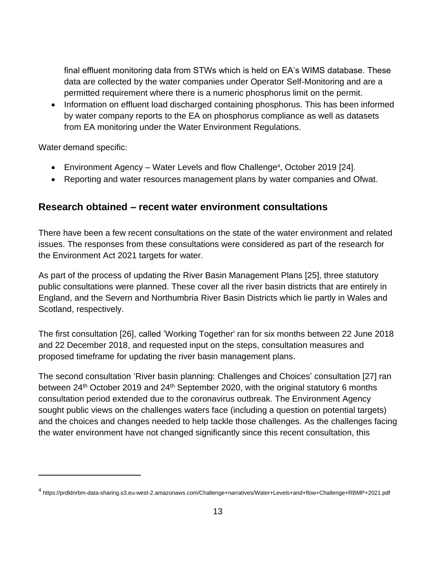final effluent monitoring data from STWs which is held on EA's WIMS database. These data are collected by the water companies under Operator Self-Monitoring and are a permitted requirement where there is a numeric phosphorus limit on the permit.

• Information on effluent load discharged containing phosphorus. This has been informed by water company reports to the EA on phosphorus compliance as well as datasets from EA monitoring under the Water Environment Regulations.

Water demand specific:

- Environment Agency Water Levels and flow Challenge<sup>4</sup>, October 2019 [24].
- Reporting and water resources management plans by water companies and Ofwat.

#### **Research obtained – recent water environment consultations**

There have been a few recent consultations on the state of the water environment and related issues. The responses from these consultations were considered as part of the research for the Environment Act 2021 targets for water.

As part of the process of updating the River Basin Management Plans [25], three statutory public consultations were planned. These cover all the river basin districts that are entirely in England, and the Severn and Northumbria River Basin Districts which lie partly in Wales and Scotland, respectively.

The first consultation [26], called 'Working Together' ran for six months between 22 June 2018 and 22 December 2018, and requested input on the steps, consultation measures and proposed timeframe for updating the river basin management plans.

The second consultation 'River basin planning: Challenges and Choices' consultation [27] ran between 24<sup>th</sup> October 2019 and 24<sup>th</sup> September 2020, with the original statutory 6 months consultation period extended due to the coronavirus outbreak. The Environment Agency sought public views on the challenges waters face (including a question on potential targets) and the choices and changes needed to help tackle those challenges. As the challenges facing the water environment have not changed significantly since this recent consultation, this

<sup>4</sup> https://prdldnrbm-data-sharing.s3.eu-west-2.amazonaws.com/Challenge+narratives/Water+Levels+and+flow+Challenge+RBMP+2021.pdf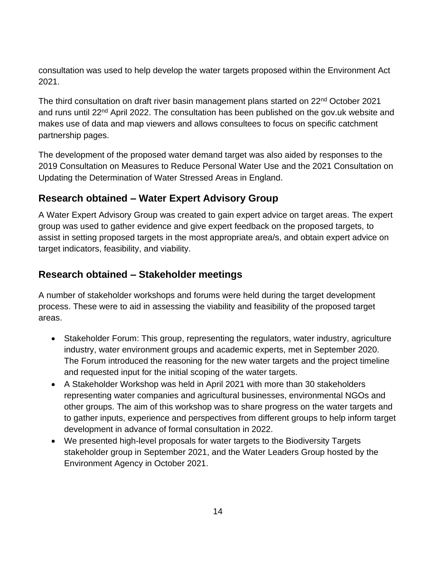consultation was used to help develop the water targets proposed within the Environment Act 2021.

The third consultation on [draft river basin management plans](https://www.gov.uk/government/collections/draft-river-basin-management-plans-2021) started on 22<sup>nd</sup> October 2021 and runs until 22<sup>nd</sup> April 2022. The consultation has been published on the gov.uk website and makes use of data and map viewers and allows consultees to focus on specific catchment partnership pages.

The development of the proposed water demand target was also aided by responses to the 2019 Consultation on Measures to Reduce Personal Water Use and the 2021 Consultation on Updating the Determination of Water Stressed Areas in England.

# **Research obtained – Water Expert Advisory Group**

A Water Expert Advisory Group was created to gain expert advice on target areas. The expert group was used to gather evidence and give expert feedback on the proposed targets, to assist in setting proposed targets in the most appropriate area/s, and obtain expert advice on target indicators, feasibility, and viability.

# **Research obtained – Stakeholder meetings**

A number of stakeholder workshops and forums were held during the target development process. These were to aid in assessing the viability and feasibility of the proposed target areas.

- Stakeholder Forum: This group, representing the regulators, water industry, agriculture industry, water environment groups and academic experts, met in September 2020. The Forum introduced the reasoning for the new water targets and the project timeline and requested input for the initial scoping of the water targets.
- A Stakeholder Workshop was held in April 2021 with more than 30 stakeholders representing water companies and agricultural businesses, environmental NGOs and other groups. The aim of this workshop was to share progress on the water targets and to gather inputs, experience and perspectives from different groups to help inform target development in advance of formal consultation in 2022.
- We presented high-level proposals for water targets to the Biodiversity Targets stakeholder group in September 2021, and the Water Leaders Group hosted by the Environment Agency in October 2021.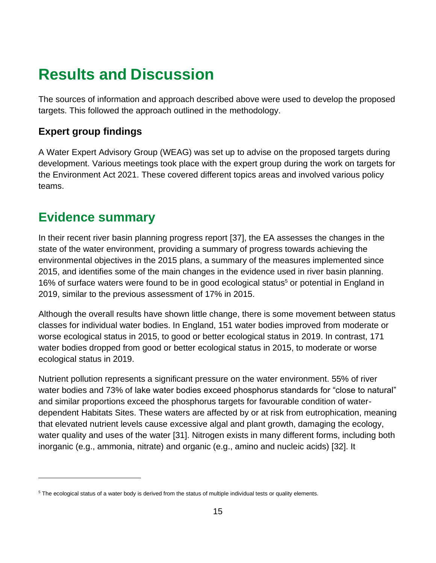# <span id="page-14-0"></span>**Results and Discussion**

The sources of information and approach described above were used to develop the proposed targets. This followed the approach outlined in the methodology.

# **Expert group findings**

A Water Expert Advisory Group (WEAG) was set up to advise on the proposed targets during development. Various meetings took place with the expert group during the work on targets for the Environment Act 2021. These covered different topics areas and involved various policy teams.

# <span id="page-14-1"></span>**Evidence summary**

In their recent river basin planning progress report [37], the EA assesses the changes in the state of the water environment, providing a summary of progress towards achieving the environmental objectives in the 2015 plans, a summary of the measures implemented since 2015, and identifies some of the main changes in the evidence used in river basin planning. 16% of surface waters were found to be in good ecological status<sup>5</sup> or potential in England in 2019, similar to the previous assessment of 17% in 2015.

Although the overall results have shown little change, there is some movement between status classes for individual water bodies. In England, 151 water bodies improved from moderate or worse ecological status in 2015, to good or better ecological status in 2019. In contrast, 171 water bodies dropped from good or better ecological status in 2015, to moderate or worse ecological status in 2019.

Nutrient pollution represents a significant pressure on the water environment. 55% of river water bodies and 73% of lake water bodies exceed phosphorus standards for "close to natural" and similar proportions exceed the phosphorus targets for favourable condition of waterdependent Habitats Sites. These waters are affected by or at risk from eutrophication, meaning that elevated nutrient levels cause excessive algal and plant growth, damaging the ecology, water quality and uses of the water [31]. Nitrogen exists in many different forms, including both inorganic (e.g., ammonia, nitrate) and organic (e.g., amino and nucleic acids) [32]. It

<sup>&</sup>lt;sup>5</sup> The ecological status of a water body is derived from the status of multiple individual tests or quality elements.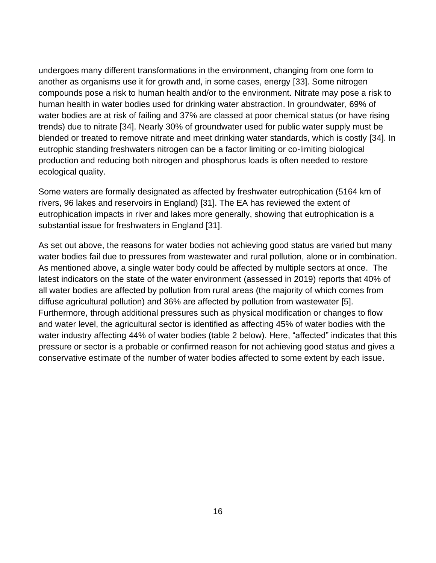undergoes many different transformations in the environment, changing from one form to another as organisms use it for growth and, in some cases, energy [33]. Some nitrogen compounds pose a risk to human health and/or to the environment. Nitrate may pose a risk to human health in water bodies used for drinking water abstraction. In groundwater, 69% of water bodies are at risk of failing and 37% are classed at poor chemical status (or have rising trends) due to nitrate [34]. Nearly 30% of groundwater used for public water supply must be blended or treated to remove nitrate and meet drinking water standards, which is costly [34]. In eutrophic standing freshwaters nitrogen can be a factor limiting or co-limiting biological production and reducing both nitrogen and phosphorus loads is often needed to restore ecological quality.

Some waters are formally designated as affected by freshwater eutrophication (5164 km of rivers, 96 lakes and reservoirs in England) [31]. The EA has reviewed the extent of eutrophication impacts in river and lakes more generally, showing that eutrophication is a substantial issue for freshwaters in England [31].

As set out above, the reasons for water bodies not achieving good status are varied but many water bodies fail due to pressures from wastewater and rural pollution, alone or in combination. As mentioned above, a single water body could be affected by multiple sectors at once. The latest indicators on the state of the water environment (assessed in 2019) reports that 40% of all water bodies are affected by pollution from rural areas (the majority of which comes from diffuse agricultural pollution) and 36% are affected by pollution from wastewater [5]. Furthermore, through additional pressures such as physical modification or changes to flow and water level, the agricultural sector is identified as affecting 45% of water bodies with the water industry affecting 44% of water bodies (table 2 below). Here, "affected" indicates that this pressure or sector is a probable or confirmed reason for not achieving good status and gives a conservative estimate of the number of water bodies affected to some extent by each issue.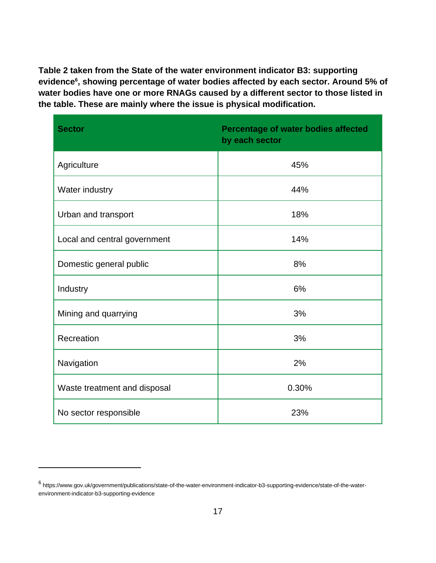**Table 2 taken from the State of the water environment indicator B3: supporting evidence<sup>6</sup> , showing percentage of water bodies affected by each sector. Around 5% of water bodies have one or more RNAGs caused by a different sector to those listed in the table. These are mainly where the issue is physical modification.**

| <b>Sector</b>                | Percentage of water bodies affected<br>by each sector |
|------------------------------|-------------------------------------------------------|
| Agriculture                  | 45%                                                   |
| Water industry               | 44%                                                   |
| Urban and transport          | 18%                                                   |
| Local and central government | 14%                                                   |
| Domestic general public      | 8%                                                    |
| Industry                     | 6%                                                    |
| Mining and quarrying         | 3%                                                    |
| Recreation                   | 3%                                                    |
| Navigation                   | 2%                                                    |
| Waste treatment and disposal | 0.30%                                                 |
| No sector responsible        | 23%                                                   |

<sup>6</sup> https://www.gov.uk/government/publications/state-of-the-water-environment-indicator-b3-supporting-evidence/state-of-the-waterenvironment-indicator-b3-supporting-evidence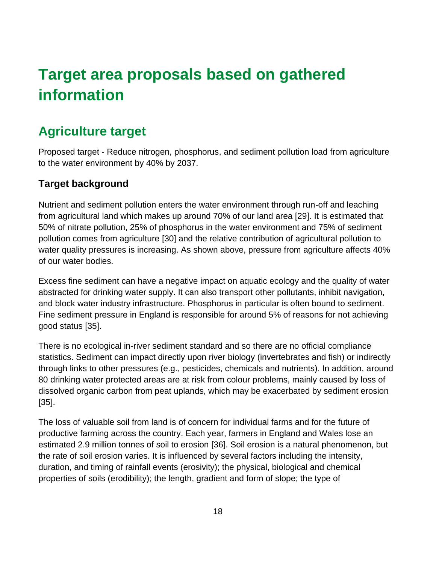# <span id="page-17-0"></span>**Target area proposals based on gathered information**

# <span id="page-17-1"></span>**Agriculture target**

Proposed target - Reduce nitrogen, phosphorus, and sediment pollution load from agriculture to the water environment by 40% by 2037.

# **Target background**

Nutrient and sediment pollution enters the water environment through run-off and leaching from agricultural land which makes up around 70% of our land area [29]. It is estimated that 50% of nitrate pollution, 25% of phosphorus in the water environment and 75% of sediment pollution comes from agriculture [30] and the relative contribution of agricultural pollution to water quality pressures is increasing. As shown above, pressure from agriculture affects 40% of our water bodies.

Excess fine sediment can have a negative impact on aquatic ecology and the quality of water abstracted for drinking water supply. It can also transport other pollutants, inhibit navigation, and block water industry infrastructure. Phosphorus in particular is often bound to sediment. Fine sediment pressure in England is responsible for around 5% of reasons for not achieving good status [35].

There is no ecological in-river sediment standard and so there are no official compliance statistics. Sediment can impact directly upon river biology (invertebrates and fish) or indirectly through links to other pressures (e.g., pesticides, chemicals and nutrients). In addition, around 80 drinking water protected areas are at risk from colour problems, mainly caused by loss of dissolved organic carbon from peat uplands, which may be exacerbated by sediment erosion [35].

The loss of valuable soil from land is of concern for individual farms and for the future of productive farming across the country. Each year, farmers in England and Wales lose an estimated 2.9 million tonnes of soil to erosion [36]. Soil erosion is a natural phenomenon, but the rate of soil erosion varies. It is influenced by several factors including the intensity, duration, and timing of rainfall events (erosivity); the physical, biological and chemical properties of soils (erodibility); the length, gradient and form of slope; the type of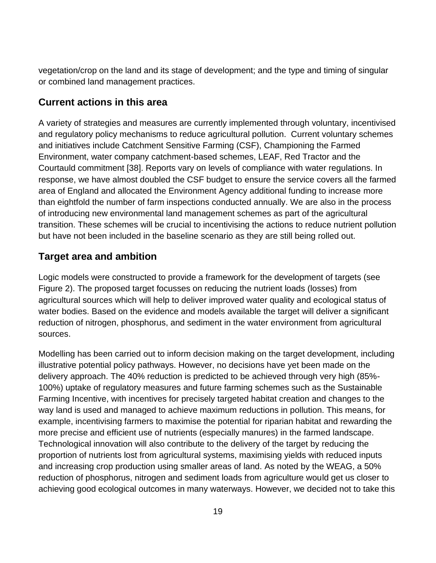vegetation/crop on the land and its stage of development; and the type and timing of singular or combined land management practices.

# **Current actions in this area**

A variety of strategies and measures are currently implemented through voluntary, incentivised and regulatory policy mechanisms to reduce agricultural pollution. Current voluntary schemes and initiatives include Catchment Sensitive Farming (CSF), Championing the Farmed Environment, water company catchment-based schemes, LEAF, Red Tractor and the Courtauld commitment [38]. Reports vary on levels of compliance with water regulations. In response, we have almost doubled the CSF budget to ensure the service covers all the farmed area of England and allocated the Environment Agency additional funding to increase more than eightfold the number of farm inspections conducted annually. We are also in the process of introducing new environmental land management schemes as part of the agricultural transition. These schemes will be crucial to incentivising the actions to reduce nutrient pollution but have not been included in the baseline scenario as they are still being rolled out.

# **Target area and ambition**

Logic models were constructed to provide a framework for the development of targets (see Figure 2). The proposed target focusses on reducing the nutrient loads (losses) from agricultural sources which will help to deliver improved water quality and ecological status of water bodies. Based on the evidence and models available the target will deliver a significant reduction of nitrogen, phosphorus, and sediment in the water environment from agricultural sources.

Modelling has been carried out to inform decision making on the target development, including illustrative potential policy pathways. However, no decisions have yet been made on the delivery approach. The 40% reduction is predicted to be achieved through very high (85%- 100%) uptake of regulatory measures and future farming schemes such as the Sustainable Farming Incentive, with incentives for precisely targeted habitat creation and changes to the way land is used and managed to achieve maximum reductions in pollution. This means, for example, incentivising farmers to maximise the potential for riparian habitat and rewarding the more precise and efficient use of nutrients (especially manures) in the farmed landscape. Technological innovation will also contribute to the delivery of the target by reducing the proportion of nutrients lost from agricultural systems, maximising yields with reduced inputs and increasing crop production using smaller areas of land. As noted by the WEAG, a 50% reduction of phosphorus, nitrogen and sediment loads from agriculture would get us closer to achieving good ecological outcomes in many waterways. However, we decided not to take this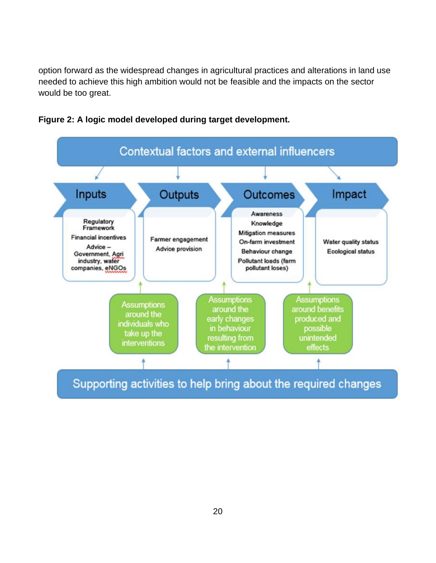option forward as the widespread changes in agricultural practices and alterations in land use needed to achieve this high ambition would not be feasible and the impacts on the sector would be too great.



**Figure 2: A logic model developed during target development.**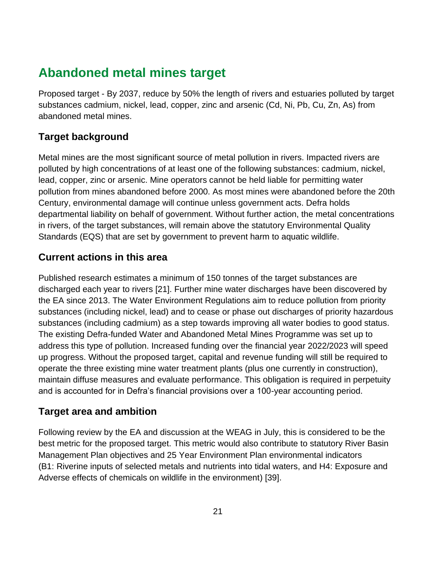# <span id="page-20-0"></span>**Abandoned metal mines target**

Proposed target - By 2037, reduce by 50% the length of rivers and estuaries polluted by target substances cadmium, nickel, lead, copper, zinc and arsenic (Cd, Ni, Pb, Cu, Zn, As) from abandoned metal mines.

# **Target background**

Metal mines are the most significant source of metal pollution in rivers. Impacted rivers are polluted by high concentrations of at least one of the following substances: cadmium, nickel, lead, copper, zinc or arsenic. Mine operators cannot be held liable for permitting water pollution from mines abandoned before 2000. As most mines were abandoned before the 20th Century, environmental damage will continue unless government acts. Defra holds departmental liability on behalf of government. Without further action, the metal concentrations in rivers, of the target substances, will remain above the statutory Environmental Quality Standards (EQS) that are set by government to prevent harm to aquatic wildlife.

# **Current actions in this area**

Published research estimates a minimum of 150 tonnes of the target substances are discharged each year to rivers [21]. Further mine water discharges have been discovered by the EA since 2013. The Water Environment Regulations aim to reduce pollution from priority substances (including nickel, lead) and to cease or phase out discharges of priority hazardous substances (including cadmium) as a step towards improving all water bodies to good status. The existing Defra-funded Water and Abandoned Metal Mines Programme was set up to address this type of pollution. Increased funding over the financial year 2022/2023 will speed up progress. Without the proposed target, capital and revenue funding will still be required to operate the three existing mine water treatment plants (plus one currently in construction), maintain diffuse measures and evaluate performance. This obligation is required in perpetuity and is accounted for in Defra's financial provisions over a 100-year accounting period.

# **Target area and ambition**

Following review by the EA and discussion at the WEAG in July, this is considered to be the best metric for the proposed target. This metric would also contribute to statutory River Basin Management Plan objectives and 25 Year Environment Plan environmental indicators (B1: Riverine inputs of selected metals and nutrients into tidal waters, and H4: Exposure and Adverse effects of chemicals on wildlife in the environment) [39].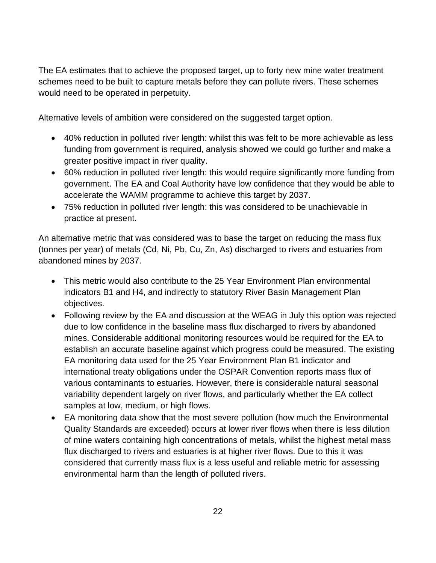The EA estimates that to achieve the proposed target, up to forty new mine water treatment schemes need to be built to capture metals before they can pollute rivers. These schemes would need to be operated in perpetuity.

Alternative levels of ambition were considered on the suggested target option.

- 40% reduction in polluted river length: whilst this was felt to be more achievable as less funding from government is required, analysis showed we could go further and make a greater positive impact in river quality.
- 60% reduction in polluted river length: this would require significantly more funding from government. The EA and Coal Authority have low confidence that they would be able to accelerate the WAMM programme to achieve this target by 2037.
- 75% reduction in polluted river length: this was considered to be unachievable in practice at present.

An alternative metric that was considered was to base the target on reducing the mass flux (tonnes per year) of metals (Cd, Ni, Pb, Cu, Zn, As) discharged to rivers and estuaries from abandoned mines by 2037.

- This metric would also contribute to the 25 Year Environment Plan environmental indicators B1 and H4, and indirectly to statutory River Basin Management Plan objectives.
- Following review by the EA and discussion at the WEAG in July this option was rejected due to low confidence in the baseline mass flux discharged to rivers by abandoned mines. Considerable additional monitoring resources would be required for the EA to establish an accurate baseline against which progress could be measured. The existing EA monitoring data used for the 25 Year Environment Plan B1 indicator and international treaty obligations under the OSPAR Convention reports mass flux of various contaminants to estuaries. However, there is considerable natural seasonal variability dependent largely on river flows, and particularly whether the EA collect samples at low, medium, or high flows.
- EA monitoring data show that the most severe pollution (how much the Environmental Quality Standards are exceeded) occurs at lower river flows when there is less dilution of mine waters containing high concentrations of metals, whilst the highest metal mass flux discharged to rivers and estuaries is at higher river flows. Due to this it was considered that currently mass flux is a less useful and reliable metric for assessing environmental harm than the length of polluted rivers.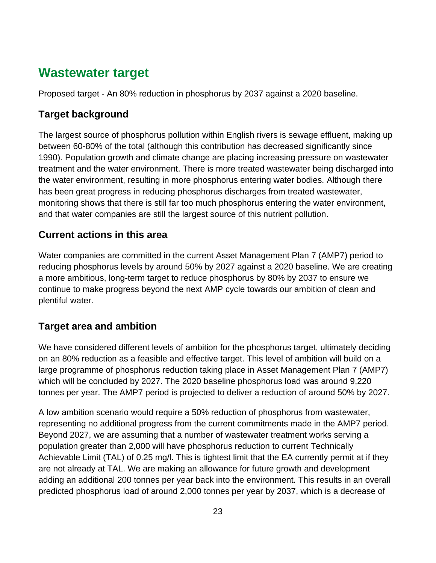# <span id="page-22-0"></span>**Wastewater target**

Proposed target - An 80% reduction in phosphorus by 2037 against a 2020 baseline.

### **Target background**

The largest source of phosphorus pollution within English rivers is sewage effluent, making up between 60-80% of the total (although this contribution has decreased significantly since 1990). Population growth and climate change are placing increasing pressure on wastewater treatment and the water environment. There is more treated wastewater being discharged into the water environment, resulting in more phosphorus entering water bodies. Although there has been great progress in reducing phosphorus discharges from treated wastewater, monitoring shows that there is still far too much phosphorus entering the water environment, and that water companies are still the largest source of this nutrient pollution.

# **Current actions in this area**

Water companies are committed in the current Asset Management Plan 7 (AMP7) period to reducing phosphorus levels by around 50% by 2027 against a 2020 baseline. We are creating a more ambitious, long-term target to reduce phosphorus by 80% by 2037 to ensure we continue to make progress beyond the next AMP cycle towards our ambition of clean and plentiful water.

### **Target area and ambition**

We have considered different levels of ambition for the phosphorus target, ultimately deciding on an 80% reduction as a feasible and effective target. This level of ambition will build on a large programme of phosphorus reduction taking place in Asset Management Plan 7 (AMP7) which will be concluded by 2027. The 2020 baseline phosphorus load was around 9,220 tonnes per year. The AMP7 period is projected to deliver a reduction of around 50% by 2027.

A low ambition scenario would require a 50% reduction of phosphorus from wastewater, representing no additional progress from the current commitments made in the AMP7 period. Beyond 2027, we are assuming that a number of wastewater treatment works serving a population greater than 2,000 will have phosphorus reduction to current Technically Achievable Limit (TAL) of 0.25 mg/l. This is tightest limit that the EA currently permit at if they are not already at TAL. We are making an allowance for future growth and development adding an additional 200 tonnes per year back into the environment. This results in an overall predicted phosphorus load of around 2,000 tonnes per year by 2037, which is a decrease of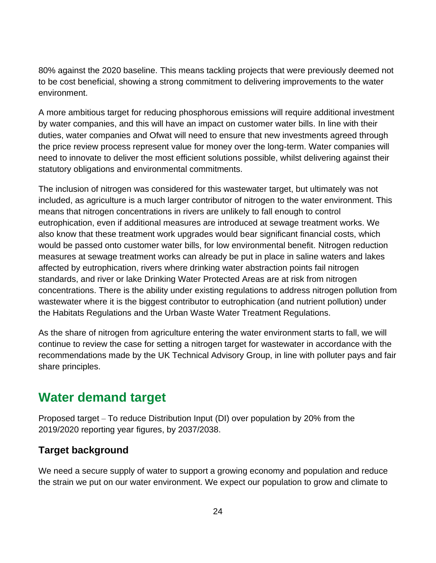80% against the 2020 baseline. This means tackling projects that were previously deemed not to be cost beneficial, showing a strong commitment to delivering improvements to the water environment.

A more ambitious target for reducing phosphorous emissions will require additional investment by water companies, and this will have an impact on customer water bills. In line with their duties, water companies and Ofwat will need to ensure that new investments agreed through the price review process represent value for money over the long-term. Water companies will need to innovate to deliver the most efficient solutions possible, whilst delivering against their statutory obligations and environmental commitments.

The inclusion of nitrogen was considered for this wastewater target, but ultimately was not included, as agriculture is a much larger contributor of nitrogen to the water environment. This means that nitrogen concentrations in rivers are unlikely to fall enough to control eutrophication, even if additional measures are introduced at sewage treatment works. We also know that these treatment work upgrades would bear significant financial costs, which would be passed onto customer water bills, for low environmental benefit. Nitrogen reduction measures at sewage treatment works can already be put in place in saline waters and lakes affected by eutrophication, rivers where drinking water abstraction points fail nitrogen standards, and river or lake Drinking Water Protected Areas are at risk from nitrogen concentrations. There is the ability under existing regulations to address nitrogen pollution from wastewater where it is the biggest contributor to eutrophication (and nutrient pollution) under the Habitats Regulations and the Urban Waste Water Treatment Regulations.

As the share of nitrogen from agriculture entering the water environment starts to fall, we will continue to review the case for setting a nitrogen target for wastewater in accordance with the recommendations made by the UK Technical Advisory Group, in line with polluter pays and fair share principles.

# <span id="page-23-0"></span>**Water demand target**

Proposed target – To reduce Distribution Input (DI) over population by 20% from the 2019/2020 reporting year figures, by 2037/2038.

### **Target background**

We need a secure supply of water to support a growing economy and population and reduce the strain we put on our water environment. We expect our population to grow and climate to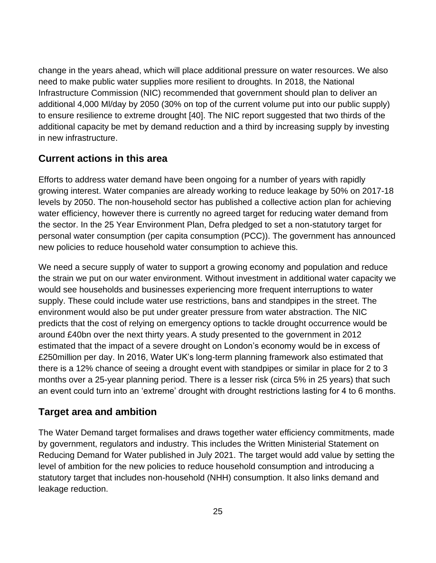change in the years ahead, which will place additional pressure on water resources. We also need to make public water supplies more resilient to droughts. In 2018, the National Infrastructure Commission (NIC) recommended that government should plan to deliver an additional 4,000 Ml/day by 2050 (30% on top of the current volume put into our public supply) to ensure resilience to extreme drought [40]. The NIC report suggested that two thirds of the additional capacity be met by demand reduction and a third by increasing supply by investing in new infrastructure.

### **Current actions in this area**

Efforts to address water demand have been ongoing for a number of years with rapidly growing interest. Water companies are already working to reduce leakage by 50% on 2017-18 levels by 2050. The non-household sector has published a collective action plan for achieving water efficiency, however there is currently no agreed target for reducing water demand from the sector. In the 25 Year Environment Plan, Defra pledged to set a non-statutory target for personal water consumption (per capita consumption (PCC)). The government has announced new policies to reduce household water consumption to achieve this.

We need a secure supply of water to support a growing economy and population and reduce the strain we put on our water environment. Without investment in additional water capacity we would see households and businesses experiencing more frequent interruptions to water supply. These could include water use restrictions, bans and standpipes in the street. The environment would also be put under greater pressure from water abstraction. The NIC predicts that the cost of relying on emergency options to tackle drought occurrence would be around £40bn over the next thirty years. A study presented to the government in 2012 estimated that the impact of a severe drought on London's economy would be in excess of £250million per day. In 2016, Water UK's long-term planning framework also estimated that there is a 12% chance of seeing a drought event with standpipes or similar in place for 2 to 3 months over a 25-year planning period. There is a lesser risk (circa 5% in 25 years) that such an event could turn into an 'extreme' drought with drought restrictions lasting for 4 to 6 months.

### **Target area and ambition**

The Water Demand target formalises and draws together water efficiency commitments, made by government, regulators and industry. This includes the Written Ministerial Statement on Reducing Demand for Water published in July 2021. The target would add value by setting the level of ambition for the new policies to reduce household consumption and introducing a statutory target that includes non-household (NHH) consumption. It also links demand and leakage reduction.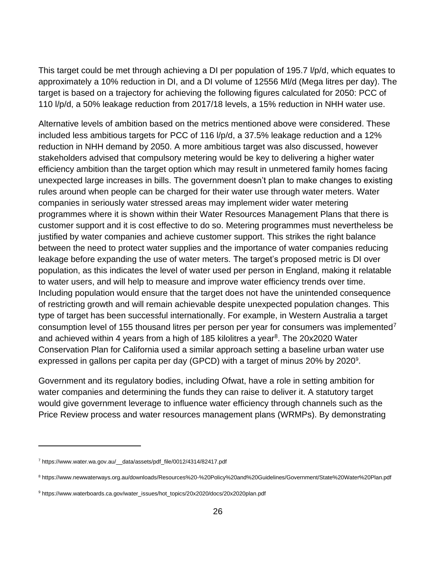This target could be met through achieving a DI per population of 195.7 l/p/d, which equates to approximately a 10% reduction in DI, and a DI volume of 12556 Ml/d (Mega litres per day). The target is based on a trajectory for achieving the following figures calculated for 2050: PCC of 110 l/p/d, a 50% leakage reduction from 2017/18 levels, a 15% reduction in NHH water use.

Alternative levels of ambition based on the metrics mentioned above were considered. These included less ambitious targets for PCC of 116 l/p/d, a 37.5% leakage reduction and a 12% reduction in NHH demand by 2050. A more ambitious target was also discussed, however stakeholders advised that compulsory metering would be key to delivering a higher water efficiency ambition than the target option which may result in unmetered family homes facing unexpected large increases in bills. The government doesn't plan to make changes to existing rules around when people can be charged for their water use through water meters. Water companies in seriously water stressed areas may implement wider water metering programmes where it is shown within their Water Resources Management Plans that there is customer support and it is cost effective to do so. Metering programmes must nevertheless be justified by water companies and achieve customer support. This strikes the right balance between the need to protect water supplies and the importance of water companies reducing leakage before expanding the use of water meters. The target's proposed metric is DI over population, as this indicates the level of water used per person in England, making it relatable to water users, and will help to measure and improve water efficiency trends over time. Including population would ensure that the target does not have the unintended consequence of restricting growth and will remain achievable despite unexpected population changes. This type of target has been successful internationally. For example, in Western Australia a target consumption level of 155 thousand litres per person per year for consumers was implemented<sup>7</sup> and achieved within 4 years from a high of 185 kilolitres a year<sup>8</sup>. The 20x2020 Water Conservation Plan for California used a similar approach setting a baseline urban water use expressed in gallons per capita per day (GPCD) with a target of minus 20% by 2020<sup>9</sup>.

Government and its regulatory bodies, including Ofwat, have a role in setting ambition for water companies and determining the funds they can raise to deliver it. A statutory target would give government leverage to influence water efficiency through channels such as the Price Review process and water resources management plans (WRMPs). By demonstrating

<sup>7</sup> [https://www.water.wa.gov.au/\\_\\_data/assets/pdf\\_file/0012/4314/82417.pdf](https://www.water.wa.gov.au/__data/assets/pdf_file/0012/4314/82417.pdf)

<sup>8</sup> https://www.newwaterways.org.au/downloads/Resources%20-%20Policy%20and%20Guidelines/Government/State%20Water%20Plan.pdf

<sup>9</sup> https://www.waterboards.ca.gov/water\_issues/hot\_topics/20x2020/docs/20x2020plan.pdf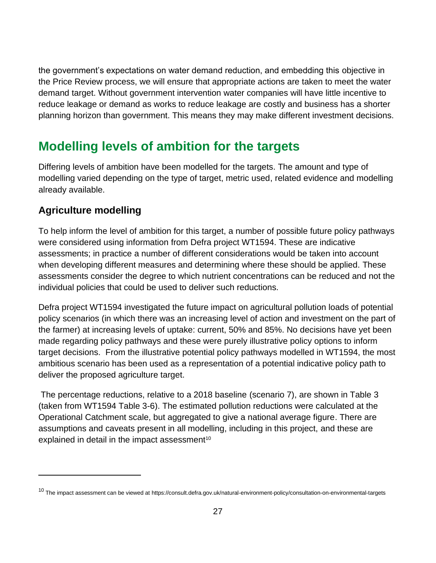the government's expectations on water demand reduction, and embedding this objective in the Price Review process, we will ensure that appropriate actions are taken to meet the water demand target. Without government intervention water companies will have little incentive to reduce leakage or demand as works to reduce leakage are costly and business has a shorter planning horizon than government. This means they may make different investment decisions.

# <span id="page-26-0"></span>**Modelling levels of ambition for the targets**

Differing levels of ambition have been modelled for the targets. The amount and type of modelling varied depending on the type of target, metric used, related evidence and modelling already available.

# **Agriculture modelling**

To help inform the level of ambition for this target, a number of possible future policy pathways were considered using information from Defra project WT1594. These are indicative assessments; in practice a number of different considerations would be taken into account when developing different measures and determining where these should be applied. These assessments consider the degree to which nutrient concentrations can be reduced and not the individual policies that could be used to deliver such reductions.

Defra project WT1594 investigated the future impact on agricultural pollution loads of potential policy scenarios (in which there was an increasing level of action and investment on the part of the farmer) at increasing levels of uptake: current, 50% and 85%. No decisions have yet been made regarding policy pathways and these were purely illustrative policy options to inform target decisions. From the illustrative potential policy pathways modelled in WT1594, the most ambitious scenario has been used as a representation of a potential indicative policy path to deliver the proposed agriculture target.

The percentage reductions, relative to a 2018 baseline (scenario 7), are shown in Table 3 (taken from WT1594 Table 3-6). The estimated pollution reductions were calculated at the Operational Catchment scale, but aggregated to give a national average figure. There are assumptions and caveats present in all modelling, including in this project, and these are explained in detail in the impact assessment<sup>10</sup>

<sup>10</sup> The impact assessment can be viewed at https://consult.defra.gov.uk/natural-environment-policy/consultation-on-environmental-targets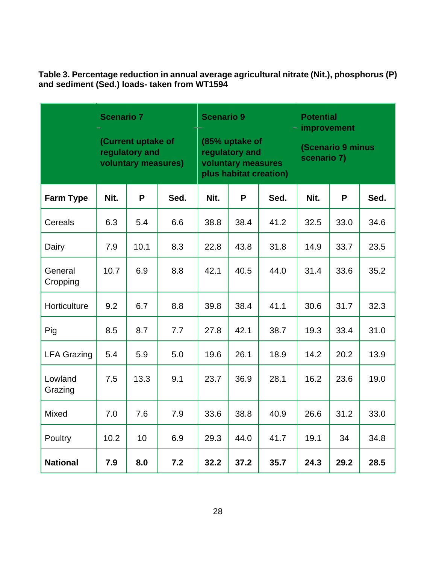**Table 3. Percentage reduction in annual average agricultural nitrate (Nit.), phosphorus (P) and sediment (Sed.) loads- taken from WT1594**

|                     | <b>Scenario 7</b> | (Current uptake of<br>regulatory and<br>voluntary measures) |      |      |      | <b>Scenario 9</b><br>(85% uptake of<br>regulatory and<br>voluntary measures<br>plus habitat creation) |      | <b>Potential</b><br>improvement<br><b>(Scenario 9 minus</b><br>scenario 7) |      |
|---------------------|-------------------|-------------------------------------------------------------|------|------|------|-------------------------------------------------------------------------------------------------------|------|----------------------------------------------------------------------------|------|
| <b>Farm Type</b>    | Nit.              | P                                                           | Sed. | Nit. | P    | Sed.                                                                                                  | Nit. | P                                                                          | Sed. |
| Cereals             | 6.3               | 5.4                                                         | 6.6  | 38.8 | 38.4 | 41.2                                                                                                  | 32.5 | 33.0                                                                       | 34.6 |
| Dairy               | 7.9               | 10.1                                                        | 8.3  | 22.8 | 43.8 | 31.8                                                                                                  | 14.9 | 33.7                                                                       | 23.5 |
| General<br>Cropping | 10.7              | 6.9                                                         | 8.8  | 42.1 | 40.5 | 44.0                                                                                                  | 31.4 | 33.6                                                                       | 35.2 |
| Horticulture        | 9.2               | 6.7                                                         | 8.8  | 39.8 | 38.4 | 41.1                                                                                                  | 30.6 | 31.7                                                                       | 32.3 |
| Pig                 | 8.5               | 8.7                                                         | 7.7  | 27.8 | 42.1 | 38.7                                                                                                  | 19.3 | 33.4                                                                       | 31.0 |
| <b>LFA Grazing</b>  | 5.4               | 5.9                                                         | 5.0  | 19.6 | 26.1 | 18.9                                                                                                  | 14.2 | 20.2                                                                       | 13.9 |
| Lowland<br>Grazing  | 7.5               | 13.3                                                        | 9.1  | 23.7 | 36.9 | 28.1                                                                                                  | 16.2 | 23.6                                                                       | 19.0 |
| Mixed               | 7.0               | 7.6                                                         | 7.9  | 33.6 | 38.8 | 40.9                                                                                                  | 26.6 | 31.2                                                                       | 33.0 |
| Poultry             | 10.2              | 10                                                          | 6.9  | 29.3 | 44.0 | 41.7                                                                                                  | 19.1 | 34                                                                         | 34.8 |
| <b>National</b>     | 7.9               | 8.0                                                         | 7.2  | 32.2 | 37.2 | 35.7                                                                                                  | 24.3 | 29.2                                                                       | 28.5 |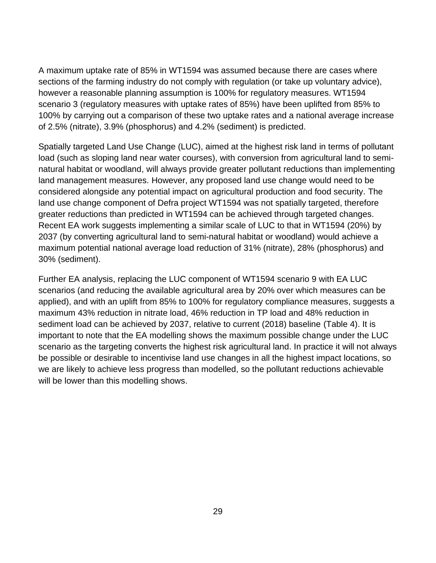A maximum uptake rate of 85% in WT1594 was assumed because there are cases where sections of the farming industry do not comply with regulation (or take up voluntary advice), however a reasonable planning assumption is 100% for regulatory measures. WT1594 scenario 3 (regulatory measures with uptake rates of 85%) have been uplifted from 85% to 100% by carrying out a comparison of these two uptake rates and a national average increase of 2.5% (nitrate), 3.9% (phosphorus) and 4.2% (sediment) is predicted.

Spatially targeted Land Use Change (LUC), aimed at the highest risk land in terms of pollutant load (such as sloping land near water courses), with conversion from agricultural land to seminatural habitat or woodland, will always provide greater pollutant reductions than implementing land management measures. However, any proposed land use change would need to be considered alongside any potential impact on agricultural production and food security. The land use change component of Defra project WT1594 was not spatially targeted, therefore greater reductions than predicted in WT1594 can be achieved through targeted changes. Recent EA work suggests implementing a similar scale of LUC to that in WT1594 (20%) by 2037 (by converting agricultural land to semi-natural habitat or woodland) would achieve a maximum potential national average load reduction of 31% (nitrate), 28% (phosphorus) and 30% (sediment).

Further EA analysis, replacing the LUC component of WT1594 scenario 9 with EA LUC scenarios (and reducing the available agricultural area by 20% over which measures can be applied), and with an uplift from 85% to 100% for regulatory compliance measures, suggests a maximum 43% reduction in nitrate load, 46% reduction in TP load and 48% reduction in sediment load can be achieved by 2037, relative to current (2018) baseline (Table 4). It is important to note that the EA modelling shows the maximum possible change under the LUC scenario as the targeting converts the highest risk agricultural land. In practice it will not always be possible or desirable to incentivise land use changes in all the highest impact locations, so we are likely to achieve less progress than modelled, so the pollutant reductions achievable will be lower than this modelling shows.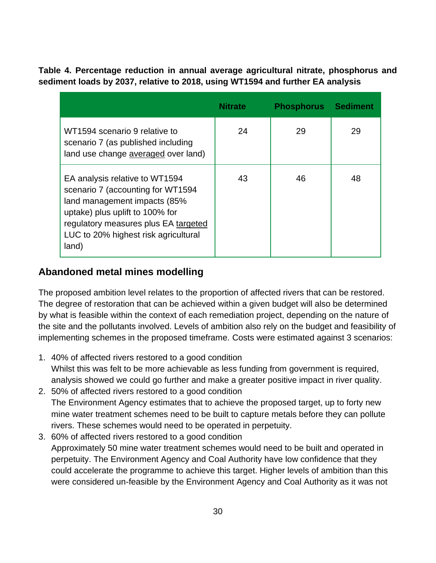**Table 4. Percentage reduction in annual average agricultural nitrate, phosphorus and sediment loads by 2037, relative to 2018, using WT1594 and further EA analysis**

|                                                                                                                                                                                                                                 | Nitrate | <b>Phosphorus</b> | <b>Sediment</b> |
|---------------------------------------------------------------------------------------------------------------------------------------------------------------------------------------------------------------------------------|---------|-------------------|-----------------|
| WT1594 scenario 9 relative to<br>scenario 7 (as published including<br>land use change averaged over land)                                                                                                                      | 24      | 29                | 29              |
| EA analysis relative to WT1594<br>scenario 7 (accounting for WT1594<br>land management impacts (85%<br>uptake) plus uplift to 100% for<br>regulatory measures plus EA targeted<br>LUC to 20% highest risk agricultural<br>land) | 43      | 46                | 48              |

# **Abandoned metal mines modelling**

The proposed ambition level relates to the proportion of affected rivers that can be restored. The degree of restoration that can be achieved within a given budget will also be determined by what is feasible within the context of each remediation project, depending on the nature of the site and the pollutants involved. Levels of ambition also rely on the budget and feasibility of implementing schemes in the proposed timeframe. Costs were estimated against 3 scenarios:

- 1. 40% of affected rivers restored to a good condition Whilst this was felt to be more achievable as less funding from government is required, analysis showed we could go further and make a greater positive impact in river quality.
- 2. 50% of affected rivers restored to a good condition The Environment Agency estimates that to achieve the proposed target, up to forty new mine water treatment schemes need to be built to capture metals before they can pollute rivers. These schemes would need to be operated in perpetuity.
- 3. 60% of affected rivers restored to a good condition Approximately 50 mine water treatment schemes would need to be built and operated in perpetuity. The Environment Agency and Coal Authority have low confidence that they could accelerate the programme to achieve this target. Higher levels of ambition than this were considered un-feasible by the Environment Agency and Coal Authority as it was not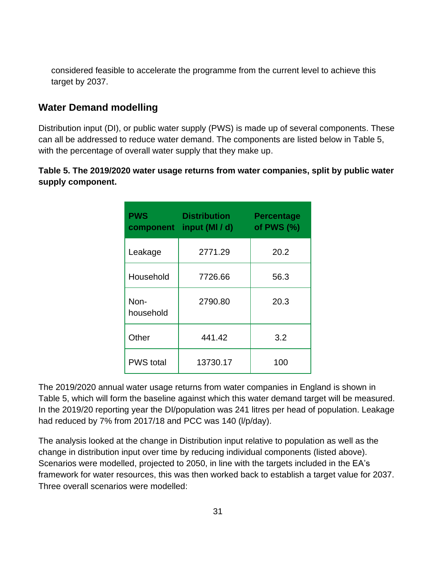considered feasible to accelerate the programme from the current level to achieve this target by 2037.

#### **Water Demand modelling**

Distribution input (DI), or public water supply (PWS) is made up of several components. These can all be addressed to reduce water demand. The components are listed below in Table 5, with the percentage of overall water supply that they make up.

**Table 5. The 2019/2020 water usage returns from water companies, split by public water supply component.**

| <b>PWS</b><br>component | <b>Distribution</b><br>input (MI / d) | <b>Percentage</b><br>of PWS $(%)$ |
|-------------------------|---------------------------------------|-----------------------------------|
| Leakage                 | 2771.29                               | 20.2                              |
| Household               | 7726.66                               | 56.3                              |
| Non-<br>household       | 2790.80                               | 20.3                              |
| Other                   | 441.42                                | 3.2                               |
| <b>PWS</b> total        | 13730.17                              | 100                               |

The 2019/2020 annual water usage returns from water companies in England is shown in Table 5, which will form the baseline against which this water demand target will be measured. In the 2019/20 reporting year the DI/population was 241 litres per head of population. Leakage had reduced by 7% from 2017/18 and PCC was 140 (l/p/day).

The analysis looked at the change in Distribution input relative to population as well as the change in distribution input over time by reducing individual components (listed above). Scenarios were modelled, projected to 2050, in line with the targets included in the EA's framework for water resources, this was then worked back to establish a target value for 2037. Three overall scenarios were modelled: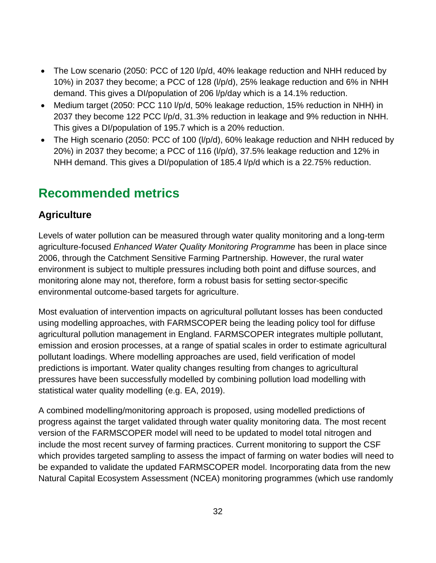- The Low scenario (2050: PCC of 120 I/p/d, 40% leakage reduction and NHH reduced by 10%) in 2037 they become; a PCC of 128 (l/p/d), 25% leakage reduction and 6% in NHH demand. This gives a DI/population of 206 l/p/day which is a 14.1% reduction.
- Medium target (2050: PCC 110 l/p/d, 50% leakage reduction, 15% reduction in NHH) in 2037 they become 122 PCC l/p/d, 31.3% reduction in leakage and 9% reduction in NHH. This gives a DI/population of 195.7 which is a 20% reduction.
- The High scenario (2050: PCC of 100 (I/p/d), 60% leakage reduction and NHH reduced by 20%) in 2037 they become; a PCC of 116 (l/p/d), 37.5% leakage reduction and 12% in NHH demand. This gives a DI/population of 185.4 l/p/d which is a 22.75% reduction.

# <span id="page-31-0"></span>**Recommended metrics**

# **Agriculture**

Levels of water pollution can be measured through water quality monitoring and a long-term agriculture-focused *Enhanced Water Quality Monitoring Programme* has been in place since 2006, through the Catchment Sensitive Farming Partnership. However, the rural water environment is subject to multiple pressures including both point and diffuse sources, and monitoring alone may not, therefore, form a robust basis for setting sector-specific environmental outcome-based targets for agriculture.

Most evaluation of intervention impacts on agricultural pollutant losses has been conducted using modelling approaches, with FARMSCOPER being the leading policy tool for diffuse agricultural pollution management in England. FARMSCOPER integrates multiple pollutant, emission and erosion processes, at a range of spatial scales in order to estimate agricultural pollutant loadings. Where modelling approaches are used, field verification of model predictions is important. Water quality changes resulting from changes to agricultural pressures have been successfully modelled by combining pollution load modelling with statistical water quality modelling (e.g. EA, 2019).

A combined modelling/monitoring approach is proposed, using modelled predictions of progress against the target validated through water quality monitoring data. The most recent version of the FARMSCOPER model will need to be updated to model total nitrogen and include the most recent survey of farming practices. Current monitoring to support the CSF which provides targeted sampling to assess the impact of farming on water bodies will need to be expanded to validate the updated FARMSCOPER model. Incorporating data from the new Natural Capital Ecosystem Assessment (NCEA) monitoring programmes (which use randomly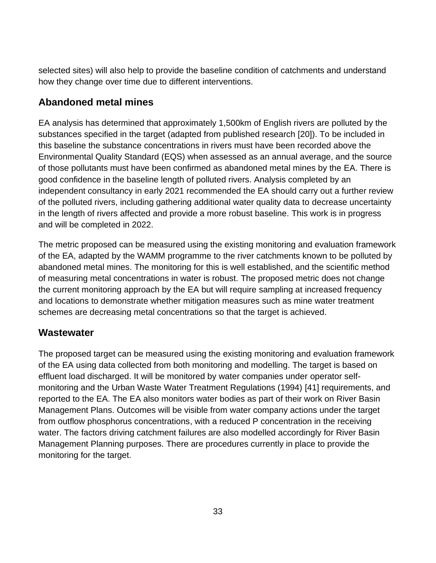selected sites) will also help to provide the baseline condition of catchments and understand how they change over time due to different interventions.

# **Abandoned metal mines**

EA analysis has determined that approximately 1,500km of English rivers are polluted by the substances specified in the target (adapted from published research [20]). To be included in this baseline the substance concentrations in rivers must have been recorded above the Environmental Quality Standard (EQS) when assessed as an annual average, and the source of those pollutants must have been confirmed as abandoned metal mines by the EA. There is good confidence in the baseline length of polluted rivers. Analysis completed by an independent consultancy in early 2021 recommended the EA should carry out a further review of the polluted rivers, including gathering additional water quality data to decrease uncertainty in the length of rivers affected and provide a more robust baseline. This work is in progress and will be completed in 2022.

The metric proposed can be measured using the existing monitoring and evaluation framework of the EA, adapted by the WAMM programme to the river catchments known to be polluted by abandoned metal mines. The monitoring for this is well established, and the scientific method of measuring metal concentrations in water is robust. The proposed metric does not change the current monitoring approach by the EA but will require sampling at increased frequency and locations to demonstrate whether mitigation measures such as mine water treatment schemes are decreasing metal concentrations so that the target is achieved.

### **Wastewater**

The proposed target can be measured using the existing monitoring and evaluation framework of the EA using data collected from both monitoring and modelling. The target is based on effluent load discharged. It will be monitored by water companies under operator selfmonitoring and the Urban Waste Water Treatment Regulations (1994) [41] requirements, and reported to the EA. The EA also monitors water bodies as part of their work on River Basin Management Plans. Outcomes will be visible from water company actions under the target from outflow phosphorus concentrations, with a reduced P concentration in the receiving water. The factors driving catchment failures are also modelled accordingly for River Basin Management Planning purposes. There are procedures currently in place to provide the monitoring for the target.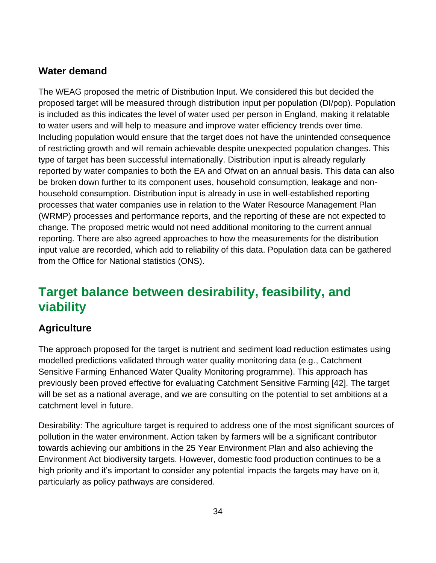### **Water demand**

The WEAG proposed the metric of Distribution Input. We considered this but decided the proposed target will be measured through distribution input per population (DI/pop). Population is included as this indicates the level of water used per person in England, making it relatable to water users and will help to measure and improve water efficiency trends over time. Including population would ensure that the target does not have the unintended consequence of restricting growth and will remain achievable despite unexpected population changes. This type of target has been successful internationally. Distribution input is already regularly reported by water companies to both the EA and Ofwat on an annual basis. This data can also be broken down further to its component uses, household consumption, leakage and nonhousehold consumption. Distribution input is already in use in well-established reporting processes that water companies use in relation to the Water Resource Management Plan (WRMP) processes and performance reports, and the reporting of these are not expected to change. The proposed metric would not need additional monitoring to the current annual reporting. There are also agreed approaches to how the measurements for the distribution input value are recorded, which add to reliability of this data. Population data can be gathered from the Office for National statistics (ONS).

# <span id="page-33-0"></span>**Target balance between desirability, feasibility, and viability**

# **Agriculture**

The approach proposed for the target is nutrient and sediment load reduction estimates using modelled predictions validated through water quality monitoring data (e.g., Catchment Sensitive Farming Enhanced Water Quality Monitoring programme). This approach has previously been proved effective for evaluating Catchment Sensitive Farming [42]. The target will be set as a national average, and we are consulting on the potential to set ambitions at a catchment level in future.

Desirability: The agriculture target is required to address one of the most significant sources of pollution in the water environment. Action taken by farmers will be a significant contributor towards achieving our ambitions in the 25 Year Environment Plan and also achieving the Environment Act biodiversity targets. However, domestic food production continues to be a high priority and it's important to consider any potential impacts the targets may have on it, particularly as policy pathways are considered.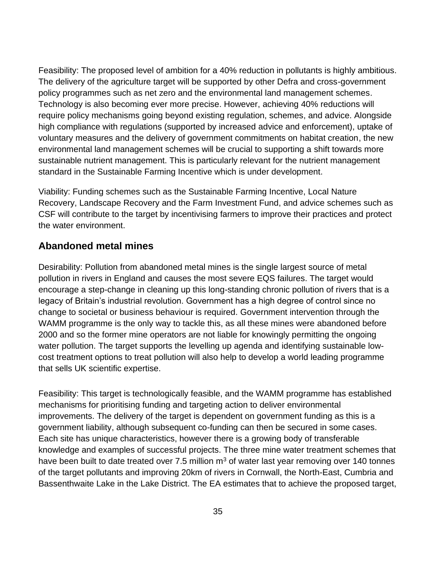Feasibility: The proposed level of ambition for a 40% reduction in pollutants is highly ambitious. The delivery of the agriculture target will be supported by other Defra and cross-government policy programmes such as net zero and the environmental land management schemes. Technology is also becoming ever more precise. However, achieving 40% reductions will require policy mechanisms going beyond existing regulation, schemes, and advice. Alongside high compliance with regulations (supported by increased advice and enforcement), uptake of voluntary measures and the delivery of government commitments on habitat creation, the new environmental land management schemes will be crucial to supporting a shift towards more sustainable nutrient management. This is particularly relevant for the nutrient management standard in the Sustainable Farming Incentive which is under development.

Viability: Funding schemes such as the Sustainable Farming Incentive, Local Nature Recovery, Landscape Recovery and the Farm Investment Fund, and advice schemes such as CSF will contribute to the target by incentivising farmers to improve their practices and protect the water environment.

#### **Abandoned metal mines**

Desirability: Pollution from abandoned metal mines is the single largest source of metal pollution in rivers in England and causes the most severe EQS failures. The target would encourage a step-change in cleaning up this long-standing chronic pollution of rivers that is a legacy of Britain's industrial revolution. Government has a high degree of control since no change to societal or business behaviour is required. Government intervention through the WAMM programme is the only way to tackle this, as all these mines were abandoned before 2000 and so the former mine operators are not liable for knowingly permitting the ongoing water pollution. The target supports the levelling up agenda and identifying sustainable lowcost treatment options to treat pollution will also help to develop a world leading programme that sells UK scientific expertise.

Feasibility: This target is technologically feasible, and the WAMM programme has established mechanisms for prioritising funding and targeting action to deliver environmental improvements. The delivery of the target is dependent on government funding as this is a government liability, although subsequent co-funding can then be secured in some cases. Each site has unique characteristics, however there is a growing body of transferable knowledge and examples of successful projects. The three mine water treatment schemes that have been built to date treated over 7.5 million  $m<sup>3</sup>$  of water last year removing over 140 tonnes of the target pollutants and improving 20km of rivers in Cornwall, the North-East, Cumbria and Bassenthwaite Lake in the Lake District. The EA estimates that to achieve the proposed target,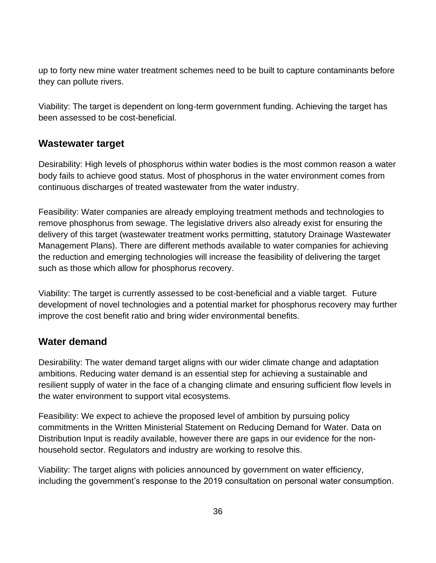up to forty new mine water treatment schemes need to be built to capture contaminants before they can pollute rivers.

Viability: The target is dependent on long-term government funding. Achieving the target has been assessed to be cost-beneficial.

### **Wastewater target**

Desirability: High levels of phosphorus within water bodies is the most common reason a water body fails to achieve good status. Most of phosphorus in the water environment comes from continuous discharges of treated wastewater from the water industry.

Feasibility: Water companies are already employing treatment methods and technologies to remove phosphorus from sewage. The legislative drivers also already exist for ensuring the delivery of this target (wastewater treatment works permitting, statutory Drainage Wastewater Management Plans). There are different methods available to water companies for achieving the reduction and emerging technologies will increase the feasibility of delivering the target such as those which allow for phosphorus recovery.

Viability: The target is currently assessed to be cost-beneficial and a viable target. Future development of novel technologies and a potential market for phosphorus recovery may further improve the cost benefit ratio and bring wider environmental benefits.

#### **Water demand**

Desirability: The water demand target aligns with our wider climate change and adaptation ambitions. Reducing water demand is an essential step for achieving a sustainable and resilient supply of water in the face of a changing climate and ensuring sufficient flow levels in the water environment to support vital ecosystems.

Feasibility: We expect to achieve the proposed level of ambition by pursuing policy commitments in the Written Ministerial Statement on Reducing Demand for Water. Data on Distribution Input is readily available, however there are gaps in our evidence for the nonhousehold sector. Regulators and industry are working to resolve this.

Viability: The target aligns with policies announced by government on water efficiency, including the government's response to the 2019 consultation on personal water consumption.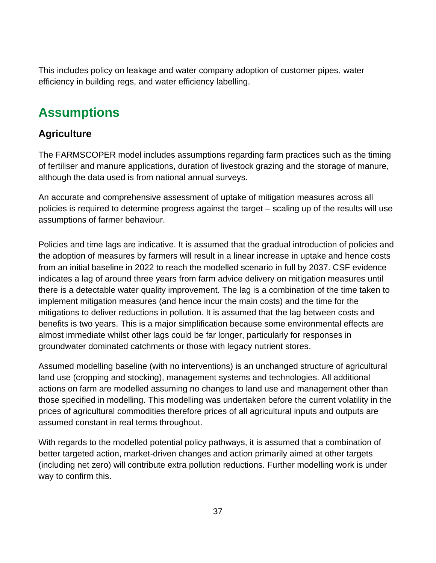This includes policy on leakage and water company adoption of customer pipes, water efficiency in building regs, and water efficiency labelling.

### **Assumptions**

#### **Agriculture**

The FARMSCOPER model includes assumptions regarding farm practices such as the timing of fertiliser and manure applications, duration of livestock grazing and the storage of manure, although the data used is from national annual surveys.

An accurate and comprehensive assessment of uptake of mitigation measures across all policies is required to determine progress against the target – scaling up of the results will use assumptions of farmer behaviour.

Policies and time lags are indicative. It is assumed that the gradual introduction of policies and the adoption of measures by farmers will result in a linear increase in uptake and hence costs from an initial baseline in 2022 to reach the modelled scenario in full by 2037. CSF evidence indicates a lag of around three years from farm advice delivery on mitigation measures until there is a detectable water quality improvement. The lag is a combination of the time taken to implement mitigation measures (and hence incur the main costs) and the time for the mitigations to deliver reductions in pollution. It is assumed that the lag between costs and benefits is two years. This is a major simplification because some environmental effects are almost immediate whilst other lags could be far longer, particularly for responses in groundwater dominated catchments or those with legacy nutrient stores.

Assumed modelling baseline (with no interventions) is an unchanged structure of agricultural land use (cropping and stocking), management systems and technologies. All additional actions on farm are modelled assuming no changes to land use and management other than those specified in modelling. This modelling was undertaken before the current volatility in the prices of agricultural commodities therefore prices of all agricultural inputs and outputs are assumed constant in real terms throughout.

With regards to the modelled potential policy pathways, it is assumed that a combination of better targeted action, market-driven changes and action primarily aimed at other targets (including net zero) will contribute extra pollution reductions. Further modelling work is under way to confirm this.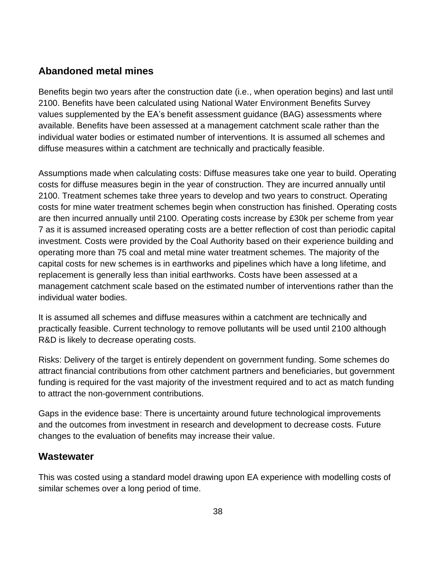#### **Abandoned metal mines**

Benefits begin two years after the construction date (i.e., when operation begins) and last until 2100. Benefits have been calculated using National Water Environment Benefits Survey values supplemented by the EA's benefit assessment guidance (BAG) assessments where available. Benefits have been assessed at a management catchment scale rather than the individual water bodies or estimated number of interventions. It is assumed all schemes and diffuse measures within a catchment are technically and practically feasible.

Assumptions made when calculating costs: Diffuse measures take one year to build. Operating costs for diffuse measures begin in the year of construction. They are incurred annually until 2100. Treatment schemes take three years to develop and two years to construct. Operating costs for mine water treatment schemes begin when construction has finished. Operating costs are then incurred annually until 2100. Operating costs increase by £30k per scheme from year 7 as it is assumed increased operating costs are a better reflection of cost than periodic capital investment. Costs were provided by the Coal Authority based on their experience building and operating more than 75 coal and metal mine water treatment schemes. The majority of the capital costs for new schemes is in earthworks and pipelines which have a long lifetime, and replacement is generally less than initial earthworks. Costs have been assessed at a management catchment scale based on the estimated number of interventions rather than the individual water bodies.

It is assumed all schemes and diffuse measures within a catchment are technically and practically feasible. Current technology to remove pollutants will be used until 2100 although R&D is likely to decrease operating costs.

Risks: Delivery of the target is entirely dependent on government funding. Some schemes do attract financial contributions from other catchment partners and beneficiaries, but government funding is required for the vast majority of the investment required and to act as match funding to attract the non-government contributions.

Gaps in the evidence base: There is uncertainty around future technological improvements and the outcomes from investment in research and development to decrease costs. Future changes to the evaluation of benefits may increase their value.

#### **Wastewater**

This was costed using a standard model drawing upon EA experience with modelling costs of similar schemes over a long period of time.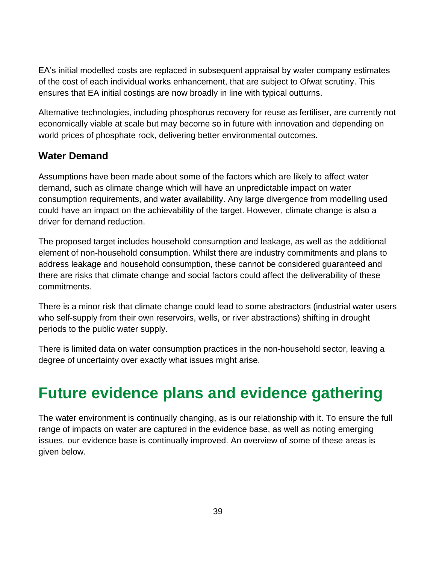EA's initial modelled costs are replaced in subsequent appraisal by water company estimates of the cost of each individual works enhancement, that are subject to Ofwat scrutiny. This ensures that EA initial costings are now broadly in line with typical outturns.

Alternative technologies, including phosphorus recovery for reuse as fertiliser, are currently not economically viable at scale but may become so in future with innovation and depending on world prices of phosphate rock, delivering better environmental outcomes.

#### **Water Demand**

Assumptions have been made about some of the factors which are likely to affect water demand, such as climate change which will have an unpredictable impact on water consumption requirements, and water availability. Any large divergence from modelling used could have an impact on the achievability of the target. However, climate change is also a driver for demand reduction.

The proposed target includes household consumption and leakage, as well as the additional element of non-household consumption. Whilst there are industry commitments and plans to address leakage and household consumption, these cannot be considered guaranteed and there are risks that climate change and social factors could affect the deliverability of these commitments.

There is a minor risk that climate change could lead to some abstractors (industrial water users who self-supply from their own reservoirs, wells, or river abstractions) shifting in drought periods to the public water supply.

There is limited data on water consumption practices in the non-household sector, leaving a degree of uncertainty over exactly what issues might arise.

# **Future evidence plans and evidence gathering**

The water environment is continually changing, as is our relationship with it. To ensure the full range of impacts on water are captured in the evidence base, as well as noting emerging issues, our evidence base is continually improved. An overview of some of these areas is given below.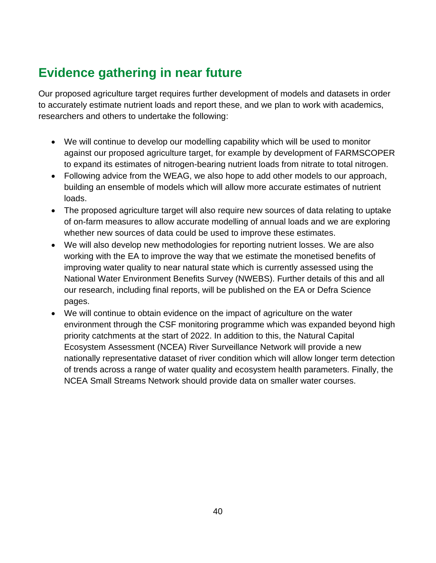# **Evidence gathering in near future**

Our proposed agriculture target requires further development of models and datasets in order to accurately estimate nutrient loads and report these, and we plan to work with academics, researchers and others to undertake the following:

- We will continue to develop our modelling capability which will be used to monitor against our proposed agriculture target, for example by development of FARMSCOPER to expand its estimates of nitrogen-bearing nutrient loads from nitrate to total nitrogen.
- Following advice from the WEAG, we also hope to add other models to our approach, building an ensemble of models which will allow more accurate estimates of nutrient loads.
- The proposed agriculture target will also require new sources of data relating to uptake of on-farm measures to allow accurate modelling of annual loads and we are exploring whether new sources of data could be used to improve these estimates.
- We will also develop new methodologies for reporting nutrient losses. We are also working with the EA to improve the way that we estimate the monetised benefits of improving water quality to near natural state which is currently assessed using the National Water Environment Benefits Survey (NWEBS). Further details of this and all our research, including final reports, will be published on the EA or Defra Science pages.
- We will continue to obtain evidence on the impact of agriculture on the water environment through the CSF monitoring programme which was expanded beyond high priority catchments at the start of 2022. In addition to this, the Natural Capital Ecosystem Assessment (NCEA) River Surveillance Network will provide a new nationally representative dataset of river condition which will allow longer term detection of trends across a range of water quality and ecosystem health parameters. Finally, the NCEA Small Streams Network should provide data on smaller water courses.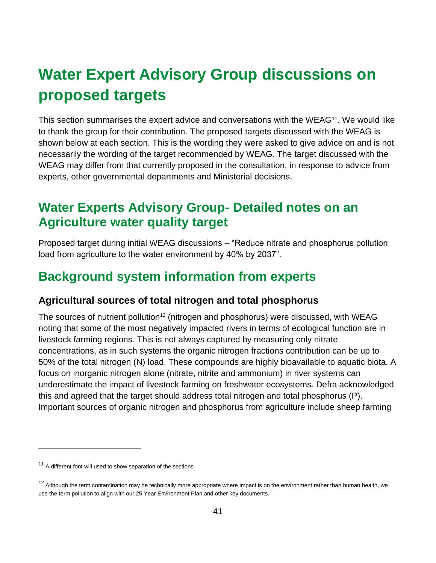# **Water Expert Advisory Group discussions on proposed targets**

This section summarises the expert advice and conversations with the WEAG<sup>11</sup>. We would like to thank the group for their contribution. The proposed targets discussed with the WEAG is shown below at each section. This is the wording they were asked to give advice on and is not necessarily the wording of the target recommended by WEAG. The target discussed with the WEAG may differ from that currently proposed in the consultation, in response to advice from experts, other governmental departments and Ministerial decisions.

### **Water Experts Advisory Group- Detailed notes on an Agriculture water quality target**

Proposed target during initial WEAG discussions – "Reduce nitrate and phosphorus pollution load from agriculture to the water environment by 40% by 2037".

# **Background system information from experts**

#### **Agricultural sources of total nitrogen and total phosphorus**

The sources of nutrient pollution<sup>12</sup> (nitrogen and phosphorus) were discussed, with WEAG noting that some of the most negatively impacted rivers in terms of ecological function are in livestock farming regions. This is not always captured by measuring only nitrate concentrations, as in such systems the organic nitrogen fractions contribution can be up to 50% of the total nitrogen (N) load. These compounds are highly bioavailable to aquatic biota. A focus on inorganic nitrogen alone (nitrate, nitrite and ammonium) in river systems can underestimate the impact of livestock farming on freshwater ecosystems. Defra acknowledged this and agreed that the target should address total nitrogen and total phosphorus (P). Important sources of organic nitrogen and phosphorus from agriculture include sheep farming

<sup>&</sup>lt;sup>11</sup> A different font will used to show separation of the sections

<sup>&</sup>lt;sup>12</sup> Although the term contamination may be technically more appropriate where impact is on the environment rather than human health, we use the term pollution to align with our 25 Year Environment Plan and other key documents.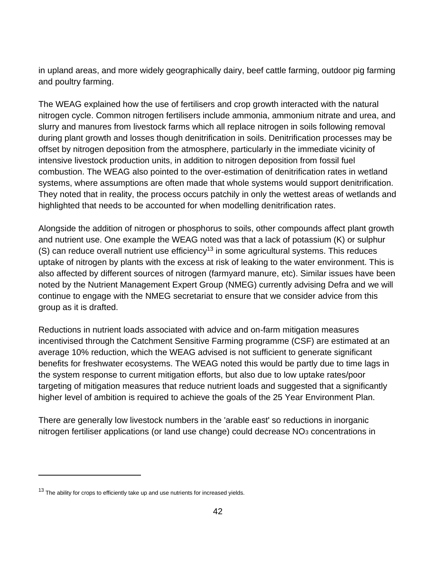in upland areas, and more widely geographically dairy, beef cattle farming, outdoor pig farming and poultry farming.

The WEAG explained how the use of fertilisers and crop growth interacted with the natural nitrogen cycle. Common nitrogen fertilisers include ammonia, ammonium nitrate and urea, and slurry and manures from livestock farms which all replace nitrogen in soils following removal during plant growth and losses though denitrification in soils. Denitrification processes may be offset by nitrogen deposition from the atmosphere, particularly in the immediate vicinity of intensive livestock production units, in addition to nitrogen deposition from fossil fuel combustion. The WEAG also pointed to the over-estimation of denitrification rates in wetland systems, where assumptions are often made that whole systems would support denitrification. They noted that in reality, the process occurs patchily in only the wettest areas of wetlands and highlighted that needs to be accounted for when modelling denitrification rates.

Alongside the addition of nitrogen or phosphorus to soils, other compounds affect plant growth and nutrient use. One example the WEAG noted was that a lack of potassium (K) or sulphur (S) can reduce overall nutrient use efficiency<sup>13</sup> in some agricultural systems. This reduces uptake of nitrogen by plants with the excess at risk of leaking to the water environment. This is also affected by different sources of nitrogen (farmyard manure, etc). Similar issues have been noted by the Nutrient Management Expert Group (NMEG) currently advising Defra and we will continue to engage with the NMEG secretariat to ensure that we consider advice from this group as it is drafted.

Reductions in nutrient loads associated with advice and on-farm mitigation measures incentivised through the Catchment Sensitive Farming programme (CSF) are estimated at an average 10% reduction, which the WEAG advised is not sufficient to generate significant benefits for freshwater ecosystems. The WEAG noted this would be partly due to time lags in the system response to current mitigation efforts, but also due to low uptake rates/poor targeting of mitigation measures that reduce nutrient loads and suggested that a significantly higher level of ambition is required to achieve the goals of the 25 Year Environment Plan.

There are generally low livestock numbers in the 'arable east' so reductions in inorganic nitrogen fertiliser applications (or land use change) could decrease  $NO<sub>3</sub>$  concentrations in

 $13$  The ability for crops to efficiently take up and use nutrients for increased yields.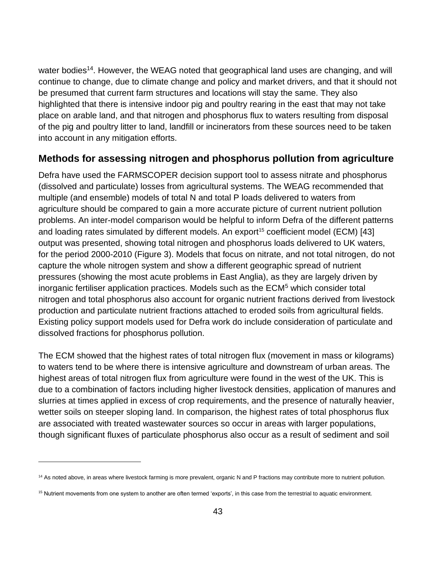water bodies<sup>14</sup>. However, the WEAG noted that geographical land uses are changing, and will continue to change, due to climate change and policy and market drivers, and that it should not be presumed that current farm structures and locations will stay the same. They also highlighted that there is intensive indoor pig and poultry rearing in the east that may not take place on arable land, and that nitrogen and phosphorus flux to waters resulting from disposal of the pig and poultry litter to land, landfill or incinerators from these sources need to be taken into account in any mitigation efforts.

#### **Methods for assessing nitrogen and phosphorus pollution from agriculture**

Defra have used the FARMSCOPER decision support tool to assess nitrate and phosphorus (dissolved and particulate) losses from agricultural systems. The WEAG recommended that multiple (and ensemble) models of total N and total P loads delivered to waters from agriculture should be compared to gain a more accurate picture of current nutrient pollution problems. An inter-model comparison would be helpful to inform Defra of the different patterns and loading rates simulated by different models. An export<sup>15</sup> coefficient model (ECM) [43] output was presented, showing total nitrogen and phosphorus loads delivered to UK waters, for the period 2000-2010 (Figure 3). Models that focus on nitrate, and not total nitrogen, do not capture the whole nitrogen system and show a different geographic spread of nutrient pressures (showing the most acute problems in East Anglia), as they are largely driven by inorganic fertiliser application practices. Models such as the ECM<sup>5</sup> which consider total nitrogen and total phosphorus also account for organic nutrient fractions derived from livestock production and particulate nutrient fractions attached to eroded soils from agricultural fields. Existing policy support models used for Defra work do include consideration of particulate and dissolved fractions for phosphorus pollution.

The ECM showed that the highest rates of total nitrogen flux (movement in mass or kilograms) to waters tend to be where there is intensive agriculture and downstream of urban areas. The highest areas of total nitrogen flux from agriculture were found in the west of the UK. This is due to a combination of factors including higher livestock densities, application of manures and slurries at times applied in excess of crop requirements, and the presence of naturally heavier, wetter soils on steeper sloping land. In comparison, the highest rates of total phosphorus flux are associated with treated wastewater sources so occur in areas with larger populations, though significant fluxes of particulate phosphorus also occur as a result of sediment and soil

<sup>&</sup>lt;sup>14</sup> As noted above, in areas where livestock farming is more prevalent, organic N and P fractions may contribute more to nutrient pollution.

<sup>&</sup>lt;sup>15</sup> Nutrient movements from one system to another are often termed 'exports', in this case from the terrestrial to aquatic environment.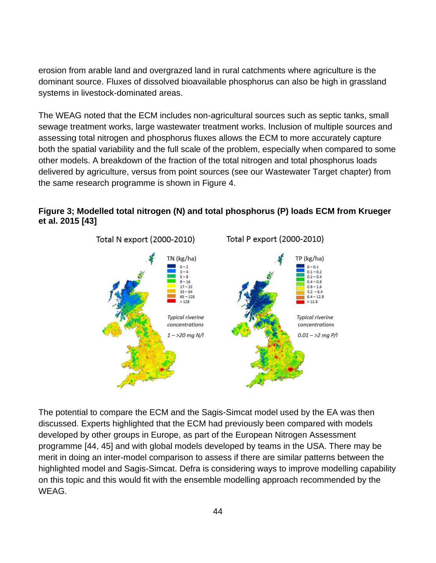erosion from arable land and overgrazed land in rural catchments where agriculture is the dominant source. Fluxes of dissolved bioavailable phosphorus can also be high in grassland systems in livestock-dominated areas.

The WEAG noted that the ECM includes non-agricultural sources such as septic tanks, small sewage treatment works, large wastewater treatment works. Inclusion of multiple sources and assessing total nitrogen and phosphorus fluxes allows the ECM to more accurately capture both the spatial variability and the full scale of the problem, especially when compared to some other models. A breakdown of the fraction of the total nitrogen and total phosphorus loads delivered by agriculture, versus from point sources (see our Wastewater Target chapter) from the same research programme is shown in Figure 4.



#### **Figure 3; Modelled total nitrogen (N) and total phosphorus (P) loads ECM from Krueger et al. 2015 [43]**

The potential to compare the ECM and the Sagis-Simcat model used by the EA was then discussed. Experts highlighted that the ECM had previously been compared with models developed by other groups in Europe, as part of the European Nitrogen Assessment programme [44, 45] and with global models developed by teams in the USA. There may be merit in doing an inter-model comparison to assess if there are similar patterns between the highlighted model and Sagis-Simcat. Defra is considering ways to improve modelling capability on this topic and this would fit with the ensemble modelling approach recommended by the WEAG.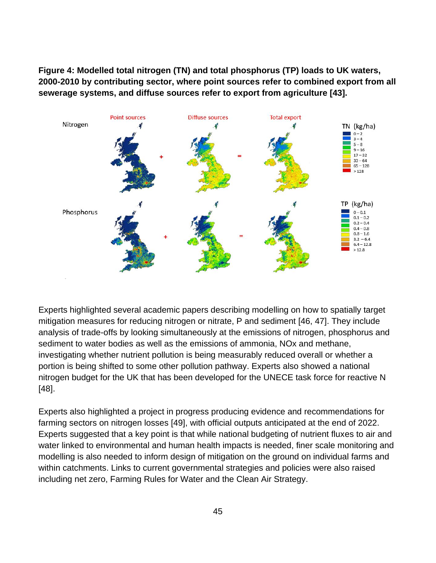**Figure 4: Modelled total nitrogen (TN) and total phosphorus (TP) loads to UK waters, 2000-2010 by contributing sector, where point sources refer to combined export from all sewerage systems, and diffuse sources refer to export from agriculture [43].**



Experts highlighted several academic papers describing modelling on how to spatially target mitigation measures for reducing nitrogen or nitrate, P and sediment [46, 47]. They include analysis of trade-offs by looking simultaneously at the emissions of nitrogen, phosphorus and sediment to water bodies as well as the emissions of ammonia, NOx and methane, investigating whether nutrient pollution is being measurably reduced overall or whether a portion is being shifted to some other pollution pathway. Experts also showed a national nitrogen budget for the UK that has been developed for the UNECE task force for reactive N [48].

Experts also highlighted a project in progress producing evidence and recommendations for farming sectors on nitrogen losses [49], with official outputs anticipated at the end of 2022. Experts suggested that a key point is that while national budgeting of nutrient fluxes to air and water linked to environmental and human health impacts is needed, finer scale monitoring and modelling is also needed to inform design of mitigation on the ground on individual farms and within catchments. Links to current governmental strategies and policies were also raised including net zero, Farming Rules for Water and the Clean Air Strategy.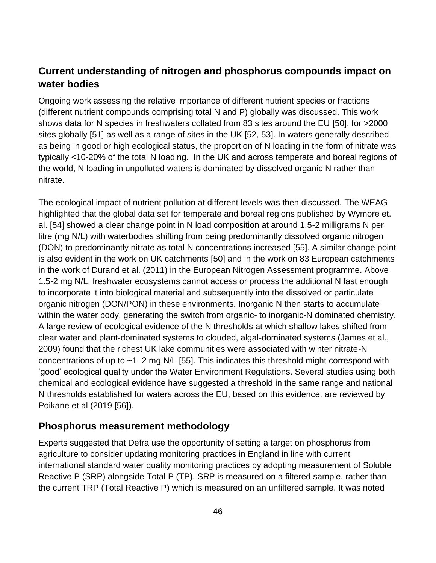#### **Current understanding of nitrogen and phosphorus compounds impact on water bodies**

Ongoing work assessing the relative importance of different nutrient species or fractions (different nutrient compounds comprising total N and P) globally was discussed. This work shows data for N species in freshwaters collated from 83 sites around the EU [50], for >2000 sites globally [51] as well as a range of sites in the UK [52, 53]. In waters generally described as being in good or high ecological status, the proportion of N loading in the form of nitrate was typically <10-20% of the total N loading. In the UK and across temperate and boreal regions of the world, N loading in unpolluted waters is dominated by dissolved organic N rather than nitrate.

The ecological impact of nutrient pollution at different levels was then discussed. The WEAG highlighted that the global data set for temperate and boreal regions published by Wymore et. al. [54] showed a clear change point in N load composition at around 1.5-2 milligrams N per litre (mg N/L) with waterbodies shifting from being predominantly dissolved organic nitrogen (DON) to predominantly nitrate as total N concentrations increased [55]. A similar change point is also evident in the work on UK catchments [50] and in the work on 83 European catchments in the work of Durand et al. (2011) in the European Nitrogen Assessment programme. Above 1.5-2 mg N/L, freshwater ecosystems cannot access or process the additional N fast enough to incorporate it into biological material and subsequently into the dissolved or particulate organic nitrogen (DON/PON) in these environments. Inorganic N then starts to accumulate within the water body, generating the switch from organic- to inorganic-N dominated chemistry. A large review of ecological evidence of the N thresholds at which shallow lakes shifted from clear water and plant-dominated systems to clouded, algal-dominated systems (James et al., 2009) found that the richest UK lake communities were associated with winter nitrate-N concentrations of up to ~1–2 mg N/L [55]. This indicates this threshold might correspond with 'good' ecological quality under the Water Environment Regulations. Several studies using both chemical and ecological evidence have suggested a threshold in the same range and national N thresholds established for waters across the EU, based on this evidence, are reviewed by Poikane et al (2019 [56]).

#### **Phosphorus measurement methodology**

Experts suggested that Defra use the opportunity of setting a target on phosphorus from agriculture to consider updating monitoring practices in England in line with current international standard water quality monitoring practices by adopting measurement of Soluble Reactive P (SRP) alongside Total P (TP). SRP is measured on a filtered sample, rather than the current TRP (Total Reactive P) which is measured on an unfiltered sample. It was noted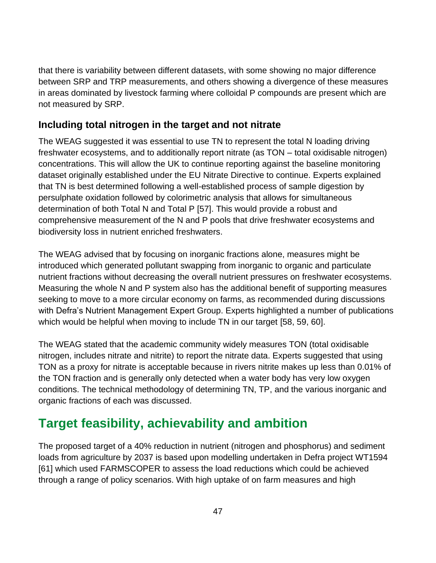that there is variability between different datasets, with some showing no major difference between SRP and TRP measurements, and others showing a divergence of these measures in areas dominated by livestock farming where colloidal P compounds are present which are not measured by SRP.

#### **Including total nitrogen in the target and not nitrate**

The WEAG suggested it was essential to use TN to represent the total N loading driving freshwater ecosystems, and to additionally report nitrate (as TON – total oxidisable nitrogen) concentrations. This will allow the UK to continue reporting against the baseline monitoring dataset originally established under the EU Nitrate Directive to continue. Experts explained that TN is best determined following a well-established process of sample digestion by persulphate oxidation followed by colorimetric analysis that allows for simultaneous determination of both Total N and Total P [57]. This would provide a robust and comprehensive measurement of the N and P pools that drive freshwater ecosystems and biodiversity loss in nutrient enriched freshwaters.

The WEAG advised that by focusing on inorganic fractions alone, measures might be introduced which generated pollutant swapping from inorganic to organic and particulate nutrient fractions without decreasing the overall nutrient pressures on freshwater ecosystems. Measuring the whole N and P system also has the additional benefit of supporting measures seeking to move to a more circular economy on farms, as recommended during discussions with Defra's Nutrient Management Expert Group. Experts highlighted a number of publications which would be helpful when moving to include TN in our target [58, 59, 60].

The WEAG stated that the academic community widely measures TON (total oxidisable nitrogen, includes nitrate and nitrite) to report the nitrate data. Experts suggested that using TON as a proxy for nitrate is acceptable because in rivers nitrite makes up less than 0.01% of the TON fraction and is generally only detected when a water body has very low oxygen conditions. The technical methodology of determining TN, TP, and the various inorganic and organic fractions of each was discussed.

# **Target feasibility, achievability and ambition**

The proposed target of a 40% reduction in nutrient (nitrogen and phosphorus) and sediment loads from agriculture by 2037 is based upon modelling undertaken in Defra project WT1594 [61] which used FARMSCOPER to assess the load reductions which could be achieved through a range of policy scenarios. With high uptake of on farm measures and high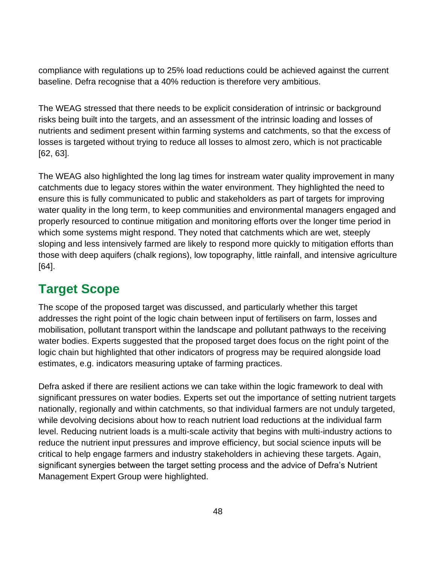compliance with regulations up to 25% load reductions could be achieved against the current baseline. Defra recognise that a 40% reduction is therefore very ambitious.

The WEAG stressed that there needs to be explicit consideration of intrinsic or background risks being built into the targets, and an assessment of the intrinsic loading and losses of nutrients and sediment present within farming systems and catchments, so that the excess of losses is targeted without trying to reduce all losses to almost zero, which is not practicable [62, 63].

The WEAG also highlighted the long lag times for instream water quality improvement in many catchments due to legacy stores within the water environment. They highlighted the need to ensure this is fully communicated to public and stakeholders as part of targets for improving water quality in the long term, to keep communities and environmental managers engaged and properly resourced to continue mitigation and monitoring efforts over the longer time period in which some systems might respond. They noted that catchments which are wet, steeply sloping and less intensively farmed are likely to respond more quickly to mitigation efforts than those with deep aquifers (chalk regions), low topography, little rainfall, and intensive agriculture [64].

## **Target Scope**

The scope of the proposed target was discussed, and particularly whether this target addresses the right point of the logic chain between input of fertilisers on farm, losses and mobilisation, pollutant transport within the landscape and pollutant pathways to the receiving water bodies. Experts suggested that the proposed target does focus on the right point of the logic chain but highlighted that other indicators of progress may be required alongside load estimates, e.g. indicators measuring uptake of farming practices.

Defra asked if there are resilient actions we can take within the logic framework to deal with significant pressures on water bodies. Experts set out the importance of setting nutrient targets nationally, regionally and within catchments, so that individual farmers are not unduly targeted, while devolving decisions about how to reach nutrient load reductions at the individual farm level. Reducing nutrient loads is a multi-scale activity that begins with multi-industry actions to reduce the nutrient input pressures and improve efficiency, but social science inputs will be critical to help engage farmers and industry stakeholders in achieving these targets. Again, significant synergies between the target setting process and the advice of Defra's Nutrient Management Expert Group were highlighted.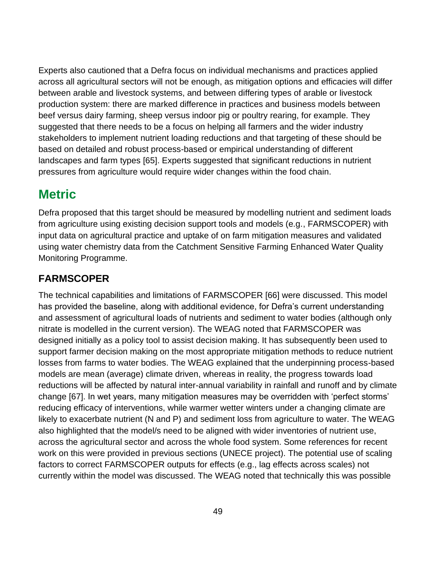Experts also cautioned that a Defra focus on individual mechanisms and practices applied across all agricultural sectors will not be enough, as mitigation options and efficacies will differ between arable and livestock systems, and between differing types of arable or livestock production system: there are marked difference in practices and business models between beef versus dairy farming, sheep versus indoor pig or poultry rearing, for example. They suggested that there needs to be a focus on helping all farmers and the wider industry stakeholders to implement nutrient loading reductions and that targeting of these should be based on detailed and robust process-based or empirical understanding of different landscapes and farm types [65]. Experts suggested that significant reductions in nutrient pressures from agriculture would require wider changes within the food chain.

### **Metric**

Defra proposed that this target should be measured by modelling nutrient and sediment loads from agriculture using existing decision support tools and models (e.g., FARMSCOPER) with input data on agricultural practice and uptake of on farm mitigation measures and validated using water chemistry data from the Catchment Sensitive Farming Enhanced Water Quality Monitoring Programme.

#### **FARMSCOPER**

The technical capabilities and limitations of FARMSCOPER [66] were discussed. This model has provided the baseline, along with additional evidence, for Defra's current understanding and assessment of agricultural loads of nutrients and sediment to water bodies (although only nitrate is modelled in the current version). The WEAG noted that FARMSCOPER was designed initially as a policy tool to assist decision making. It has subsequently been used to support farmer decision making on the most appropriate mitigation methods to reduce nutrient losses from farms to water bodies. The WEAG explained that the underpinning process-based models are mean (average) climate driven, whereas in reality, the progress towards load reductions will be affected by natural inter-annual variability in rainfall and runoff and by climate change [67]. In wet years, many mitigation measures may be overridden with 'perfect storms' reducing efficacy of interventions, while warmer wetter winters under a changing climate are likely to exacerbate nutrient (N and P) and sediment loss from agriculture to water. The WEAG also highlighted that the model/s need to be aligned with wider inventories of nutrient use, across the agricultural sector and across the whole food system. Some references for recent work on this were provided in previous sections (UNECE project). The potential use of scaling factors to correct FARMSCOPER outputs for effects (e.g., lag effects across scales) not currently within the model was discussed. The WEAG noted that technically this was possible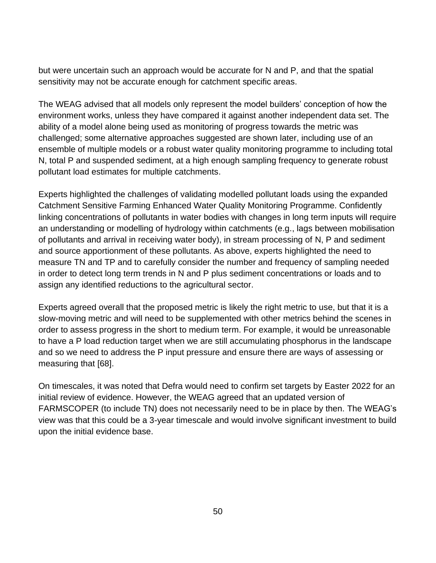but were uncertain such an approach would be accurate for N and P, and that the spatial sensitivity may not be accurate enough for catchment specific areas.

The WEAG advised that all models only represent the model builders' conception of how the environment works, unless they have compared it against another independent data set. The ability of a model alone being used as monitoring of progress towards the metric was challenged; some alternative approaches suggested are shown later, including use of an ensemble of multiple models or a robust water quality monitoring programme to including total N, total P and suspended sediment, at a high enough sampling frequency to generate robust pollutant load estimates for multiple catchments.

Experts highlighted the challenges of validating modelled pollutant loads using the expanded Catchment Sensitive Farming Enhanced Water Quality Monitoring Programme. Confidently linking concentrations of pollutants in water bodies with changes in long term inputs will require an understanding or modelling of hydrology within catchments (e.g., lags between mobilisation of pollutants and arrival in receiving water body), in stream processing of N, P and sediment and source apportionment of these pollutants. As above, experts highlighted the need to measure TN and TP and to carefully consider the number and frequency of sampling needed in order to detect long term trends in N and P plus sediment concentrations or loads and to assign any identified reductions to the agricultural sector.

Experts agreed overall that the proposed metric is likely the right metric to use, but that it is a slow-moving metric and will need to be supplemented with other metrics behind the scenes in order to assess progress in the short to medium term. For example, it would be unreasonable to have a P load reduction target when we are still accumulating phosphorus in the landscape and so we need to address the P input pressure and ensure there are ways of assessing or measuring that [68].

On timescales, it was noted that Defra would need to confirm set targets by Easter 2022 for an initial review of evidence. However, the WEAG agreed that an updated version of FARMSCOPER (to include TN) does not necessarily need to be in place by then. The WEAG's view was that this could be a 3-year timescale and would involve significant investment to build upon the initial evidence base.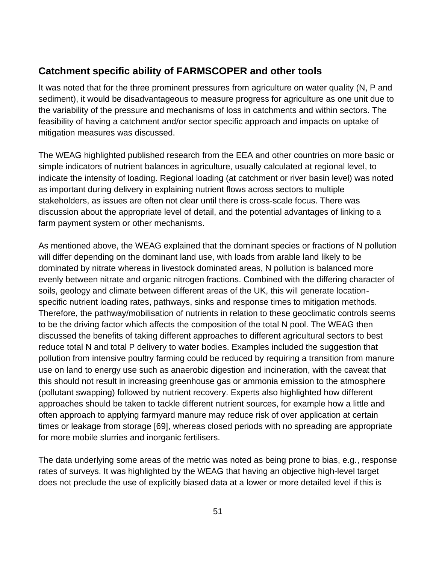#### **Catchment specific ability of FARMSCOPER and other tools**

It was noted that for the three prominent pressures from agriculture on water quality (N, P and sediment), it would be disadvantageous to measure progress for agriculture as one unit due to the variability of the pressure and mechanisms of loss in catchments and within sectors. The feasibility of having a catchment and/or sector specific approach and impacts on uptake of mitigation measures was discussed.

The WEAG highlighted published research from the EEA and other countries on more basic or simple indicators of nutrient balances in agriculture, usually calculated at regional level, to indicate the intensity of loading. Regional loading (at catchment or river basin level) was noted as important during delivery in explaining nutrient flows across sectors to multiple stakeholders, as issues are often not clear until there is cross-scale focus. There was discussion about the appropriate level of detail, and the potential advantages of linking to a farm payment system or other mechanisms.

As mentioned above, the WEAG explained that the dominant species or fractions of N pollution will differ depending on the dominant land use, with loads from arable land likely to be dominated by nitrate whereas in livestock dominated areas, N pollution is balanced more evenly between nitrate and organic nitrogen fractions. Combined with the differing character of soils, geology and climate between different areas of the UK, this will generate locationspecific nutrient loading rates, pathways, sinks and response times to mitigation methods. Therefore, the pathway/mobilisation of nutrients in relation to these geoclimatic controls seems to be the driving factor which affects the composition of the total N pool. The WEAG then discussed the benefits of taking different approaches to different agricultural sectors to best reduce total N and total P delivery to water bodies. Examples included the suggestion that pollution from intensive poultry farming could be reduced by requiring a transition from manure use on land to energy use such as anaerobic digestion and incineration, with the caveat that this should not result in increasing greenhouse gas or ammonia emission to the atmosphere (pollutant swapping) followed by nutrient recovery. Experts also highlighted how different approaches should be taken to tackle different nutrient sources, for example how a little and often approach to applying farmyard manure may reduce risk of over application at certain times or leakage from storage [69], whereas closed periods with no spreading are appropriate for more mobile slurries and inorganic fertilisers.

The data underlying some areas of the metric was noted as being prone to bias, e.g., response rates of surveys. It was highlighted by the WEAG that having an objective high-level target does not preclude the use of explicitly biased data at a lower or more detailed level if this is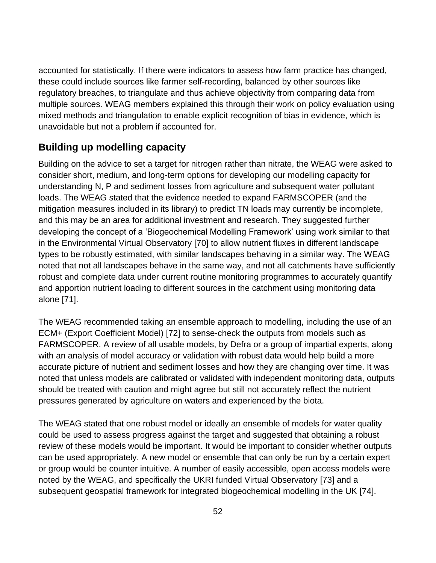accounted for statistically. If there were indicators to assess how farm practice has changed, these could include sources like farmer self-recording, balanced by other sources like regulatory breaches, to triangulate and thus achieve objectivity from comparing data from multiple sources. WEAG members explained this through their work on policy evaluation using mixed methods and triangulation to enable explicit recognition of bias in evidence, which is unavoidable but not a problem if accounted for.

#### **Building up modelling capacity**

Building on the advice to set a target for nitrogen rather than nitrate, the WEAG were asked to consider short, medium, and long-term options for developing our modelling capacity for understanding N, P and sediment losses from agriculture and subsequent water pollutant loads. The WEAG stated that the evidence needed to expand FARMSCOPER (and the mitigation measures included in its library) to predict TN loads may currently be incomplete, and this may be an area for additional investment and research. They suggested further developing the concept of a 'Biogeochemical Modelling Framework' using work similar to that in the Environmental Virtual Observatory [70] to allow nutrient fluxes in different landscape types to be robustly estimated, with similar landscapes behaving in a similar way. The WEAG noted that not all landscapes behave in the same way, and not all catchments have sufficiently robust and complete data under current routine monitoring programmes to accurately quantify and apportion nutrient loading to different sources in the catchment using monitoring data alone [71].

The WEAG recommended taking an ensemble approach to modelling, including the use of an ECM+ (Export Coefficient Model) [72] to sense-check the outputs from models such as FARMSCOPER. A review of all usable models, by Defra or a group of impartial experts, along with an analysis of model accuracy or validation with robust data would help build a more accurate picture of nutrient and sediment losses and how they are changing over time. It was noted that unless models are calibrated or validated with independent monitoring data, outputs should be treated with caution and might agree but still not accurately reflect the nutrient pressures generated by agriculture on waters and experienced by the biota.

The WEAG stated that one robust model or ideally an ensemble of models for water quality could be used to assess progress against the target and suggested that obtaining a robust review of these models would be important. It would be important to consider whether outputs can be used appropriately. A new model or ensemble that can only be run by a certain expert or group would be counter intuitive. A number of easily accessible, open access models were noted by the WEAG, and specifically the UKRI funded Virtual Observatory [73] and a subsequent geospatial framework for integrated biogeochemical modelling in the UK [74].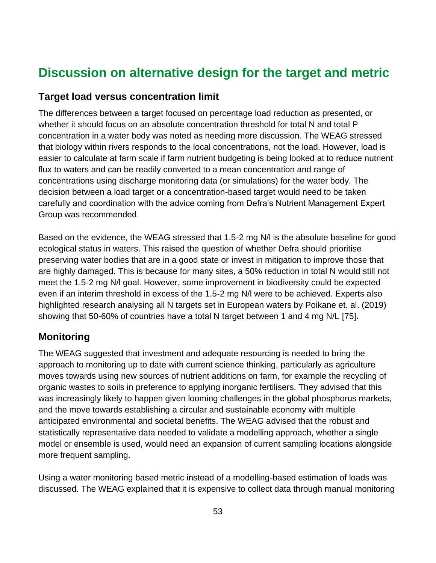## **Discussion on alternative design for the target and metric**

#### **Target load versus concentration limit**

The differences between a target focused on percentage load reduction as presented, or whether it should focus on an absolute concentration threshold for total N and total P concentration in a water body was noted as needing more discussion. The WEAG stressed that biology within rivers responds to the local concentrations, not the load. However, load is easier to calculate at farm scale if farm nutrient budgeting is being looked at to reduce nutrient flux to waters and can be readily converted to a mean concentration and range of concentrations using discharge monitoring data (or simulations) for the water body. The decision between a load target or a concentration-based target would need to be taken carefully and coordination with the advice coming from Defra's Nutrient Management Expert Group was recommended.

Based on the evidence, the WEAG stressed that 1.5-2 mg N/l is the absolute baseline for good ecological status in waters. This raised the question of whether Defra should prioritise preserving water bodies that are in a good state or invest in mitigation to improve those that are highly damaged. This is because for many sites, a 50% reduction in total N would still not meet the 1.5-2 mg N/l goal. However, some improvement in biodiversity could be expected even if an interim threshold in excess of the 1.5-2 mg N/l were to be achieved. Experts also highlighted research analysing all N targets set in European waters by Poikane et. al. (2019) showing that 50-60% of countries have a total N target between 1 and 4 mg N/L [75].

#### **Monitoring**

The WEAG suggested that investment and adequate resourcing is needed to bring the approach to monitoring up to date with current science thinking, particularly as agriculture moves towards using new sources of nutrient additions on farm, for example the recycling of organic wastes to soils in preference to applying inorganic fertilisers. They advised that this was increasingly likely to happen given looming challenges in the global phosphorus markets, and the move towards establishing a circular and sustainable economy with multiple anticipated environmental and societal benefits. The WEAG advised that the robust and statistically representative data needed to validate a modelling approach, whether a single model or ensemble is used, would need an expansion of current sampling locations alongside more frequent sampling.

Using a water monitoring based metric instead of a modelling-based estimation of loads was discussed. The WEAG explained that it is expensive to collect data through manual monitoring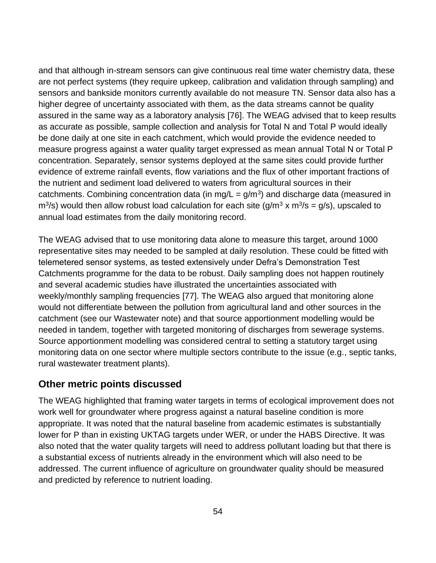and that although in-stream sensors can give continuous real time water chemistry data, these are not perfect systems (they require upkeep, calibration and validation through sampling) and sensors and bankside monitors currently available do not measure TN. Sensor data also has a higher degree of uncertainty associated with them, as the data streams cannot be quality assured in the same way as a laboratory analysis [76]. The WEAG advised that to keep results as accurate as possible, sample collection and analysis for Total N and Total P would ideally be done daily at one site in each catchment, which would provide the evidence needed to measure progress against a water quality target expressed as mean annual Total N or Total P concentration. Separately, sensor systems deployed at the same sites could provide further evidence of extreme rainfall events, flow variations and the flux of other important fractions of the nutrient and sediment load delivered to waters from agricultural sources in their catchments. Combining concentration data (in mg/L =  $g/m<sup>3</sup>$ ) and discharge data (measured in  $\text{m}^3$ /s) would then allow robust load calculation for each site (g/m<sup>3</sup> x m<sup>3</sup>/s = g/s), upscaled to annual load estimates from the daily monitoring record.

The WEAG advised that to use monitoring data alone to measure this target, around 1000 representative sites may needed to be sampled at daily resolution. These could be fitted with telemetered sensor systems, as tested extensively under Defra's Demonstration Test Catchments programme for the data to be robust. Daily sampling does not happen routinely and several academic studies have illustrated the uncertainties associated with weekly/monthly sampling frequencies [77]. The WEAG also argued that monitoring alone would not differentiate between the pollution from agricultural land and other sources in the catchment (see our Wastewater note) and that source apportionment modelling would be needed in tandem, together with targeted monitoring of discharges from sewerage systems. Source apportionment modelling was considered central to setting a statutory target using monitoring data on one sector where multiple sectors contribute to the issue (e.g., septic tanks, rural wastewater treatment plants).

#### **Other metric points discussed**

The WEAG highlighted that framing water targets in terms of ecological improvement does not work well for groundwater where progress against a natural baseline condition is more appropriate. It was noted that the natural baseline from academic estimates is substantially lower for P than in existing UKTAG targets under WER, or under the HABS Directive. It was also noted that the water quality targets will need to address pollutant loading but that there is a substantial excess of nutrients already in the environment which will also need to be addressed. The current influence of agriculture on groundwater quality should be measured and predicted by reference to nutrient loading.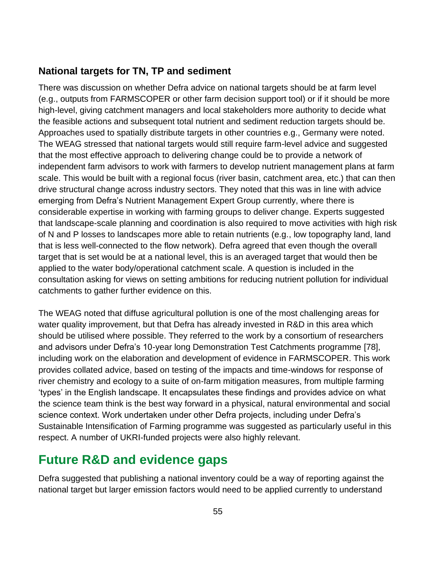#### **National targets for TN, TP and sediment**

There was discussion on whether Defra advice on national targets should be at farm level (e.g., outputs from FARMSCOPER or other farm decision support tool) or if it should be more high-level, giving catchment managers and local stakeholders more authority to decide what the feasible actions and subsequent total nutrient and sediment reduction targets should be. Approaches used to spatially distribute targets in other countries e.g., Germany were noted. The WEAG stressed that national targets would still require farm-level advice and suggested that the most effective approach to delivering change could be to provide a network of independent farm advisors to work with farmers to develop nutrient management plans at farm scale. This would be built with a regional focus (river basin, catchment area, etc.) that can then drive structural change across industry sectors. They noted that this was in line with advice emerging from Defra's Nutrient Management Expert Group currently, where there is considerable expertise in working with farming groups to deliver change. Experts suggested that landscape-scale planning and coordination is also required to move activities with high risk of N and P losses to landscapes more able to retain nutrients (e.g., low topography land, land that is less well-connected to the flow network). Defra agreed that even though the overall target that is set would be at a national level, this is an averaged target that would then be applied to the water body/operational catchment scale. A question is included in the consultation asking for views on setting ambitions for reducing nutrient pollution for individual catchments to gather further evidence on this.

The WEAG noted that diffuse agricultural pollution is one of the most challenging areas for water quality improvement, but that Defra has already invested in R&D in this area which should be utilised where possible. They referred to the work by a consortium of researchers and advisors under Defra's 10-year long Demonstration Test Catchments programme [78], including work on the elaboration and development of evidence in FARMSCOPER. This work provides collated advice, based on testing of the impacts and time-windows for response of river chemistry and ecology to a suite of on-farm mitigation measures, from multiple farming 'types' in the English landscape. It encapsulates these findings and provides advice on what the science team think is the best way forward in a physical, natural environmental and social science context. Work undertaken under other Defra projects, including under Defra's Sustainable Intensification of Farming programme was suggested as particularly useful in this respect. A number of UKRI-funded projects were also highly relevant.

### **Future R&D and evidence gaps**

Defra suggested that publishing a national inventory could be a way of reporting against the national target but larger emission factors would need to be applied currently to understand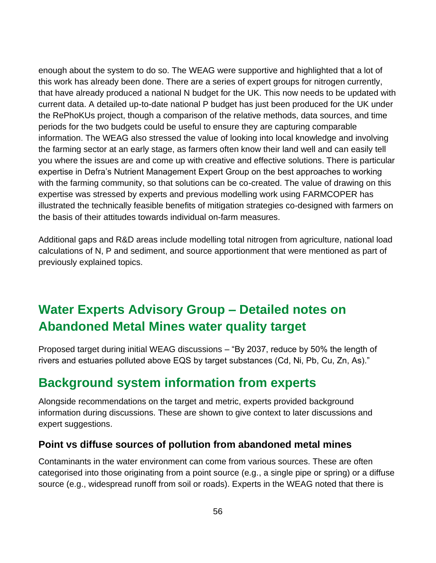enough about the system to do so. The WEAG were supportive and highlighted that a lot of this work has already been done. There are a series of expert groups for nitrogen currently, that have already produced a national N budget for the UK. This now needs to be updated with current data. A detailed up-to-date national P budget has just been produced for the UK under the RePhoKUs project, though a comparison of the relative methods, data sources, and time periods for the two budgets could be useful to ensure they are capturing comparable information. The WEAG also stressed the value of looking into local knowledge and involving the farming sector at an early stage, as farmers often know their land well and can easily tell you where the issues are and come up with creative and effective solutions. There is particular expertise in Defra's Nutrient Management Expert Group on the best approaches to working with the farming community, so that solutions can be co-created. The value of drawing on this expertise was stressed by experts and previous modelling work using FARMCOPER has illustrated the technically feasible benefits of mitigation strategies co-designed with farmers on the basis of their attitudes towards individual on-farm measures.

Additional gaps and R&D areas include modelling total nitrogen from agriculture, national load calculations of N, P and sediment, and source apportionment that were mentioned as part of previously explained topics.

# **Water Experts Advisory Group – Detailed notes on Abandoned Metal Mines water quality target**

Proposed target during initial WEAG discussions – "By 2037, reduce by 50% the length of rivers and estuaries polluted above EQS by target substances (Cd, Ni, Pb, Cu, Zn, As)."

## **Background system information from experts**

Alongside recommendations on the target and metric, experts provided background information during discussions. These are shown to give context to later discussions and expert suggestions.

#### **Point vs diffuse sources of pollution from abandoned metal mines**

Contaminants in the water environment can come from various sources. These are often categorised into those originating from a point source (e.g., a single pipe or spring) or a diffuse source (e.g., widespread runoff from soil or roads). Experts in the WEAG noted that there is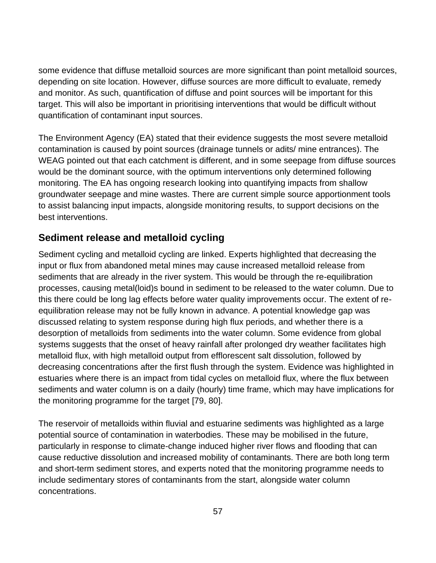some evidence that diffuse metalloid sources are more significant than point metalloid sources, depending on site location. However, diffuse sources are more difficult to evaluate, remedy and monitor. As such, quantification of diffuse and point sources will be important for this target. This will also be important in prioritising interventions that would be difficult without quantification of contaminant input sources.

The Environment Agency (EA) stated that their evidence suggests the most severe metalloid contamination is caused by point sources (drainage tunnels or adits/ mine entrances). The WEAG pointed out that each catchment is different, and in some seepage from diffuse sources would be the dominant source, with the optimum interventions only determined following monitoring. The EA has ongoing research looking into quantifying impacts from shallow groundwater seepage and mine wastes. There are current simple source apportionment tools to assist balancing input impacts, alongside monitoring results, to support decisions on the best interventions.

#### **Sediment release and metalloid cycling**

Sediment cycling and metalloid cycling are linked. Experts highlighted that decreasing the input or flux from abandoned metal mines may cause increased metalloid release from sediments that are already in the river system. This would be through the re-equilibration processes, causing metal(loid)s bound in sediment to be released to the water column. Due to this there could be long lag effects before water quality improvements occur. The extent of reequilibration release may not be fully known in advance. A potential knowledge gap was discussed relating to system response during high flux periods, and whether there is a desorption of metalloids from sediments into the water column. Some evidence from global systems suggests that the onset of heavy rainfall after prolonged dry weather facilitates high metalloid flux, with high metalloid output from efflorescent salt dissolution, followed by decreasing concentrations after the first flush through the system. Evidence was highlighted in estuaries where there is an impact from tidal cycles on metalloid flux, where the flux between sediments and water column is on a daily (hourly) time frame, which may have implications for the monitoring programme for the target [79, 80].

The reservoir of metalloids within fluvial and estuarine sediments was highlighted as a large potential source of contamination in waterbodies. These may be mobilised in the future, particularly in response to climate-change induced higher river flows and flooding that can cause reductive dissolution and increased mobility of contaminants. There are both long term and short-term sediment stores, and experts noted that the monitoring programme needs to include sedimentary stores of contaminants from the start, alongside water column concentrations.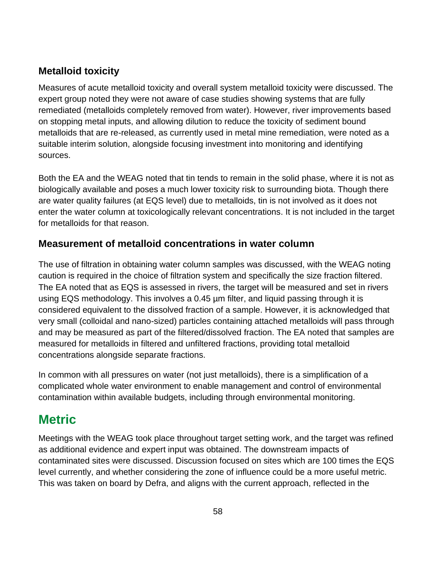#### **Metalloid toxicity**

Measures of acute metalloid toxicity and overall system metalloid toxicity were discussed. The expert group noted they were not aware of case studies showing systems that are fully remediated (metalloids completely removed from water). However, river improvements based on stopping metal inputs, and allowing dilution to reduce the toxicity of sediment bound metalloids that are re-released, as currently used in metal mine remediation, were noted as a suitable interim solution, alongside focusing investment into monitoring and identifying sources.

Both the EA and the WEAG noted that tin tends to remain in the solid phase, where it is not as biologically available and poses a much lower toxicity risk to surrounding biota. Though there are water quality failures (at EQS level) due to metalloids, tin is not involved as it does not enter the water column at toxicologically relevant concentrations. It is not included in the target for metalloids for that reason.

#### **Measurement of metalloid concentrations in water column**

The use of filtration in obtaining water column samples was discussed, with the WEAG noting caution is required in the choice of filtration system and specifically the size fraction filtered. The EA noted that as EQS is assessed in rivers, the target will be measured and set in rivers using EQS methodology. This involves a 0.45 µm filter, and liquid passing through it is considered equivalent to the dissolved fraction of a sample. However, it is acknowledged that very small (colloidal and nano-sized) particles containing attached metalloids will pass through and may be measured as part of the filtered/dissolved fraction. The EA noted that samples are measured for metalloids in filtered and unfiltered fractions, providing total metalloid concentrations alongside separate fractions.

In common with all pressures on water (not just metalloids), there is a simplification of a complicated whole water environment to enable management and control of environmental contamination within available budgets, including through environmental monitoring.

### **Metric**

Meetings with the WEAG took place throughout target setting work, and the target was refined as additional evidence and expert input was obtained. The downstream impacts of contaminated sites were discussed. Discussion focused on sites which are 100 times the EQS level currently, and whether considering the zone of influence could be a more useful metric. This was taken on board by Defra, and aligns with the current approach, reflected in the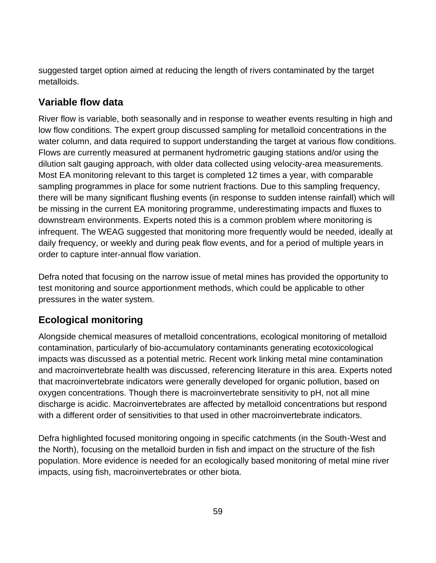suggested target option aimed at reducing the length of rivers contaminated by the target metalloids.

#### **Variable flow data**

River flow is variable, both seasonally and in response to weather events resulting in high and low flow conditions. The expert group discussed sampling for metalloid concentrations in the water column, and data required to support understanding the target at various flow conditions. Flows are currently measured at permanent hydrometric gauging stations and/or using the dilution salt gauging approach, with older data collected using velocity-area measurements. Most EA monitoring relevant to this target is completed 12 times a year, with comparable sampling programmes in place for some nutrient fractions. Due to this sampling frequency, there will be many significant flushing events (in response to sudden intense rainfall) which will be missing in the current EA monitoring programme, underestimating impacts and fluxes to downstream environments. Experts noted this is a common problem where monitoring is infrequent. The WEAG suggested that monitoring more frequently would be needed, ideally at daily frequency, or weekly and during peak flow events, and for a period of multiple years in order to capture inter-annual flow variation.

Defra noted that focusing on the narrow issue of metal mines has provided the opportunity to test monitoring and source apportionment methods, which could be applicable to other pressures in the water system.

#### **Ecological monitoring**

Alongside chemical measures of metalloid concentrations, ecological monitoring of metalloid contamination, particularly of bio-accumulatory contaminants generating ecotoxicological impacts was discussed as a potential metric. Recent work linking metal mine contamination and macroinvertebrate health was discussed, referencing literature in this area. Experts noted that macroinvertebrate indicators were generally developed for organic pollution, based on oxygen concentrations. Though there is macroinvertebrate sensitivity to pH, not all mine discharge is acidic. Macroinvertebrates are affected by metalloid concentrations but respond with a different order of sensitivities to that used in other macroinvertebrate indicators.

Defra highlighted focused monitoring ongoing in specific catchments (in the South-West and the North), focusing on the metalloid burden in fish and impact on the structure of the fish population. More evidence is needed for an ecologically based monitoring of metal mine river impacts, using fish, macroinvertebrates or other biota.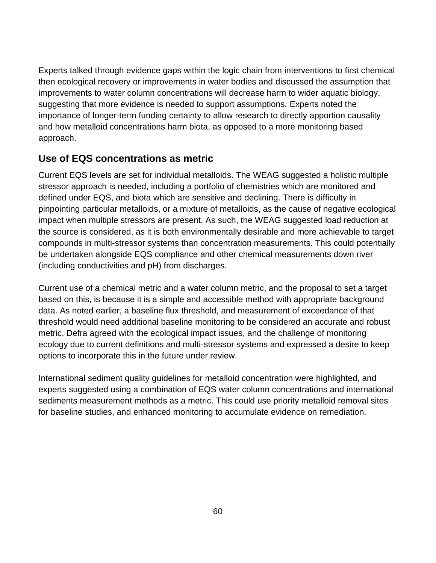Experts talked through evidence gaps within the logic chain from interventions to first chemical then ecological recovery or improvements in water bodies and discussed the assumption that improvements to water column concentrations will decrease harm to wider aquatic biology, suggesting that more evidence is needed to support assumptions. Experts noted the importance of longer-term funding certainty to allow research to directly apportion causality and how metalloid concentrations harm biota, as opposed to a more monitoring based approach.

#### **Use of EQS concentrations as metric**

Current EQS levels are set for individual metalloids. The WEAG suggested a holistic multiple stressor approach is needed, including a portfolio of chemistries which are monitored and defined under EQS, and biota which are sensitive and declining. There is difficulty in pinpointing particular metalloids, or a mixture of metalloids, as the cause of negative ecological impact when multiple stressors are present. As such, the WEAG suggested load reduction at the source is considered, as it is both environmentally desirable and more achievable to target compounds in multi-stressor systems than concentration measurements. This could potentially be undertaken alongside EQS compliance and other chemical measurements down river (including conductivities and pH) from discharges.

Current use of a chemical metric and a water column metric, and the proposal to set a target based on this, is because it is a simple and accessible method with appropriate background data. As noted earlier, a baseline flux threshold, and measurement of exceedance of that threshold would need additional baseline monitoring to be considered an accurate and robust metric. Defra agreed with the ecological impact issues, and the challenge of monitoring ecology due to current definitions and multi-stressor systems and expressed a desire to keep options to incorporate this in the future under review.

International sediment quality guidelines for metalloid concentration were highlighted, and experts suggested using a combination of EQS water column concentrations and international sediments measurement methods as a metric. This could use priority metalloid removal sites for baseline studies, and enhanced monitoring to accumulate evidence on remediation.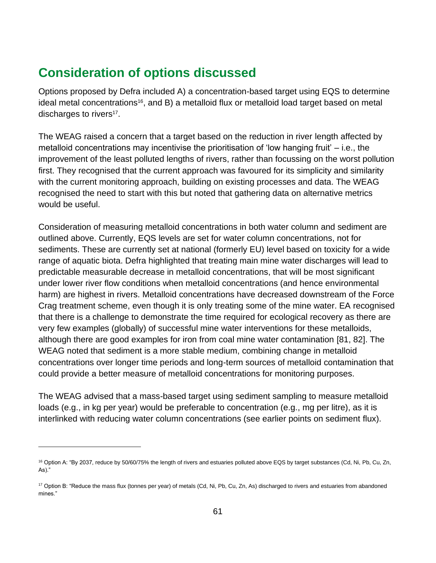### **Consideration of options discussed**

Options proposed by Defra included A) a concentration-based target using EQS to determine ideal metal concentrations<sup>16</sup>, and B) a metalloid flux or metalloid load target based on metal discharges to rivers<sup>17</sup>.

The WEAG raised a concern that a target based on the reduction in river length affected by metalloid concentrations may incentivise the prioritisation of 'low hanging fruit' – i.e., the improvement of the least polluted lengths of rivers, rather than focussing on the worst pollution first. They recognised that the current approach was favoured for its simplicity and similarity with the current monitoring approach, building on existing processes and data. The WEAG recognised the need to start with this but noted that gathering data on alternative metrics would be useful.

Consideration of measuring metalloid concentrations in both water column and sediment are outlined above. Currently, EQS levels are set for water column concentrations, not for sediments. These are currently set at national (formerly EU) level based on toxicity for a wide range of aquatic biota. Defra highlighted that treating main mine water discharges will lead to predictable measurable decrease in metalloid concentrations, that will be most significant under lower river flow conditions when metalloid concentrations (and hence environmental harm) are highest in rivers. Metalloid concentrations have decreased downstream of the Force Crag treatment scheme, even though it is only treating some of the mine water. EA recognised that there is a challenge to demonstrate the time required for ecological recovery as there are very few examples (globally) of successful mine water interventions for these metalloids, although there are good examples for iron from coal mine water contamination [81, 82]. The WEAG noted that sediment is a more stable medium, combining change in metalloid concentrations over longer time periods and long-term sources of metalloid contamination that could provide a better measure of metalloid concentrations for monitoring purposes.

The WEAG advised that a mass-based target using sediment sampling to measure metalloid loads (e.g., in kg per year) would be preferable to concentration (e.g., mg per litre), as it is interlinked with reducing water column concentrations (see earlier points on sediment flux).

<sup>&</sup>lt;sup>16</sup> Option A: "By 2037, reduce by 50/60/75% the length of rivers and estuaries polluted above EQS by target substances (Cd, Ni, Pb, Cu, Zn, As)."

<sup>17</sup> Option B: "Reduce the mass flux (tonnes per year) of metals (Cd, Ni, Pb, Cu, Zn, As) discharged to rivers and estuaries from abandoned mines."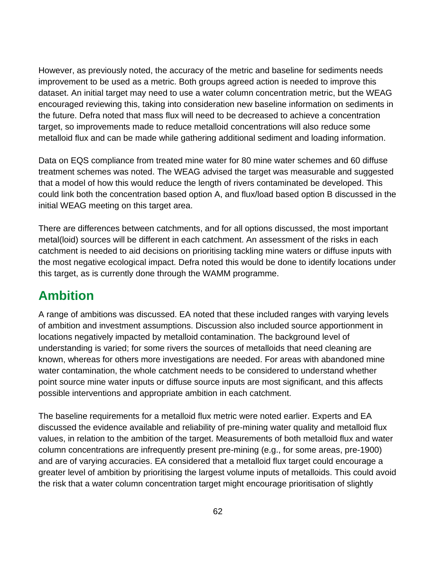However, as previously noted, the accuracy of the metric and baseline for sediments needs improvement to be used as a metric. Both groups agreed action is needed to improve this dataset. An initial target may need to use a water column concentration metric, but the WEAG encouraged reviewing this, taking into consideration new baseline information on sediments in the future. Defra noted that mass flux will need to be decreased to achieve a concentration target, so improvements made to reduce metalloid concentrations will also reduce some metalloid flux and can be made while gathering additional sediment and loading information.

Data on EQS compliance from treated mine water for 80 mine water schemes and 60 diffuse treatment schemes was noted. The WEAG advised the target was measurable and suggested that a model of how this would reduce the length of rivers contaminated be developed. This could link both the concentration based option A, and flux/load based option B discussed in the initial WEAG meeting on this target area.

There are differences between catchments, and for all options discussed, the most important metal(loid) sources will be different in each catchment. An assessment of the risks in each catchment is needed to aid decisions on prioritising tackling mine waters or diffuse inputs with the most negative ecological impact. Defra noted this would be done to identify locations under this target, as is currently done through the WAMM programme.

## **Ambition**

A range of ambitions was discussed. EA noted that these included ranges with varying levels of ambition and investment assumptions. Discussion also included source apportionment in locations negatively impacted by metalloid contamination. The background level of understanding is varied; for some rivers the sources of metalloids that need cleaning are known, whereas for others more investigations are needed. For areas with abandoned mine water contamination, the whole catchment needs to be considered to understand whether point source mine water inputs or diffuse source inputs are most significant, and this affects possible interventions and appropriate ambition in each catchment.

The baseline requirements for a metalloid flux metric were noted earlier. Experts and EA discussed the evidence available and reliability of pre-mining water quality and metalloid flux values, in relation to the ambition of the target. Measurements of both metalloid flux and water column concentrations are infrequently present pre-mining (e.g., for some areas, pre-1900) and are of varying accuracies. EA considered that a metalloid flux target could encourage a greater level of ambition by prioritising the largest volume inputs of metalloids. This could avoid the risk that a water column concentration target might encourage prioritisation of slightly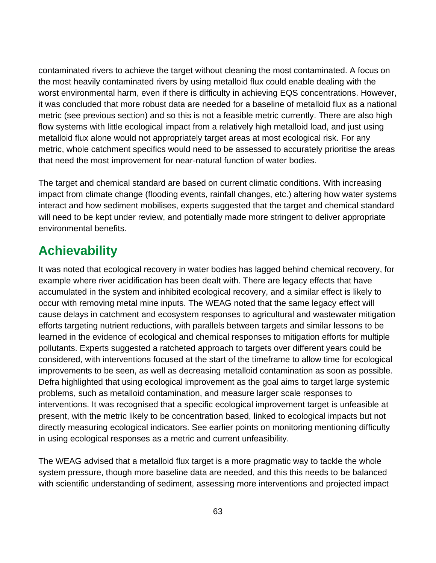contaminated rivers to achieve the target without cleaning the most contaminated. A focus on the most heavily contaminated rivers by using metalloid flux could enable dealing with the worst environmental harm, even if there is difficulty in achieving EQS concentrations. However, it was concluded that more robust data are needed for a baseline of metalloid flux as a national metric (see previous section) and so this is not a feasible metric currently. There are also high flow systems with little ecological impact from a relatively high metalloid load, and just using metalloid flux alone would not appropriately target areas at most ecological risk. For any metric, whole catchment specifics would need to be assessed to accurately prioritise the areas that need the most improvement for near-natural function of water bodies.

The target and chemical standard are based on current climatic conditions. With increasing impact from climate change (flooding events, rainfall changes, etc.) altering how water systems interact and how sediment mobilises, experts suggested that the target and chemical standard will need to be kept under review, and potentially made more stringent to deliver appropriate environmental benefits.

## **Achievability**

It was noted that ecological recovery in water bodies has lagged behind chemical recovery, for example where river acidification has been dealt with. There are legacy effects that have accumulated in the system and inhibited ecological recovery, and a similar effect is likely to occur with removing metal mine inputs. The WEAG noted that the same legacy effect will cause delays in catchment and ecosystem responses to agricultural and wastewater mitigation efforts targeting nutrient reductions, with parallels between targets and similar lessons to be learned in the evidence of ecological and chemical responses to mitigation efforts for multiple pollutants. Experts suggested a ratcheted approach to targets over different years could be considered, with interventions focused at the start of the timeframe to allow time for ecological improvements to be seen, as well as decreasing metalloid contamination as soon as possible. Defra highlighted that using ecological improvement as the goal aims to target large systemic problems, such as metalloid contamination, and measure larger scale responses to interventions. It was recognised that a specific ecological improvement target is unfeasible at present, with the metric likely to be concentration based, linked to ecological impacts but not directly measuring ecological indicators. See earlier points on monitoring mentioning difficulty in using ecological responses as a metric and current unfeasibility.

The WEAG advised that a metalloid flux target is a more pragmatic way to tackle the whole system pressure, though more baseline data are needed, and this this needs to be balanced with scientific understanding of sediment, assessing more interventions and projected impact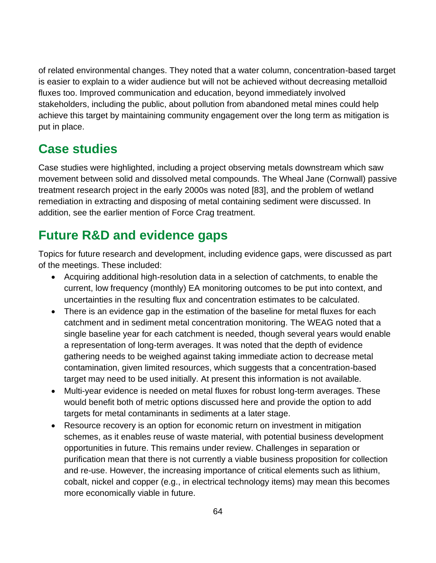of related environmental changes. They noted that a water column, concentration-based target is easier to explain to a wider audience but will not be achieved without decreasing metalloid fluxes too. Improved communication and education, beyond immediately involved stakeholders, including the public, about pollution from abandoned metal mines could help achieve this target by maintaining community engagement over the long term as mitigation is put in place.

### **Case studies**

Case studies were highlighted, including a project observing metals downstream which saw movement between solid and dissolved metal compounds. The Wheal Jane (Cornwall) passive treatment research project in the early 2000s was noted [83], and the problem of wetland remediation in extracting and disposing of metal containing sediment were discussed. In addition, see the earlier mention of Force Crag treatment.

# **Future R&D and evidence gaps**

Topics for future research and development, including evidence gaps, were discussed as part of the meetings. These included:

- Acquiring additional high-resolution data in a selection of catchments, to enable the current, low frequency (monthly) EA monitoring outcomes to be put into context, and uncertainties in the resulting flux and concentration estimates to be calculated.
- There is an evidence gap in the estimation of the baseline for metal fluxes for each catchment and in sediment metal concentration monitoring. The WEAG noted that a single baseline year for each catchment is needed, though several years would enable a representation of long-term averages. It was noted that the depth of evidence gathering needs to be weighed against taking immediate action to decrease metal contamination, given limited resources, which suggests that a concentration-based target may need to be used initially. At present this information is not available.
- Multi-year evidence is needed on metal fluxes for robust long-term averages. These would benefit both of metric options discussed here and provide the option to add targets for metal contaminants in sediments at a later stage.
- Resource recovery is an option for economic return on investment in mitigation schemes, as it enables reuse of waste material, with potential business development opportunities in future. This remains under review. Challenges in separation or purification mean that there is not currently a viable business proposition for collection and re-use. However, the increasing importance of critical elements such as lithium, cobalt, nickel and copper (e.g., in electrical technology items) may mean this becomes more economically viable in future.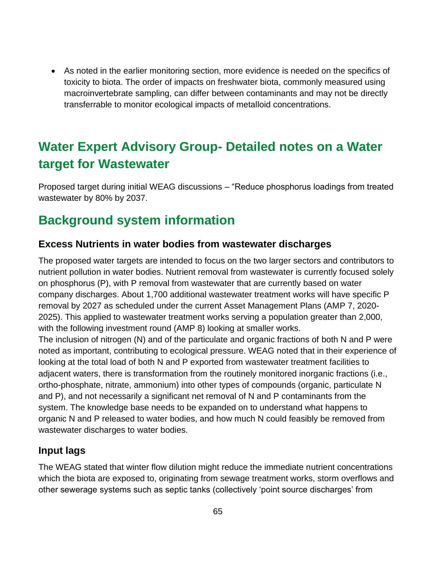• As noted in the earlier monitoring section, more evidence is needed on the specifics of toxicity to biota. The order of impacts on freshwater biota, commonly measured using macroinvertebrate sampling, can differ between contaminants and may not be directly transferrable to monitor ecological impacts of metalloid concentrations.

# **Water Expert Advisory Group- Detailed notes on a Water target for Wastewater**

Proposed target during initial WEAG discussions – "Reduce phosphorus loadings from treated wastewater by 80% by 2037.

# **Background system information**

#### **Excess Nutrients in water bodies from wastewater discharges**

The proposed water targets are intended to focus on the two larger sectors and contributors to nutrient pollution in water bodies. Nutrient removal from wastewater is currently focused solely on phosphorus (P), with P removal from wastewater that are currently based on water company discharges. About 1,700 additional wastewater treatment works will have specific P removal by 2027 as scheduled under the current Asset Management Plans (AMP 7, 2020- 2025). This applied to wastewater treatment works serving a population greater than 2,000, with the following investment round (AMP 8) looking at smaller works.

The inclusion of nitrogen (N) and of the particulate and organic fractions of both N and P were noted as important, contributing to ecological pressure. WEAG noted that in their experience of looking at the total load of both N and P exported from wastewater treatment facilities to adjacent waters, there is transformation from the routinely monitored inorganic fractions (i.e., ortho-phosphate, nitrate, ammonium) into other types of compounds (organic, particulate N and P), and not necessarily a significant net removal of N and P contaminants from the system. The knowledge base needs to be expanded on to understand what happens to organic N and P released to water bodies, and how much N could feasibly be removed from wastewater discharges to water bodies.

#### **Input lags**

The WEAG stated that winter flow dilution might reduce the immediate nutrient concentrations which the biota are exposed to, originating from sewage treatment works, storm overflows and other sewerage systems such as septic tanks (collectively 'point source discharges' from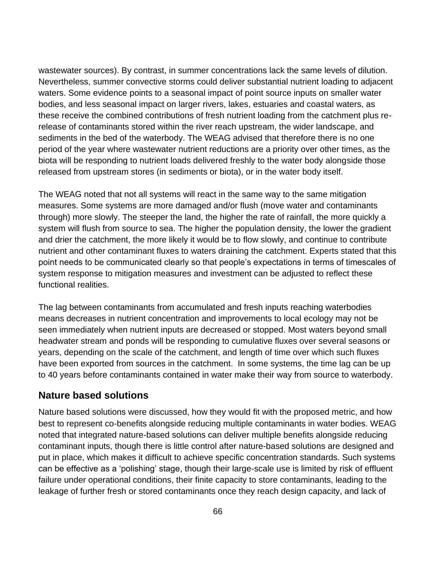wastewater sources). By contrast, in summer concentrations lack the same levels of dilution. Nevertheless, summer convective storms could deliver substantial nutrient loading to adjacent waters. Some evidence points to a seasonal impact of point source inputs on smaller water bodies, and less seasonal impact on larger rivers, lakes, estuaries and coastal waters, as these receive the combined contributions of fresh nutrient loading from the catchment plus rerelease of contaminants stored within the river reach upstream, the wider landscape, and sediments in the bed of the waterbody. The WEAG advised that therefore there is no one period of the year where wastewater nutrient reductions are a priority over other times, as the biota will be responding to nutrient loads delivered freshly to the water body alongside those released from upstream stores (in sediments or biota), or in the water body itself.

The WEAG noted that not all systems will react in the same way to the same mitigation measures. Some systems are more damaged and/or flush (move water and contaminants through) more slowly. The steeper the land, the higher the rate of rainfall, the more quickly a system will flush from source to sea. The higher the population density, the lower the gradient and drier the catchment, the more likely it would be to flow slowly, and continue to contribute nutrient and other contaminant fluxes to waters draining the catchment. Experts stated that this point needs to be communicated clearly so that people's expectations in terms of timescales of system response to mitigation measures and investment can be adjusted to reflect these functional realities.

The lag between contaminants from accumulated and fresh inputs reaching waterbodies means decreases in nutrient concentration and improvements to local ecology may not be seen immediately when nutrient inputs are decreased or stopped. Most waters beyond small headwater stream and ponds will be responding to cumulative fluxes over several seasons or years, depending on the scale of the catchment, and length of time over which such fluxes have been exported from sources in the catchment. In some systems, the time lag can be up to 40 years before contaminants contained in water make their way from source to waterbody.

#### **Nature based solutions**

Nature based solutions were discussed, how they would fit with the proposed metric, and how best to represent co-benefits alongside reducing multiple contaminants in water bodies. WEAG noted that integrated nature-based solutions can deliver multiple benefits alongside reducing contaminant inputs, though there is little control after nature-based solutions are designed and put in place, which makes it difficult to achieve specific concentration standards. Such systems can be effective as a 'polishing' stage, though their large-scale use is limited by risk of effluent failure under operational conditions, their finite capacity to store contaminants, leading to the leakage of further fresh or stored contaminants once they reach design capacity, and lack of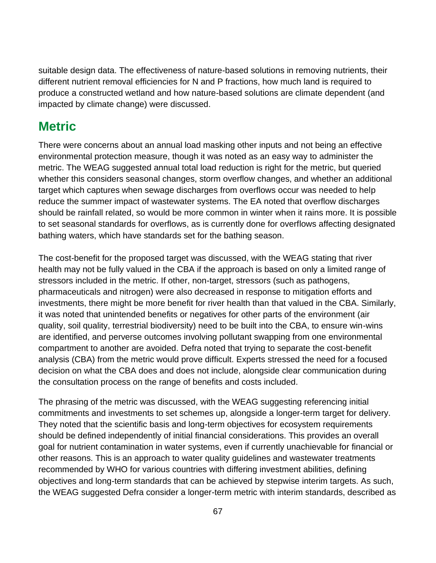suitable design data. The effectiveness of nature-based solutions in removing nutrients, their different nutrient removal efficiencies for N and P fractions, how much land is required to produce a constructed wetland and how nature-based solutions are climate dependent (and impacted by climate change) were discussed.

### **Metric**

There were concerns about an annual load masking other inputs and not being an effective environmental protection measure, though it was noted as an easy way to administer the metric. The WEAG suggested annual total load reduction is right for the metric, but queried whether this considers seasonal changes, storm overflow changes, and whether an additional target which captures when sewage discharges from overflows occur was needed to help reduce the summer impact of wastewater systems. The EA noted that overflow discharges should be rainfall related, so would be more common in winter when it rains more. It is possible to set seasonal standards for overflows, as is currently done for overflows affecting designated bathing waters, which have standards set for the bathing season.

The cost-benefit for the proposed target was discussed, with the WEAG stating that river health may not be fully valued in the CBA if the approach is based on only a limited range of stressors included in the metric. If other, non-target, stressors (such as pathogens, pharmaceuticals and nitrogen) were also decreased in response to mitigation efforts and investments, there might be more benefit for river health than that valued in the CBA. Similarly, it was noted that unintended benefits or negatives for other parts of the environment (air quality, soil quality, terrestrial biodiversity) need to be built into the CBA, to ensure win-wins are identified, and perverse outcomes involving pollutant swapping from one environmental compartment to another are avoided. Defra noted that trying to separate the cost-benefit analysis (CBA) from the metric would prove difficult. Experts stressed the need for a focused decision on what the CBA does and does not include, alongside clear communication during the consultation process on the range of benefits and costs included.

The phrasing of the metric was discussed, with the WEAG suggesting referencing initial commitments and investments to set schemes up, alongside a longer-term target for delivery. They noted that the scientific basis and long-term objectives for ecosystem requirements should be defined independently of initial financial considerations. This provides an overall goal for nutrient contamination in water systems, even if currently unachievable for financial or other reasons. This is an approach to water quality guidelines and wastewater treatments recommended by WHO for various countries with differing investment abilities, defining objectives and long-term standards that can be achieved by stepwise interim targets. As such, the WEAG suggested Defra consider a longer-term metric with interim standards, described as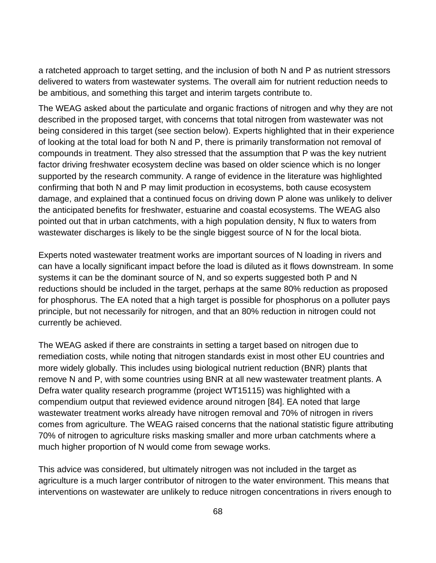a ratcheted approach to target setting, and the inclusion of both N and P as nutrient stressors delivered to waters from wastewater systems. The overall aim for nutrient reduction needs to be ambitious, and something this target and interim targets contribute to.

The WEAG asked about the particulate and organic fractions of nitrogen and why they are not described in the proposed target, with concerns that total nitrogen from wastewater was not being considered in this target (see section below). Experts highlighted that in their experience of looking at the total load for both N and P, there is primarily transformation not removal of compounds in treatment. They also stressed that the assumption that P was the key nutrient factor driving freshwater ecosystem decline was based on older science which is no longer supported by the research community. A range of evidence in the literature was highlighted confirming that both N and P may limit production in ecosystems, both cause ecosystem damage, and explained that a continued focus on driving down P alone was unlikely to deliver the anticipated benefits for freshwater, estuarine and coastal ecosystems. The WEAG also pointed out that in urban catchments, with a high population density, N flux to waters from wastewater discharges is likely to be the single biggest source of N for the local biota.

Experts noted wastewater treatment works are important sources of N loading in rivers and can have a locally significant impact before the load is diluted as it flows downstream. In some systems it can be the dominant source of N, and so experts suggested both P and N reductions should be included in the target, perhaps at the same 80% reduction as proposed for phosphorus. The EA noted that a high target is possible for phosphorus on a polluter pays principle, but not necessarily for nitrogen, and that an 80% reduction in nitrogen could not currently be achieved.

The WEAG asked if there are constraints in setting a target based on nitrogen due to remediation costs, while noting that nitrogen standards exist in most other EU countries and more widely globally. This includes using biological nutrient reduction (BNR) plants that remove N and P, with some countries using BNR at all new wastewater treatment plants. A Defra water quality research programme (project WT15115) was highlighted with a compendium output that reviewed evidence around nitrogen [84]. EA noted that large wastewater treatment works already have nitrogen removal and 70% of nitrogen in rivers comes from agriculture. The WEAG raised concerns that the national statistic figure attributing 70% of nitrogen to agriculture risks masking smaller and more urban catchments where a much higher proportion of N would come from sewage works.

This advice was considered, but ultimately nitrogen was not included in the target as agriculture is a much larger contributor of nitrogen to the water environment. This means that interventions on wastewater are unlikely to reduce nitrogen concentrations in rivers enough to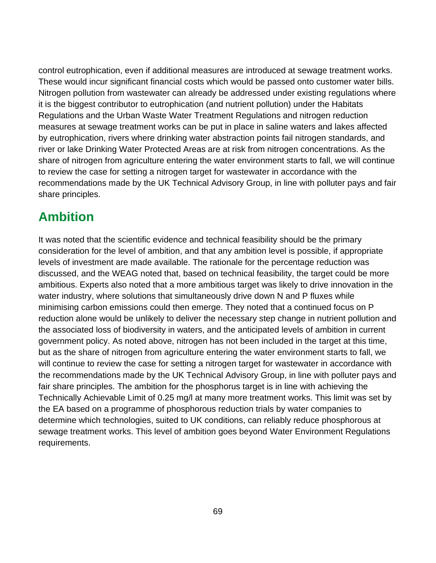control eutrophication, even if additional measures are introduced at sewage treatment works. These would incur significant financial costs which would be passed onto customer water bills. Nitrogen pollution from wastewater can already be addressed under existing regulations where it is the biggest contributor to eutrophication (and nutrient pollution) under the Habitats Regulations and the Urban Waste Water Treatment Regulations and nitrogen reduction measures at sewage treatment works can be put in place in saline waters and lakes affected by eutrophication, rivers where drinking water abstraction points fail nitrogen standards, and river or lake Drinking Water Protected Areas are at risk from nitrogen concentrations. As the share of nitrogen from agriculture entering the water environment starts to fall, we will continue to review the case for setting a nitrogen target for wastewater in accordance with the recommendations made by the UK Technical Advisory Group, in line with polluter pays and fair share principles.

### **Ambition**

It was noted that the scientific evidence and technical feasibility should be the primary consideration for the level of ambition, and that any ambition level is possible, if appropriate levels of investment are made available. The rationale for the percentage reduction was discussed, and the WEAG noted that, based on technical feasibility, the target could be more ambitious. Experts also noted that a more ambitious target was likely to drive innovation in the water industry, where solutions that simultaneously drive down N and P fluxes while minimising carbon emissions could then emerge. They noted that a continued focus on P reduction alone would be unlikely to deliver the necessary step change in nutrient pollution and the associated loss of biodiversity in waters, and the anticipated levels of ambition in current government policy. As noted above, nitrogen has not been included in the target at this time, but as the share of nitrogen from agriculture entering the water environment starts to fall, we will continue to review the case for setting a nitrogen target for wastewater in accordance with the recommendations made by the UK Technical Advisory Group, in line with polluter pays and fair share principles. The ambition for the phosphorus target is in line with achieving the Technically Achievable Limit of 0.25 mg/l at many more treatment works. This limit was set by the EA based on a programme of phosphorous reduction trials by water companies to determine which technologies, suited to UK conditions, can reliably reduce phosphorous at sewage treatment works. This level of ambition goes beyond Water Environment Regulations requirements.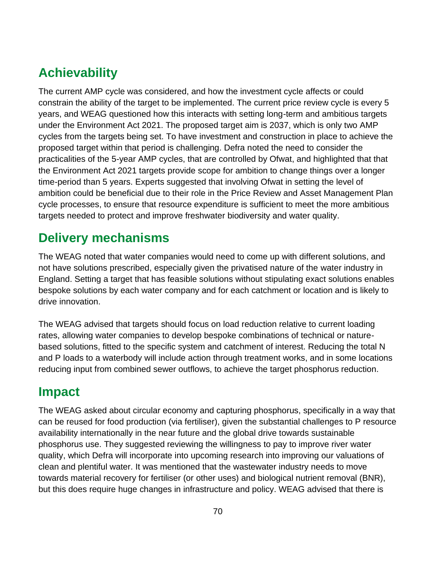# **Achievability**

The current AMP cycle was considered, and how the investment cycle affects or could constrain the ability of the target to be implemented. The current price review cycle is every 5 years, and WEAG questioned how this interacts with setting long-term and ambitious targets under the Environment Act 2021. The proposed target aim is 2037, which is only two AMP cycles from the targets being set. To have investment and construction in place to achieve the proposed target within that period is challenging. Defra noted the need to consider the practicalities of the 5-year AMP cycles, that are controlled by Ofwat, and highlighted that that the Environment Act 2021 targets provide scope for ambition to change things over a longer time-period than 5 years. Experts suggested that involving Ofwat in setting the level of ambition could be beneficial due to their role in the Price Review and Asset Management Plan cycle processes, to ensure that resource expenditure is sufficient to meet the more ambitious targets needed to protect and improve freshwater biodiversity and water quality.

### **Delivery mechanisms**

The WEAG noted that water companies would need to come up with different solutions, and not have solutions prescribed, especially given the privatised nature of the water industry in England. Setting a target that has feasible solutions without stipulating exact solutions enables bespoke solutions by each water company and for each catchment or location and is likely to drive innovation.

The WEAG advised that targets should focus on load reduction relative to current loading rates, allowing water companies to develop bespoke combinations of technical or naturebased solutions, fitted to the specific system and catchment of interest. Reducing the total N and P loads to a waterbody will include action through treatment works, and in some locations reducing input from combined sewer outflows, to achieve the target phosphorus reduction.

### **Impact**

The WEAG asked about circular economy and capturing phosphorus, specifically in a way that can be reused for food production (via fertiliser), given the substantial challenges to P resource availability internationally in the near future and the global drive towards sustainable phosphorus use. They suggested reviewing the willingness to pay to improve river water quality, which Defra will incorporate into upcoming research into improving our valuations of clean and plentiful water. It was mentioned that the wastewater industry needs to move towards material recovery for fertiliser (or other uses) and biological nutrient removal (BNR), but this does require huge changes in infrastructure and policy. WEAG advised that there is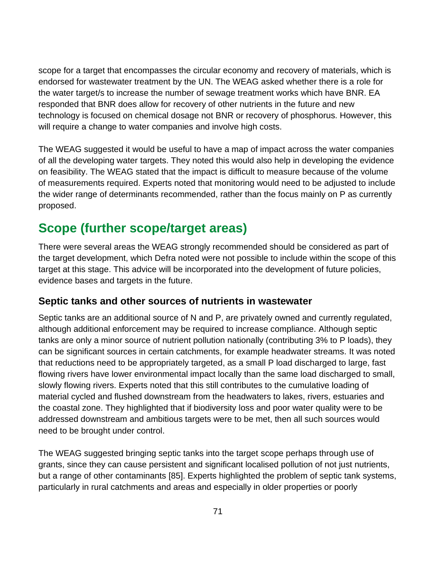scope for a target that encompasses the circular economy and recovery of materials, which is endorsed for wastewater treatment by the UN. The WEAG asked whether there is a role for the water target/s to increase the number of sewage treatment works which have BNR. EA responded that BNR does allow for recovery of other nutrients in the future and new technology is focused on chemical dosage not BNR or recovery of phosphorus. However, this will require a change to water companies and involve high costs.

The WEAG suggested it would be useful to have a map of impact across the water companies of all the developing water targets. They noted this would also help in developing the evidence on feasibility. The WEAG stated that the impact is difficult to measure because of the volume of measurements required. Experts noted that monitoring would need to be adjusted to include the wider range of determinants recommended, rather than the focus mainly on P as currently proposed.

### **Scope (further scope/target areas)**

There were several areas the WEAG strongly recommended should be considered as part of the target development, which Defra noted were not possible to include within the scope of this target at this stage. This advice will be incorporated into the development of future policies, evidence bases and targets in the future.

#### **Septic tanks and other sources of nutrients in wastewater**

Septic tanks are an additional source of N and P, are privately owned and currently regulated, although additional enforcement may be required to increase compliance. Although septic tanks are only a minor source of nutrient pollution nationally (contributing 3% to P loads), they can be significant sources in certain catchments, for example headwater streams. It was noted that reductions need to be appropriately targeted, as a small P load discharged to large, fast flowing rivers have lower environmental impact locally than the same load discharged to small, slowly flowing rivers. Experts noted that this still contributes to the cumulative loading of material cycled and flushed downstream from the headwaters to lakes, rivers, estuaries and the coastal zone. They highlighted that if biodiversity loss and poor water quality were to be addressed downstream and ambitious targets were to be met, then all such sources would need to be brought under control.

The WEAG suggested bringing septic tanks into the target scope perhaps through use of grants, since they can cause persistent and significant localised pollution of not just nutrients, but a range of other contaminants [85]. Experts highlighted the problem of septic tank systems, particularly in rural catchments and areas and especially in older properties or poorly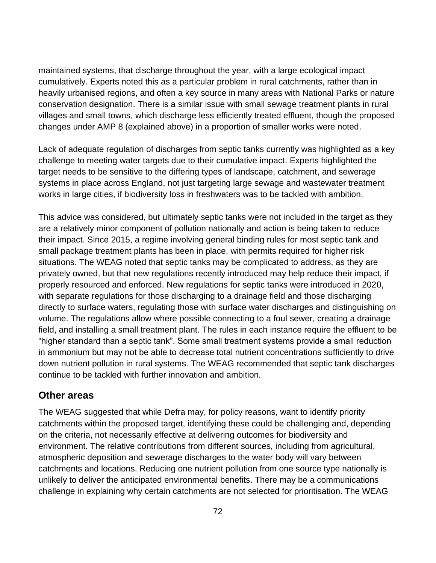maintained systems, that discharge throughout the year, with a large ecological impact cumulatively. Experts noted this as a particular problem in rural catchments, rather than in heavily urbanised regions, and often a key source in many areas with National Parks or nature conservation designation. There is a similar issue with small sewage treatment plants in rural villages and small towns, which discharge less efficiently treated effluent, though the proposed changes under AMP 8 (explained above) in a proportion of smaller works were noted.

Lack of adequate regulation of discharges from septic tanks currently was highlighted as a key challenge to meeting water targets due to their cumulative impact. Experts highlighted the target needs to be sensitive to the differing types of landscape, catchment, and sewerage systems in place across England, not just targeting large sewage and wastewater treatment works in large cities, if biodiversity loss in freshwaters was to be tackled with ambition.

This advice was considered, but ultimately septic tanks were not included in the target as they are a relatively minor component of pollution nationally and action is being taken to reduce their impact. Since 2015, a regime involving general binding rules for most septic tank and small package treatment plants has been in place, with permits required for higher risk situations. The WEAG noted that septic tanks may be complicated to address, as they are privately owned, but that new regulations recently introduced may help reduce their impact, if properly resourced and enforced. New regulations for septic tanks were introduced in 2020, with separate regulations for those discharging to a drainage field and those discharging directly to surface waters, regulating those with surface water discharges and distinguishing on volume. The regulations allow where possible connecting to a foul sewer, creating a drainage field, and installing a small treatment plant. The rules in each instance require the effluent to be "higher standard than a septic tank". Some small treatment systems provide a small reduction in ammonium but may not be able to decrease total nutrient concentrations sufficiently to drive down nutrient pollution in rural systems. The WEAG recommended that septic tank discharges continue to be tackled with further innovation and ambition.

#### **Other areas**

The WEAG suggested that while Defra may, for policy reasons, want to identify priority catchments within the proposed target, identifying these could be challenging and, depending on the criteria, not necessarily effective at delivering outcomes for biodiversity and environment. The relative contributions from different sources, including from agricultural, atmospheric deposition and sewerage discharges to the water body will vary between catchments and locations. Reducing one nutrient pollution from one source type nationally is unlikely to deliver the anticipated environmental benefits. There may be a communications challenge in explaining why certain catchments are not selected for prioritisation. The WEAG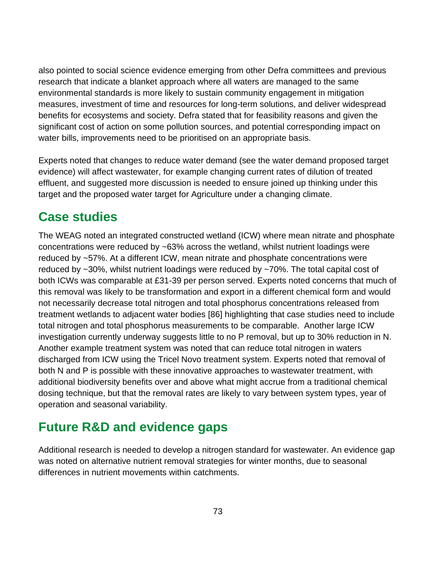also pointed to social science evidence emerging from other Defra committees and previous research that indicate a blanket approach where all waters are managed to the same environmental standards is more likely to sustain community engagement in mitigation measures, investment of time and resources for long-term solutions, and deliver widespread benefits for ecosystems and society. Defra stated that for feasibility reasons and given the significant cost of action on some pollution sources, and potential corresponding impact on water bills, improvements need to be prioritised on an appropriate basis.

Experts noted that changes to reduce water demand (see the water demand proposed target evidence) will affect wastewater, for example changing current rates of dilution of treated effluent, and suggested more discussion is needed to ensure joined up thinking under this target and the proposed water target for Agriculture under a changing climate.

#### **Case studies**

The WEAG noted an integrated constructed wetland (ICW) where mean nitrate and phosphate concentrations were reduced by ~63% across the wetland, whilst nutrient loadings were reduced by ~57%. At a different ICW, mean nitrate and phosphate concentrations were reduced by ~30%, whilst nutrient loadings were reduced by ~70%. The total capital cost of both ICWs was comparable at £31-39 per person served. Experts noted concerns that much of this removal was likely to be transformation and export in a different chemical form and would not necessarily decrease total nitrogen and total phosphorus concentrations released from treatment wetlands to adjacent water bodies [86] highlighting that case studies need to include total nitrogen and total phosphorus measurements to be comparable. Another large ICW investigation currently underway suggests little to no P removal, but up to 30% reduction in N. Another example treatment system was noted that can reduce total nitrogen in waters discharged from ICW using the Tricel Novo treatment system. Experts noted that removal of both N and P is possible with these innovative approaches to wastewater treatment, with additional biodiversity benefits over and above what might accrue from a traditional chemical dosing technique, but that the removal rates are likely to vary between system types, year of operation and seasonal variability.

### **Future R&D and evidence gaps**

Additional research is needed to develop a nitrogen standard for wastewater. An evidence gap was noted on alternative nutrient removal strategies for winter months, due to seasonal differences in nutrient movements within catchments.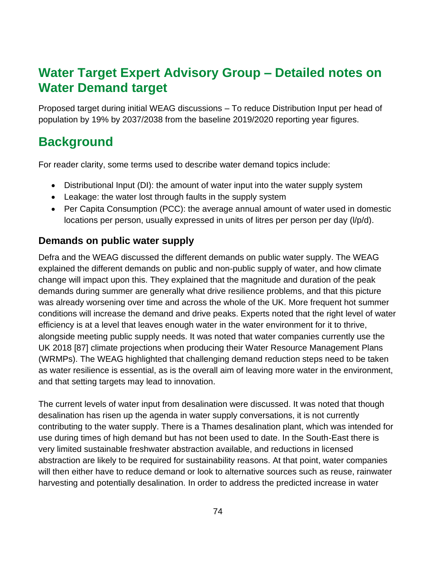#### **Water Target Expert Advisory Group – Detailed notes on Water Demand target**

Proposed target during initial WEAG discussions – To reduce Distribution Input per head of population by 19% by 2037/2038 from the baseline 2019/2020 reporting year figures.

# **Background**

For reader clarity, some terms used to describe water demand topics include:

- Distributional Input (DI): the amount of water input into the water supply system
- Leakage: the water lost through faults in the supply system
- Per Capita Consumption (PCC): the average annual amount of water used in domestic locations per person, usually expressed in units of litres per person per day (l/p/d).

#### **Demands on public water supply**

Defra and the WEAG discussed the different demands on public water supply. The WEAG explained the different demands on public and non-public supply of water, and how climate change will impact upon this. They explained that the magnitude and duration of the peak demands during summer are generally what drive resilience problems, and that this picture was already worsening over time and across the whole of the UK. More frequent hot summer conditions will increase the demand and drive peaks. Experts noted that the right level of water efficiency is at a level that leaves enough water in the water environment for it to thrive, alongside meeting public supply needs. It was noted that water companies currently use the UK 2018 [87] climate projections when producing their Water Resource Management Plans (WRMPs). The WEAG highlighted that challenging demand reduction steps need to be taken as water resilience is essential, as is the overall aim of leaving more water in the environment, and that setting targets may lead to innovation.

The current levels of water input from desalination were discussed. It was noted that though desalination has risen up the agenda in water supply conversations, it is not currently contributing to the water supply. There is a Thames desalination plant, which was intended for use during times of high demand but has not been used to date. In the South-East there is very limited sustainable freshwater abstraction available, and reductions in licensed abstraction are likely to be required for sustainability reasons. At that point, water companies will then either have to reduce demand or look to alternative sources such as reuse, rainwater harvesting and potentially desalination. In order to address the predicted increase in water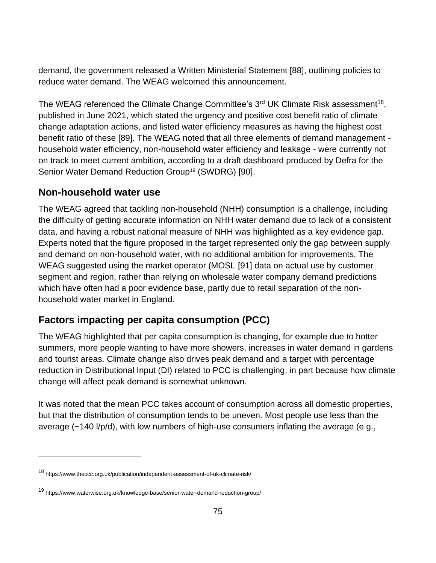demand, the government released a Written Ministerial Statement [88], outlining policies to reduce water demand. The WEAG welcomed this announcement.

The WEAG referenced the Climate Change Committee's  $3<sup>rd</sup>$  UK Climate Risk assessment<sup>18</sup>, published in June 2021, which stated the urgency and positive cost benefit ratio of climate change adaptation actions, and listed water efficiency measures as having the highest cost benefit ratio of these [89]. The WEAG noted that all three elements of demand management household water efficiency, non-household water efficiency and leakage - were currently not on track to meet current ambition, according to a draft dashboard produced by Defra for the Senior Water Demand Reduction Group<sup>19</sup> (SWDRG) [90].

#### **Non-household water use**

The WEAG agreed that tackling non-household (NHH) consumption is a challenge, including the difficulty of getting accurate information on NHH water demand due to lack of a consistent data, and having a robust national measure of NHH was highlighted as a key evidence gap. Experts noted that the figure proposed in the target represented only the gap between supply and demand on non-household water, with no additional ambition for improvements. The WEAG suggested using the market operator (MOSL [91] data on actual use by customer segment and region, rather than relying on wholesale water company demand predictions which have often had a poor evidence base, partly due to retail separation of the nonhousehold water market in England.

#### **Factors impacting per capita consumption (PCC)**

The WEAG highlighted that per capita consumption is changing, for example due to hotter summers, more people wanting to have more showers, increases in water demand in gardens and tourist areas. Climate change also drives peak demand and a target with percentage reduction in Distributional Input (DI) related to PCC is challenging, in part because how climate change will affect peak demand is somewhat unknown.

It was noted that the mean PCC takes account of consumption across all domestic properties, but that the distribution of consumption tends to be uneven. Most people use less than the average (~140 l/p/d), with low numbers of high-use consumers inflating the average (e.g.,

<sup>18</sup> https://www.theccc.org.uk/publication/independent-assessment-of-uk-climate-risk/

<sup>19</sup> https://www.waterwise.org.uk/knowledge-base/senior-water-demand-reduction-group/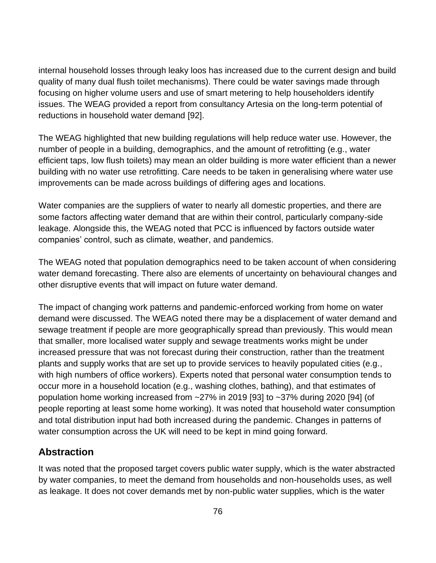internal household losses through leaky loos has increased due to the current design and build quality of many dual flush toilet mechanisms). There could be water savings made through focusing on higher volume users and use of smart metering to help householders identify issues. The WEAG provided a report from consultancy Artesia on the long-term potential of reductions in household water demand [92].

The WEAG highlighted that new building regulations will help reduce water use. However, the number of people in a building, demographics, and the amount of retrofitting (e.g., water efficient taps, low flush toilets) may mean an older building is more water efficient than a newer building with no water use retrofitting. Care needs to be taken in generalising where water use improvements can be made across buildings of differing ages and locations.

Water companies are the suppliers of water to nearly all domestic properties, and there are some factors affecting water demand that are within their control, particularly company-side leakage. Alongside this, the WEAG noted that PCC is influenced by factors outside water companies' control, such as climate, weather, and pandemics.

The WEAG noted that population demographics need to be taken account of when considering water demand forecasting. There also are elements of uncertainty on behavioural changes and other disruptive events that will impact on future water demand.

The impact of changing work patterns and pandemic-enforced working from home on water demand were discussed. The WEAG noted there may be a displacement of water demand and sewage treatment if people are more geographically spread than previously. This would mean that smaller, more localised water supply and sewage treatments works might be under increased pressure that was not forecast during their construction, rather than the treatment plants and supply works that are set up to provide services to heavily populated cities (e.g., with high numbers of office workers). Experts noted that personal water consumption tends to occur more in a household location (e.g., washing clothes, bathing), and that estimates of population home working increased from ~27% in 2019 [93] to ~37% during 2020 [94] (of people reporting at least some home working). It was noted that household water consumption and total distribution input had both increased during the pandemic. Changes in patterns of water consumption across the UK will need to be kept in mind going forward.

#### **Abstraction**

It was noted that the proposed target covers public water supply, which is the water abstracted by water companies, to meet the demand from households and non-households uses, as well as leakage. It does not cover demands met by non-public water supplies, which is the water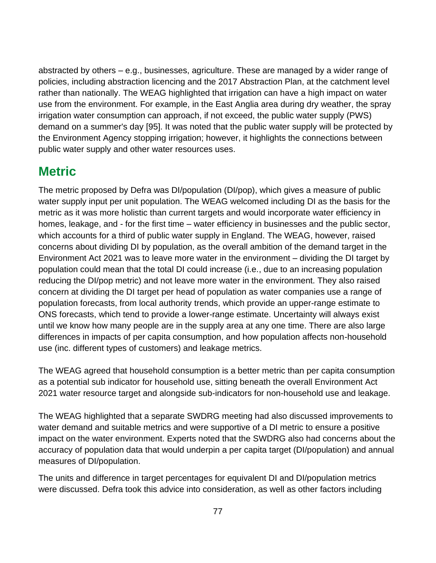abstracted by others – e.g., businesses, agriculture. These are managed by a wider range of policies, including abstraction licencing and the 2017 Abstraction Plan, at the catchment level rather than nationally. The WEAG highlighted that irrigation can have a high impact on water use from the environment. For example, in the East Anglia area during dry weather, the spray irrigation water consumption can approach, if not exceed, the public water supply (PWS) demand on a summer's day [95]. It was noted that the public water supply will be protected by the Environment Agency stopping irrigation; however, it highlights the connections between public water supply and other water resources uses.

#### **Metric**

The metric proposed by Defra was DI/population (DI/pop), which gives a measure of public water supply input per unit population. The WEAG welcomed including DI as the basis for the metric as it was more holistic than current targets and would incorporate water efficiency in homes, leakage, and - for the first time – water efficiency in businesses and the public sector, which accounts for a third of public water supply in England. The WEAG, however, raised concerns about dividing DI by population, as the overall ambition of the demand target in the Environment Act 2021 was to leave more water in the environment – dividing the DI target by population could mean that the total DI could increase (i.e., due to an increasing population reducing the DI/pop metric) and not leave more water in the environment. They also raised concern at dividing the DI target per head of population as water companies use a range of population forecasts, from local authority trends, which provide an upper-range estimate to ONS forecasts, which tend to provide a lower-range estimate. Uncertainty will always exist until we know how many people are in the supply area at any one time. There are also large differences in impacts of per capita consumption, and how population affects non-household use (inc. different types of customers) and leakage metrics.

The WEAG agreed that household consumption is a better metric than per capita consumption as a potential sub indicator for household use, sitting beneath the overall Environment Act 2021 water resource target and alongside sub-indicators for non-household use and leakage.

The WEAG highlighted that a separate SWDRG meeting had also discussed improvements to water demand and suitable metrics and were supportive of a DI metric to ensure a positive impact on the water environment. Experts noted that the SWDRG also had concerns about the accuracy of population data that would underpin a per capita target (DI/population) and annual measures of DI/population.

The units and difference in target percentages for equivalent DI and DI/population metrics were discussed. Defra took this advice into consideration, as well as other factors including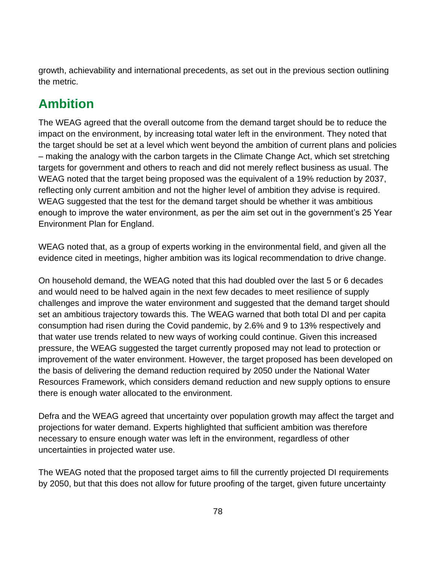growth, achievability and international precedents, as set out in the previous section outlining the metric.

# **Ambition**

The WEAG agreed that the overall outcome from the demand target should be to reduce the impact on the environment, by increasing total water left in the environment. They noted that the target should be set at a level which went beyond the ambition of current plans and policies – making the analogy with the carbon targets in the Climate Change Act, which set stretching targets for government and others to reach and did not merely reflect business as usual. The WEAG noted that the target being proposed was the equivalent of a 19% reduction by 2037, reflecting only current ambition and not the higher level of ambition they advise is required. WEAG suggested that the test for the demand target should be whether it was ambitious enough to improve the water environment, as per the aim set out in the government's 25 Year Environment Plan for England.

WEAG noted that, as a group of experts working in the environmental field, and given all the evidence cited in meetings, higher ambition was its logical recommendation to drive change.

On household demand, the WEAG noted that this had doubled over the last 5 or 6 decades and would need to be halved again in the next few decades to meet resilience of supply challenges and improve the water environment and suggested that the demand target should set an ambitious trajectory towards this. The WEAG warned that both total DI and per capita consumption had risen during the Covid pandemic, by 2.6% and 9 to 13% respectively and that water use trends related to new ways of working could continue. Given this increased pressure, the WEAG suggested the target currently proposed may not lead to protection or improvement of the water environment. However, the target proposed has been developed on the basis of delivering the demand reduction required by 2050 under the National Water Resources Framework, which considers demand reduction and new supply options to ensure there is enough water allocated to the environment.

Defra and the WEAG agreed that uncertainty over population growth may affect the target and projections for water demand. Experts highlighted that sufficient ambition was therefore necessary to ensure enough water was left in the environment, regardless of other uncertainties in projected water use.

The WEAG noted that the proposed target aims to fill the currently projected DI requirements by 2050, but that this does not allow for future proofing of the target, given future uncertainty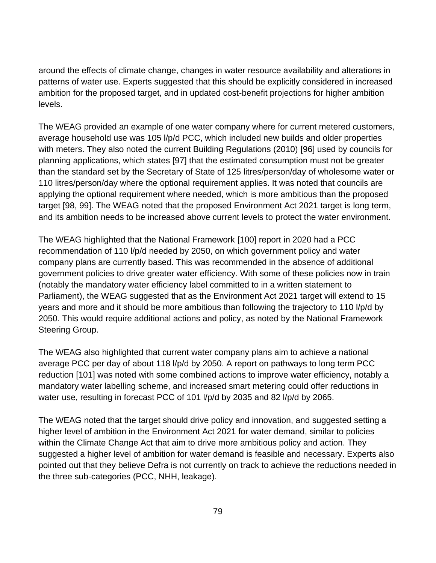around the effects of climate change, changes in water resource availability and alterations in patterns of water use. Experts suggested that this should be explicitly considered in increased ambition for the proposed target, and in updated cost-benefit projections for higher ambition levels.

The WEAG provided an example of one water company where for current metered customers, average household use was 105 l/p/d PCC, which included new builds and older properties with meters. They also noted the current Building Regulations (2010) [96] used by councils for planning applications, which states [97] that the estimated consumption must not be greater than the standard set by the Secretary of State of 125 litres/person/day of wholesome water or 110 litres/person/day where the optional requirement applies. It was noted that councils are applying the optional requirement where needed, which is more ambitious than the proposed target [98, 99]. The WEAG noted that the proposed Environment Act 2021 target is long term, and its ambition needs to be increased above current levels to protect the water environment.

The WEAG highlighted that the National Framework [100] report in 2020 had a PCC recommendation of 110 l/p/d needed by 2050, on which government policy and water company plans are currently based. This was recommended in the absence of additional government policies to drive greater water efficiency. With some of these policies now in train (notably the mandatory water efficiency label committed to in a written statement to Parliament), the WEAG suggested that as the Environment Act 2021 target will extend to 15 years and more and it should be more ambitious than following the trajectory to 110 l/p/d by 2050. This would require additional actions and policy, as noted by the National Framework Steering Group.

The WEAG also highlighted that current water company plans aim to achieve a national average PCC per day of about 118 l/p/d by 2050. A report on pathways to long term PCC reduction [101] was noted with some combined actions to improve water efficiency, notably a mandatory water labelling scheme, and increased smart metering could offer reductions in water use, resulting in forecast PCC of 101 l/p/d by 2035 and 82 l/p/d by 2065.

The WEAG noted that the target should drive policy and innovation, and suggested setting a higher level of ambition in the Environment Act 2021 for water demand, similar to policies within the Climate Change Act that aim to drive more ambitious policy and action. They suggested a higher level of ambition for water demand is feasible and necessary. Experts also pointed out that they believe Defra is not currently on track to achieve the reductions needed in the three sub-categories (PCC, NHH, leakage).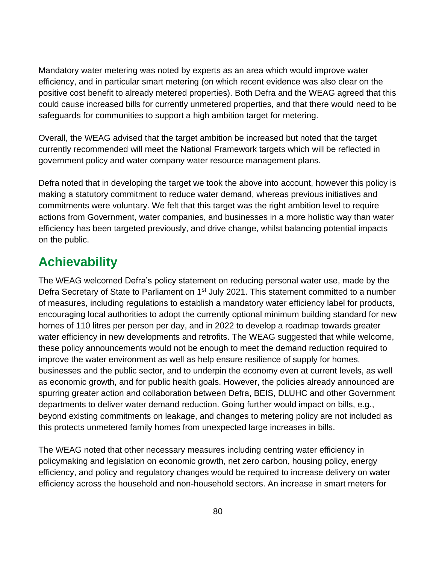Mandatory water metering was noted by experts as an area which would improve water efficiency, and in particular smart metering (on which recent evidence was also clear on the positive cost benefit to already metered properties). Both Defra and the WEAG agreed that this could cause increased bills for currently unmetered properties, and that there would need to be safeguards for communities to support a high ambition target for metering.

Overall, the WEAG advised that the target ambition be increased but noted that the target currently recommended will meet the National Framework targets which will be reflected in government policy and water company water resource management plans.

Defra noted that in developing the target we took the above into account, however this policy is making a statutory commitment to reduce water demand, whereas previous initiatives and commitments were voluntary. We felt that this target was the right ambition level to require actions from Government, water companies, and businesses in a more holistic way than water efficiency has been targeted previously, and drive change, whilst balancing potential impacts on the public.

# **Achievability**

The WEAG welcomed [Defra's policy statement on reducing personal water use,](https://questions-statements.parliament.uk/written-statements/detail/2021-07-01/hcws140) made by the Defra Secretary of State to Parliament on 1<sup>st</sup> July 2021. This statement committed to a number of measures, including regulations to establish a mandatory water efficiency label for products, encouraging local authorities to adopt the currently optional minimum building standard for new homes of 110 litres per person per day, and in 2022 to develop a roadmap towards greater water efficiency in new developments and retrofits. The WEAG suggested that while welcome, these policy announcements would not be enough to meet the demand reduction required to improve the water environment as well as help ensure resilience of supply for homes, businesses and the public sector, and to underpin the economy even at current levels, as well as economic growth, and for public health goals. However, the policies already announced are spurring greater action and collaboration between Defra, BEIS, DLUHC and other Government departments to deliver water demand reduction. Going further would impact on bills, e.g., beyond existing commitments on leakage, and changes to metering policy are not included as this protects unmetered family homes from unexpected large increases in bills.

The WEAG noted that other necessary measures including centring water efficiency in policymaking and legislation on economic growth, net zero carbon, housing policy, energy efficiency, and policy and regulatory changes would be required to increase delivery on water efficiency across the household and non-household sectors. An increase in smart meters for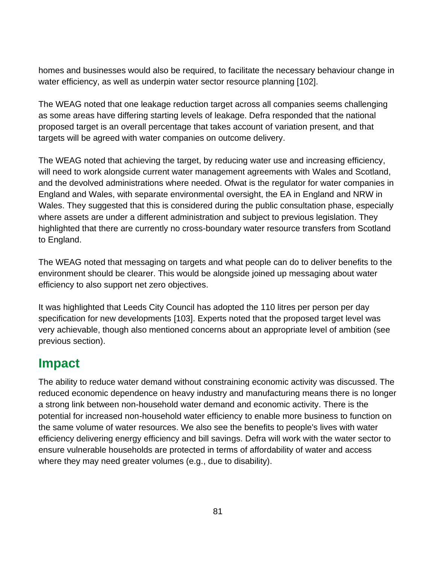homes and businesses would also be required, to facilitate the necessary behaviour change in water efficiency, as well as underpin water sector resource planning [102].

The WEAG noted that one leakage reduction target across all companies seems challenging as some areas have differing starting levels of leakage. Defra responded that the national proposed target is an overall percentage that takes account of variation present, and that targets will be agreed with water companies on outcome delivery.

The WEAG noted that achieving the target, by reducing water use and increasing efficiency, will need to work alongside current water management agreements with Wales and Scotland, and the devolved administrations where needed. Ofwat is the regulator for water companies in England and Wales, with separate environmental oversight, the EA in England and NRW in Wales. They suggested that this is considered during the public consultation phase, especially where assets are under a different administration and subject to previous legislation. They highlighted that there are currently no cross-boundary water resource transfers from Scotland to England.

The WEAG noted that messaging on targets and what people can do to deliver benefits to the environment should be clearer. This would be alongside joined up messaging about water efficiency to also support net zero objectives.

It was highlighted that Leeds City Council has adopted the 110 litres per person per day specification for new developments [103]. Experts noted that the proposed target level was very achievable, though also mentioned concerns about an appropriate level of ambition (see previous section).

### **Impact**

The ability to reduce water demand without constraining economic activity was discussed. The reduced economic dependence on heavy industry and manufacturing means there is no longer a strong link between non-household water demand and economic activity. There is the potential for increased non-household water efficiency to enable more business to function on the same volume of water resources. We also see the benefits to people's lives with water efficiency delivering energy efficiency and bill savings. Defra will work with the water sector to ensure vulnerable households are protected in terms of affordability of water and access where they may need greater volumes (e.g., due to disability).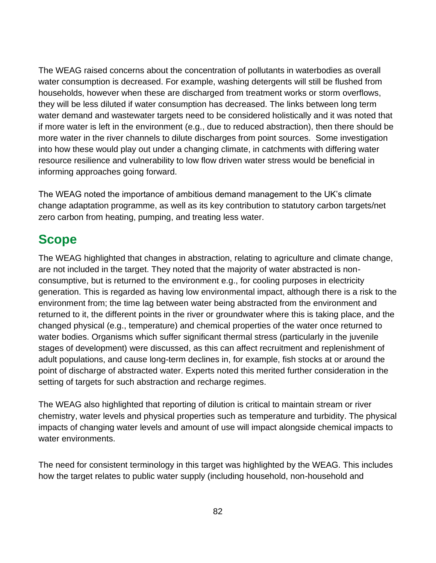The WEAG raised concerns about the concentration of pollutants in waterbodies as overall water consumption is decreased. For example, washing detergents will still be flushed from households, however when these are discharged from treatment works or storm overflows, they will be less diluted if water consumption has decreased. The links between long term water demand and wastewater targets need to be considered holistically and it was noted that if more water is left in the environment (e.g., due to reduced abstraction), then there should be more water in the river channels to dilute discharges from point sources. Some investigation into how these would play out under a changing climate, in catchments with differing water resource resilience and vulnerability to low flow driven water stress would be beneficial in informing approaches going forward.

The WEAG noted the importance of ambitious demand management to the UK's climate change adaptation programme, as well as its key contribution to statutory carbon targets/net zero carbon from heating, pumping, and treating less water.

#### **Scope**

The WEAG highlighted that changes in abstraction, relating to agriculture and climate change, are not included in the target. They noted that the majority of water abstracted is nonconsumptive, but is returned to the environment e.g., for cooling purposes in electricity generation. This is regarded as having low environmental impact, although there is a risk to the environment from; the time lag between water being abstracted from the environment and returned to it, the different points in the river or groundwater where this is taking place, and the changed physical (e.g., temperature) and chemical properties of the water once returned to water bodies. Organisms which suffer significant thermal stress (particularly in the juvenile stages of development) were discussed, as this can affect recruitment and replenishment of adult populations, and cause long-term declines in, for example, fish stocks at or around the point of discharge of abstracted water. Experts noted this merited further consideration in the setting of targets for such abstraction and recharge regimes.

The WEAG also highlighted that reporting of dilution is critical to maintain stream or river chemistry, water levels and physical properties such as temperature and turbidity. The physical impacts of changing water levels and amount of use will impact alongside chemical impacts to water environments.

The need for consistent terminology in this target was highlighted by the WEAG. This includes how the target relates to public water supply (including household, non-household and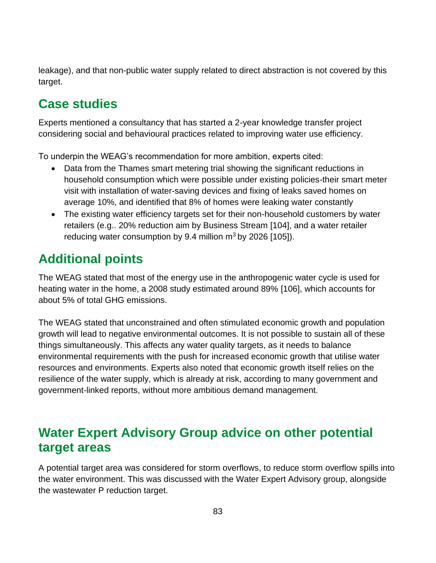leakage), and that non-public water supply related to direct abstraction is not covered by this target.

# **Case studies**

Experts mentioned a consultancy that has started a 2-year knowledge transfer project considering social and behavioural practices related to improving water use efficiency.

To underpin the WEAG's recommendation for more ambition, experts cited:

- Data from the Thames smart metering trial showing the significant reductions in household consumption which were possible under existing policies-their smart meter visit with installation of water-saving devices and fixing of leaks saved homes on average 10%, and identified that 8% of homes were leaking water constantly
- The existing water efficiency targets set for their non-household customers by water retailers (e.g.. 20% reduction aim by Business Stream [104], and a water retailer reducing water consumption by 9.4 million  $m<sup>3</sup>$  by 2026 [105]).

# **Additional points**

The WEAG stated that most of the energy use in the anthropogenic water cycle is used for heating water in the home, a 2008 study estimated around 89% [106], which accounts for about 5% of total GHG emissions.

The WEAG stated that unconstrained and often stimulated economic growth and population growth will lead to negative environmental outcomes. It is not possible to sustain all of these things simultaneously. This affects any water quality targets, as it needs to balance environmental requirements with the push for increased economic growth that utilise water resources and environments. Experts also noted that economic growth itself relies on the resilience of the water supply, which is already at risk, according to many government and government-linked reports, without more ambitious demand management.

### **Water Expert Advisory Group advice on other potential target areas**

A potential target area was considered for storm overflows, to reduce storm overflow spills into the water environment. This was discussed with the Water Expert Advisory group, alongside the wastewater P reduction target.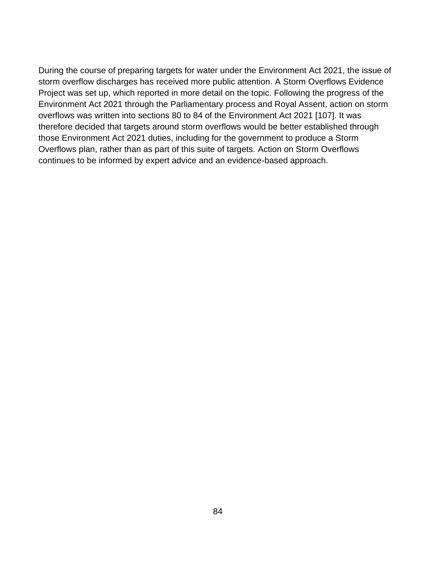During the course of preparing targets for water under the Environment Act 2021, the issue of storm overflow discharges has received more public attention. A Storm Overflows Evidence Project was set up, which reported in more detail on the topic. Following the progress of the Environment Act 2021 through the Parliamentary process and Royal Assent, action on storm overflows was written into sections 80 to 84 of the Environment Act 2021 [107]. It was therefore decided that targets around storm overflows would be better established through those Environment Act 2021 duties, including for the government to produce a Storm Overflows plan, rather than as part of this suite of targets. Action on Storm Overflows continues to be informed by expert advice and an evidence-based approach.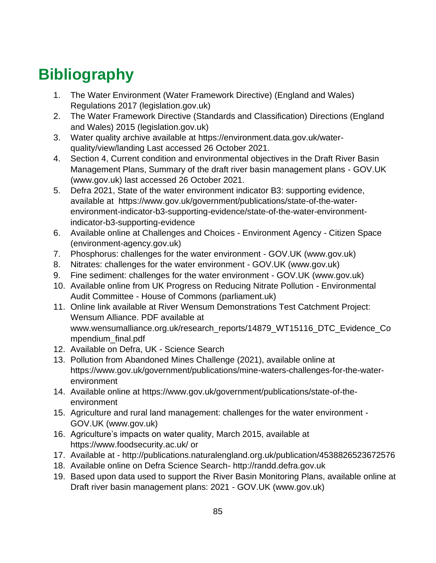# **Bibliography**

- 1. The Water Environment (Water Framework Directive) (England and Wales) Regulations 2017 (legislation.gov.uk)
- 2. The Water Framework Directive (Standards and Classification) Directions (England and Wales) 2015 (legislation.gov.uk)
- 3. Water quality archive available at https://environment.data.gov.uk/waterquality/view/landing Last accessed 26 October 2021.
- 4. Section 4, Current condition and environmental objectives in the Draft River Basin Management Plans, Summary of the draft river basin management plans - GOV.UK (www.gov.uk) last accessed 26 October 2021.
- 5. Defra 2021, State of the water environment indicator B3: supporting evidence, available at [https://www.gov.uk/government/publications/state-of-the-water](https://www.gov.uk/government/publications/state-of-the-water-environment-indicator-b3-supporting-evidence/state-of-the-water-environment-indicator-b3-supporting-evidence)[environment-indicator-b3-supporting-evidence/state-of-the-water-environment](https://www.gov.uk/government/publications/state-of-the-water-environment-indicator-b3-supporting-evidence/state-of-the-water-environment-indicator-b3-supporting-evidence)[indicator-b3-supporting-evidence](https://www.gov.uk/government/publications/state-of-the-water-environment-indicator-b3-supporting-evidence/state-of-the-water-environment-indicator-b3-supporting-evidence)
- 6. Available online at Challenges and Choices Environment Agency Citizen Space (environment-agency.gov.uk)
- 7. Phosphorus: challenges for the water environment GOV.UK (www.gov.uk)
- 8. Nitrates: challenges for the water environment GOV.UK (www.gov.uk)
- 9. Fine sediment: challenges for the water environment GOV.UK (www.gov.uk)
- 10. Available online from UK Progress on Reducing Nitrate Pollution Environmental Audit Committee - House of Commons (parliament.uk)
- 11. Online link available at [River Wensum Demonstrations Test Catchment Project:](http://www.wensumalliance.org.uk/)  [Wensum Alliance.](http://www.wensumalliance.org.uk/) PDF available at [www.wensumalliance.org.uk/research\\_reports/14879\\_WT15116\\_DTC\\_Evidence\\_Co](http://www.wensumalliance.org.uk/research_reports/14879_WT15116_DTC_Evidence_Compendium_final.pdf) [mpendium\\_final.pdf](http://www.wensumalliance.org.uk/research_reports/14879_WT15116_DTC_Evidence_Compendium_final.pdf)
- 12. Available on Defra, UK Science Search
- 13. Pollution from Abandoned Mines Challenge (2021), available online at https://www.gov.uk/government/publications/mine-waters-challenges-for-the-waterenvironment
- 14. Available online at https://www.gov.uk/government/publications/state-of-theenvironment
- 15. Agriculture and rural land management: challenges for the water environment GOV.UK (www.gov.uk)
- 16. Agriculture's impacts on water quality, March 2015, available at https://www.foodsecurity.ac.uk/ or
- 17. Available at http://publications.naturalengland.org.uk/publication/4538826523672576
- 18. Available online on Defra Science Search- http://randd.defra.gov.uk
- 19. Based upon data used to support the River Basin Monitoring Plans, available online at Draft river basin management plans: 2021 - GOV.UK (www.gov.uk)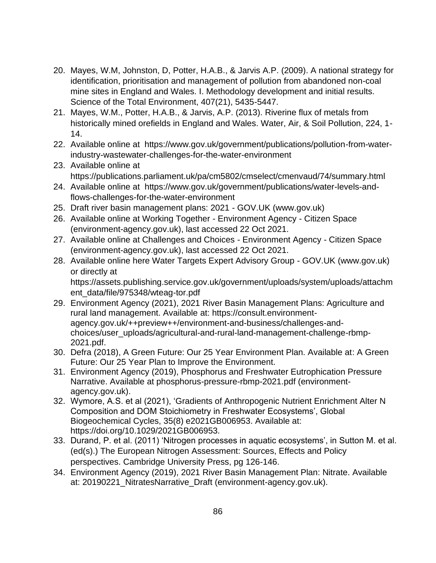- 20. Mayes, W.M, Johnston, D, Potter, H.A.B., & Jarvis A.P. (2009). A national strategy for identification, prioritisation and management of pollution from abandoned non-coal mine sites in England and Wales. I. Methodology development and initial results. Science of the Total Environment, 407(21), 5435-5447.
- 21. Mayes, W.M., Potter, H.A.B., & Jarvis, A.P. (2013). Riverine flux of metals from historically mined orefields in England and Wales. Water, Air, & Soil Pollution, 224, 1- 14.
- 22. Available online at https://www.gov.uk/government/publications/pollution-from-waterindustry-wastewater-challenges-for-the-water-environment
- 23. Available online at https://publications.parliament.uk/pa/cm5802/cmselect/cmenvaud/74/summary.html
- 24. Available online at https://www.gov.uk/government/publications/water-levels-andflows-challenges-for-the-water-environment
- 25. Draft river basin management plans: 2021 GOV.UK (www.gov.uk)
- 26. Available online at Working Together Environment Agency Citizen Space (environment-agency.gov.uk), last accessed 22 Oct 2021.
- 27. Available online at Challenges and Choices Environment Agency Citizen Space (environment-agency.gov.uk), last accessed 22 Oct 2021.
- 28. Available online here Water Targets Expert Advisory Group GOV.UK (www.gov.uk) or directly at https://assets.publishing.service.gov.uk/government/uploads/system/uploads/attachm

ent\_data/file/975348/wteag-tor.pdf

- 29. Environment Agency (2021), 2021 River Basin Management Plans: Agriculture and rural land management. Available at: https://consult.environmentagency.gov.uk/++preview++/environment-and-business/challenges-andchoices/user\_uploads/agricultural-and-rural-land-management-challenge-rbmp-2021.pdf.
- 30. Defra (2018), A Green Future: Our 25 Year Environment Plan. Available at: A Green Future: Our 25 Year Plan to Improve the Environment.
- 31. Environment Agency (2019), Phosphorus and Freshwater Eutrophication Pressure Narrative. Available at phosphorus-pressure-rbmp-2021.pdf (environmentagency.gov.uk).
- 32. Wymore, A.S. et al (2021), 'Gradients of Anthropogenic Nutrient Enrichment Alter N Composition and DOM Stoichiometry in Freshwater Ecosystems', Global Biogeochemical Cycles, 35(8) e2021GB006953. Available at: https://doi.org/10.1029/2021GB006953.
- 33. Durand, P. et al. (2011) 'Nitrogen processes in aquatic ecosystems', in Sutton M. et al. (ed(s).) The European Nitrogen Assessment: Sources, Effects and Policy perspectives. Cambridge University Press, pg 126-146.
- 34. Environment Agency (2019), 2021 River Basin Management Plan: Nitrate. Available at: 20190221\_NitratesNarrative\_Draft (environment-agency.gov.uk).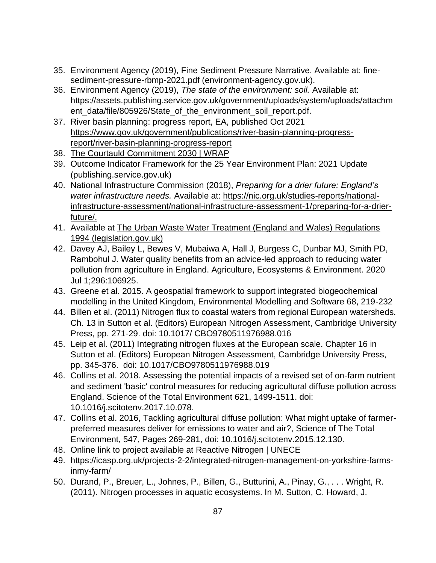- 35. Environment Agency (2019), Fine Sediment Pressure Narrative. Available at: finesediment-pressure-rbmp-2021.pdf (environment-agency.gov.uk).
- 36. Environment Agency (2019), *The state of the environment: soil.* Available at: [https://assets.publishing.service.gov.uk/government/uploads/system/uploads/attachm](https://assets.publishing.service.gov.uk/government/uploads/system/uploads/attachment_data/file/805926/State_of_the_environment_soil_report.pdf) [ent\\_data/file/805926/State\\_of\\_the\\_environment\\_soil\\_report.pdf.](https://assets.publishing.service.gov.uk/government/uploads/system/uploads/attachment_data/file/805926/State_of_the_environment_soil_report.pdf)
- 37. River basin planning: progress report, EA, published Oct 2021 [https://www.gov.uk/government/publications/river-basin-planning-progress](https://www.gov.uk/government/publications/river-basin-planning-progress-report/river-basin-planning-progress-report)[report/river-basin-planning-progress-report](https://www.gov.uk/government/publications/river-basin-planning-progress-report/river-basin-planning-progress-report)
- 38. [The Courtauld Commitment 2030 | WRAP](https://wrap.org.uk/taking-action/food-drink/initiatives/courtauld-commitment)
- 39. Outcome Indicator Framework for the 25 Year Environment Plan: 2021 Update (publishing.service.gov.uk)
- 40. National Infrastructure Commission (2018), *Preparing for a drier future: England's water infrastructure needs.* Available at: [https://nic.org.uk/studies-reports/national](https://nic.org.uk/studies-reports/national-infrastructure-assessment/national-infrastructure-assessment-1/preparing-for-a-drier-future/)[infrastructure-assessment/national-infrastructure-assessment-1/preparing-for-a-drier](https://nic.org.uk/studies-reports/national-infrastructure-assessment/national-infrastructure-assessment-1/preparing-for-a-drier-future/)[future/.](https://nic.org.uk/studies-reports/national-infrastructure-assessment/national-infrastructure-assessment-1/preparing-for-a-drier-future/)
- 41. Available at The Urban Waste Water [Treatment \(England and Wales\) Regulations](https://www.legislation.gov.uk/uksi/1994/2841/contents/made)  [1994 \(legislation.gov.uk\)](https://www.legislation.gov.uk/uksi/1994/2841/contents/made)
- 42. Davey AJ, Bailey L, Bewes V, Mubaiwa A, Hall J, Burgess C, Dunbar MJ, Smith PD, Rambohul J. Water quality benefits from an advice-led approach to reducing water pollution from agriculture in England. Agriculture, Ecosystems & Environment. 2020 Jul 1;296:106925.
- 43. Greene et al. 2015. A geospatial framework to support integrated biogeochemical modelling in the United Kingdom, Environmental Modelling and Software 68, 219-232
- 44. Billen et al. (2011) Nitrogen flux to coastal waters from regional European watersheds. Ch. 13 in Sutton et al. (Editors) European Nitrogen Assessment, Cambridge University Press, pp. 271-29. doi: 10.1017/ CBO9780511976988.016
- 45. Leip et al. (2011) Integrating nitrogen fluxes at the European scale. Chapter 16 in Sutton et al. (Editors) European Nitrogen Assessment, Cambridge University Press, pp. 345-376. doi: 10.1017/CBO9780511976988.019
- 46. Collins et al. 2018. Assessing the potential impacts of a revised set of on-farm nutrient and sediment 'basic' control measures for reducing agricultural diffuse pollution across England. Science of the Total Environment 621, 1499-1511. doi: 10.1016/j.scitotenv.2017.10.078.
- 47. Collins et al. 2016, Tackling agricultural diffuse pollution: What might uptake of farmerpreferred measures deliver for emissions to water and air?, Science of The Total Environment, 547, Pages 269-281, doi: 10.1016/j.scitotenv.2015.12.130.
- 48. Online link to project available at [Reactive Nitrogen | UNECE](https://unece.org/reactive-nitrogen)
- 49. https://icasp.org.uk/projects-2-2/integrated-nitrogen-management-on-yorkshire-farmsinmy-farm/
- 50. Durand, P., Breuer, L., Johnes, P., Billen, G., Butturini, A., Pinay, G., . . . Wright, R. (2011). Nitrogen processes in aquatic ecosystems. In M. Sutton, C. Howard, J.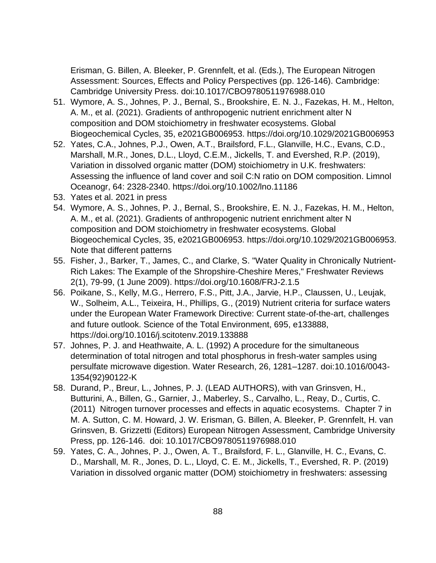Erisman, G. Billen, A. Bleeker, P. Grennfelt, et al. (Eds.), The European Nitrogen Assessment: Sources, Effects and Policy Perspectives (pp. 126-146). Cambridge: Cambridge University Press. doi:10.1017/CBO9780511976988.010

- 51. Wymore, A. S., Johnes, P. J., Bernal, S., Brookshire, E. N. J., Fazekas, H. M., Helton, A. M., et al. (2021). Gradients of anthropogenic nutrient enrichment alter N composition and DOM stoichiometry in freshwater ecosystems. Global Biogeochemical Cycles, 35, e2021GB006953. https://doi.org/10.1029/2021GB006953
- 52. Yates, C.A., Johnes, P.J., Owen, A.T., Brailsford, F.L., Glanville, H.C., Evans, C.D., Marshall, M.R., Jones, D.L., Lloyd, C.E.M., Jickells, T. and Evershed, R.P. (2019), Variation in dissolved organic matter (DOM) stoichiometry in U.K. freshwaters: Assessing the influence of land cover and soil C:N ratio on DOM composition. Limnol Oceanogr, 64: 2328-2340. https://doi.org/10.1002/lno.11186
- 53. Yates et al. 2021 in press
- 54. Wymore, A. S., Johnes, P. J., Bernal, S., Brookshire, E. N. J., Fazekas, H. M., Helton, A. M., et al. (2021). Gradients of anthropogenic nutrient enrichment alter N composition and DOM stoichiometry in freshwater ecosystems. Global Biogeochemical Cycles, 35, e2021GB006953. https://doi.org/10.1029/2021GB006953. Note that different patterns
- 55. Fisher, J., Barker, T., James, C., and Clarke, S. "Water Quality in Chronically Nutrient-Rich Lakes: The Example of the Shropshire-Cheshire Meres," Freshwater Reviews 2(1), 79-99, (1 June 2009). https://doi.org/10.1608/FRJ-2.1.5
- 56. Poikane, S., Kelly, M.G., Herrero, F.S., Pitt, J.A., Jarvie, H.P., Claussen, U., Leujak, W., Solheim, A.L., Teixeira, H., Phillips, G., (2019) Nutrient criteria for surface waters under the European Water Framework Directive: Current state-of-the-art, challenges and future outlook. Science of the Total Environment, 695, e133888, https://doi.org/10.1016/j.scitotenv.2019.133888
- 57. Johnes, P. J. and Heathwaite, A. L. (1992) A procedure for the simultaneous determination of total nitrogen and total phosphorus in fresh-water samples using persulfate microwave digestion. Water Research, 26, 1281–1287. doi:10.1016/0043- 1354(92)90122-K
- 58. Durand, P., Breur, L., Johnes, P. J. (LEAD AUTHORS), with van Grinsven, H., Butturini, A., Billen, G., Garnier, J., Maberley, S., Carvalho, L., Reay, D., Curtis, C. (2011) Nitrogen turnover processes and effects in aquatic ecosystems. Chapter 7 in M. A. Sutton, C. M. Howard, J. W. Erisman, G. Billen, A. Bleeker, P. Grennfelt, H. van Grinsven, B. Grizzetti (Editors) European Nitrogen Assessment, Cambridge University Press, pp. 126-146. doi: 10.1017/CBO9780511976988.010
- 59. Yates, C. A., Johnes, P. J., Owen, A. T., Brailsford, F. L., Glanville, H. C., Evans, C. D., Marshall, M. R., Jones, D. L., Lloyd, C. E. M., Jickells, T., Evershed, R. P. (2019) Variation in dissolved organic matter (DOM) stoichiometry in freshwaters: assessing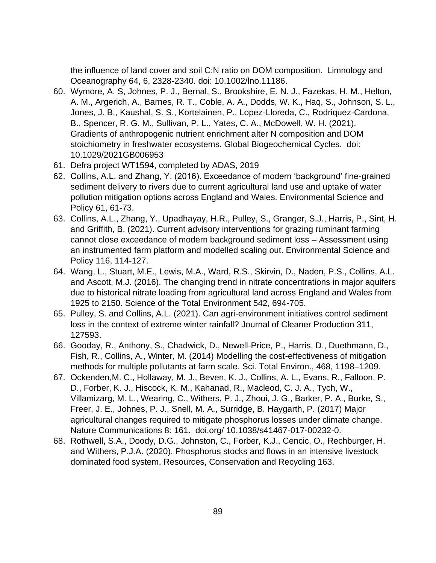the influence of land cover and soil C:N ratio on DOM composition. Limnology and Oceanography 64, 6, 2328-2340. doi: 10.1002/lno.11186.

- 60. Wymore, A. S, Johnes, P. J., Bernal, S., Brookshire, E. N. J., Fazekas, H. M., Helton, A. M., Argerich, A., Barnes, R. T., Coble, A. A., Dodds, W. K., Haq, S., Johnson, S. L., Jones, J. B., Kaushal, S. S., Kortelainen, P., Lopez-Lloreda, C., Rodriquez-Cardona, B., Spencer, R. G. M., Sullivan, P. L., Yates, C. A., McDowell, W. H. (2021). Gradients of anthropogenic nutrient enrichment alter N composition and DOM stoichiometry in freshwater ecosystems. Global Biogeochemical Cycles. doi: 10.1029/2021GB006953
- 61. [Defra project WT1594,](http://randd.defra.gov.uk/Default.aspx?Menu=Menu&Module=More&Location=None&ProjectID=20001&FromSearch=Y&Publisher=1&SearchText=WT1594&SortString=ProjectCode&SortOrder=Asc&Paging=10#Description) completed by ADAS, 2019
- 62. Collins, A.L. and Zhang, Y. (2016). Exceedance of modern 'background' fine-grained sediment delivery to rivers due to current agricultural land use and uptake of water pollution mitigation options across England and Wales. Environmental Science and Policy 61, 61-73.
- 63. Collins, A.L., Zhang, Y., Upadhayay, H.R., Pulley, S., Granger, S.J., Harris, P., Sint, H. and Griffith, B. (2021). Current advisory interventions for grazing ruminant farming cannot close exceedance of modern background sediment loss – Assessment using an instrumented farm platform and modelled scaling out. Environmental Science and Policy 116, 114-127.
- 64. Wang, L., Stuart, M.E., Lewis, M.A., Ward, R.S., Skirvin, D., Naden, P.S., Collins, A.L. and Ascott, M.J. (2016). The changing trend in nitrate concentrations in major aquifers due to historical nitrate loading from agricultural land across England and Wales from 1925 to 2150. Science of the Total Environment 542, 694-705.
- 65. Pulley, S. and Collins, A.L. (2021). Can agri-environment initiatives control sediment loss in the context of extreme winter rainfall? Journal of Cleaner Production 311, 127593.
- 66. Gooday, R., Anthony, S., Chadwick, D., Newell-Price, P., Harris, D., Duethmann, D., Fish, R., Collins, A., Winter, M. (2014) Modelling the cost-effectiveness of mitigation methods for multiple pollutants at farm scale. Sci. Total Environ., 468, 1198–1209.
- 67. Ockenden,M. C., Hollaway, M. J., Beven, K. J., Collins, A. L., Evans, R., Falloon, P. D., Forber, K. J., Hiscock, K. M., Kahanad, R., Macleod, C. J. A., Tych, W., Villamizarg, M. L., Wearing, C., Withers, P. J., Zhoui, J. G., Barker, P. A., Burke, S., Freer, J. E., Johnes, P. J., Snell, M. A., Surridge, B. Haygarth, P. (2017) Major agricultural changes required to mitigate phosphorus losses under climate change. Nature Communications 8: 161. doi.org/ 10.1038/s41467-017-00232-0.
- 68. Rothwell, S.A., Doody, D.G., Johnston, C., Forber, K.J., Cencic, O., Rechburger, H. and Withers, P.J.A. (2020). Phosphorus stocks and flows in an intensive livestock dominated food system, Resources, Conservation and Recycling 163.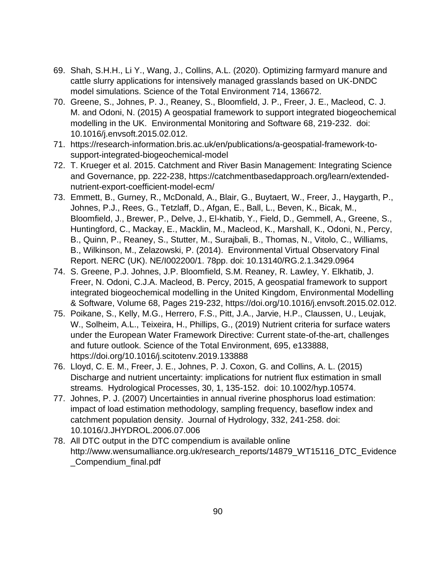- 69. Shah, S.H.H., Li Y., Wang, J., Collins, A.L. (2020). Optimizing farmyard manure and cattle slurry applications for intensively managed grasslands based on UK-DNDC model simulations. Science of the Total Environment 714, 136672.
- 70. Greene, S., Johnes, P. J., Reaney, S., Bloomfield, J. P., Freer, J. E., Macleod, C. J. M. and Odoni, N. (2015) A geospatial framework to support integrated biogeochemical modelling in the UK. Environmental Monitoring and Software 68, 219-232. doi: 10.1016/j.envsoft.2015.02.012.
- 71. https://research-information.bris.ac.uk/en/publications/a-geospatial-framework-tosupport-integrated-biogeochemical-model
- 72. T. Krueger et al. 2015. Catchment and River Basin Management: Integrating Science and Governance, pp. 222-238, https://catchmentbasedapproach.org/learn/extendednutrient-export-coefficient-model-ecm/
- 73. Emmett, B., Gurney, R., McDonald, A., Blair, G., Buytaert, W., Freer, J., Haygarth, P., Johnes, P.J., Rees, G., Tetzlaff, D., Afgan, E., Ball, L., Beven, K., Bicak, M., Bloomfield, J., Brewer, P., Delve, J., El-khatib, Y., Field, D., Gemmell, A., Greene, S., Huntingford, C., Mackay, E., Macklin, M., Macleod, K., Marshall, K., Odoni, N., Percy, B., Quinn, P., Reaney, S., Stutter, M., Surajbali, B., Thomas, N., Vitolo, C., Williams, B., Wilkinson, M., Zelazowski, P. (2014). Environmental Virtual Observatory Final Report. NERC (UK). NE/I002200/1. 78pp. doi: 10.13140/RG.2.1.3429.0964
- 74. S. Greene, P.J. Johnes, J.P. Bloomfield, S.M. Reaney, R. Lawley, Y. Elkhatib, J. Freer, N. Odoni, C.J.A. Macleod, B. Percy, 2015, A geospatial framework to support integrated biogeochemical modelling in the United Kingdom, Environmental Modelling & Software, Volume 68, Pages 219-232, https://doi.org/10.1016/j.envsoft.2015.02.012.
- 75. Poikane, S., Kelly, M.G., Herrero, F.S., Pitt, J.A., Jarvie, H.P., Claussen, U., Leujak, W., Solheim, A.L., Teixeira, H., Phillips, G., (2019) Nutrient criteria for surface waters under the European Water Framework Directive: Current state-of-the-art, challenges and future outlook. Science of the Total Environment, 695, e133888, https://doi.org/10.1016/j.scitotenv.2019.133888
- 76. Lloyd, C. E. M., Freer, J. E., Johnes, P. J. Coxon, G. and Collins, A. L. (2015) Discharge and nutrient uncertainty: implications for nutrient flux estimation in small streams. Hydrological Processes, 30, 1, 135-152. doi: 10.1002/hyp.10574.
- 77. Johnes, P. J. (2007) Uncertainties in annual riverine phosphorus load estimation: impact of load estimation methodology, sampling frequency, baseflow index and catchment population density. Journal of Hydrology, 332, 241-258. doi: 10.1016/J.JHYDROL.2006.07.006
- 78. All DTC output in the DTC compendium is available online http://www.wensumalliance.org.uk/research\_reports/14879\_WT15116\_DTC\_Evidence \_Compendium\_final.pdf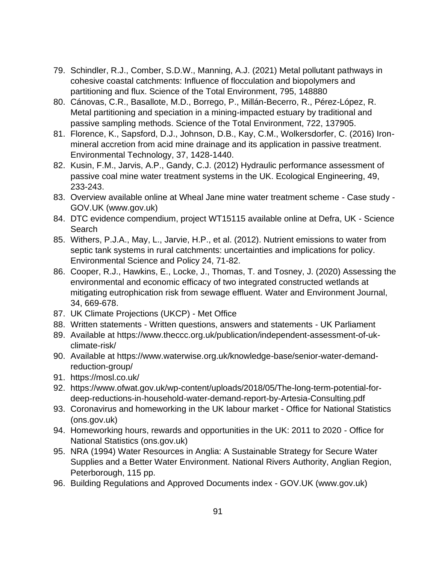- 79. Schindler, R.J., Comber, S.D.W., Manning, A.J. (2021) Metal pollutant pathways in cohesive coastal catchments: Influence of flocculation and biopolymers and partitioning and flux. Science of the Total Environment, 795, 148880
- 80. Cánovas, C.R., Basallote, M.D., Borrego, P., Millán-Becerro, R., Pérez-López, R. Metal partitioning and speciation in a mining-impacted estuary by traditional and passive sampling methods. Science of the Total Environment, 722, 137905.
- 81. Florence, K., Sapsford, D.J., Johnson, D.B., Kay, C.M., Wolkersdorfer, C. (2016) Ironmineral accretion from acid mine drainage and its application in passive treatment. Environmental Technology, 37, 1428-1440.
- 82. Kusin, F.M., Jarvis, A.P., Gandy, C.J. (2012) Hydraulic performance assessment of passive coal mine water treatment systems in the UK. Ecological Engineering, 49, 233-243.
- 83. Overview available online at Wheal Jane mine water treatment scheme Case study GOV.UK (www.gov.uk)
- 84. DTC evidence compendium, project WT15115 available online at Defra, UK Science Search
- 85. Withers, P.J.A., May, L., Jarvie, H.P., et al. (2012). Nutrient emissions to water from septic tank systems in rural catchments: uncertainties and implications for policy. Environmental Science and Policy 24, 71-82.
- 86. Cooper, R.J., Hawkins, E., Locke, J., Thomas, T. and Tosney, J. (2020) Assessing the environmental and economic efficacy of two integrated constructed wetlands at mitigating eutrophication risk from sewage effluent. Water and Environment Journal, 34, 669-678.
- 87. UK Climate Projections (UKCP) Met Office
- 88. Written statements [Written questions, answers and statements -](https://questions-statements.parliament.uk/written-statements/detail/2021-07-01/hcws140) UK Parliament
- 89. Available at [https://www.theccc.org.uk/publication/independent-assessment-of-uk](https://www.theccc.org.uk/publication/independent-assessment-of-uk-climate-risk/)[climate-risk/](https://www.theccc.org.uk/publication/independent-assessment-of-uk-climate-risk/)
- 90. Available at [https://www.waterwise.org.uk/knowledge-base/senior-water-demand](https://www.waterwise.org.uk/knowledge-base/senior-water-demand-reduction-group/)[reduction-group/](https://www.waterwise.org.uk/knowledge-base/senior-water-demand-reduction-group/)
- 91. <https://mosl.co.uk/>
- 92. [https://www.ofwat.gov.uk/wp-content/uploads/2018/05/The-long-term-potential-for](https://www.ofwat.gov.uk/wp-content/uploads/2018/05/The-long-term-potential-for-deep-reductions-in-household-water-demand-report-by-Artesia-Consulting.pdf)[deep-reductions-in-household-water-demand-report-by-Artesia-Consulting.pdf](https://www.ofwat.gov.uk/wp-content/uploads/2018/05/The-long-term-potential-for-deep-reductions-in-household-water-demand-report-by-Artesia-Consulting.pdf)
- 93. [Coronavirus and homeworking in the UK labour market -](https://www.ons.gov.uk/employmentandlabourmarket/peopleinwork/employmentandemployeetypes/articles/coronavirusandhomeworkingintheuklabourmarket/2019) Office for National Statistics [\(ons.gov.uk\)](https://www.ons.gov.uk/employmentandlabourmarket/peopleinwork/employmentandemployeetypes/articles/coronavirusandhomeworkingintheuklabourmarket/2019)
- 94. [Homeworking hours, rewards and opportunities in the UK: 2011 to 2020 -](https://www.ons.gov.uk/employmentandlabourmarket/peopleinwork/labourproductivity/articles/homeworkinghoursrewardsandopportunitiesintheuk2011to2020/2021-04-19) Office for [National Statistics \(ons.gov.uk\)](https://www.ons.gov.uk/employmentandlabourmarket/peopleinwork/labourproductivity/articles/homeworkinghoursrewardsandopportunitiesintheuk2011to2020/2021-04-19)
- 95. NRA (1994) Water Resources in Anglia: A Sustainable Strategy for Secure Water Supplies and a Better Water Environment. National Rivers Authority, Anglian Region, Peterborough, 115 pp.
- 96. Building Regulations and Approved Documents index GOV.UK (www.gov.uk)